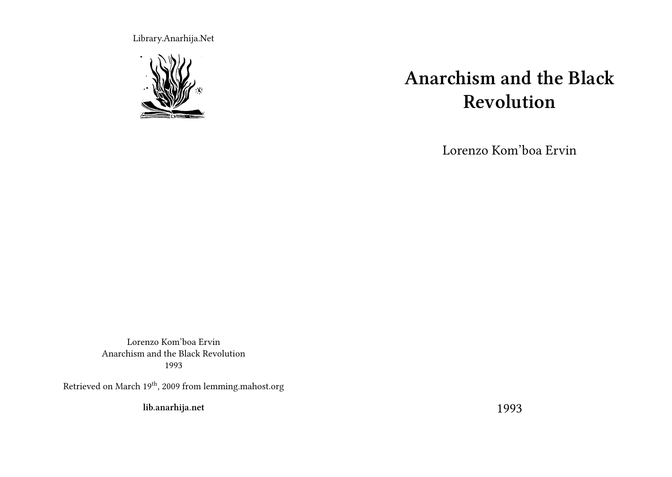Library.Anarhija.Net



# **Anarchism and the Black Revolution**

Lorenzo Kom'boa Ervin

Lorenzo Kom'boa Ervin Anarchism and the Black Revolution 1993

Retrieved on March  $19^{\rm th}$ , 2009 from lemming.mahost.org

**lib.anarhija.net**

1993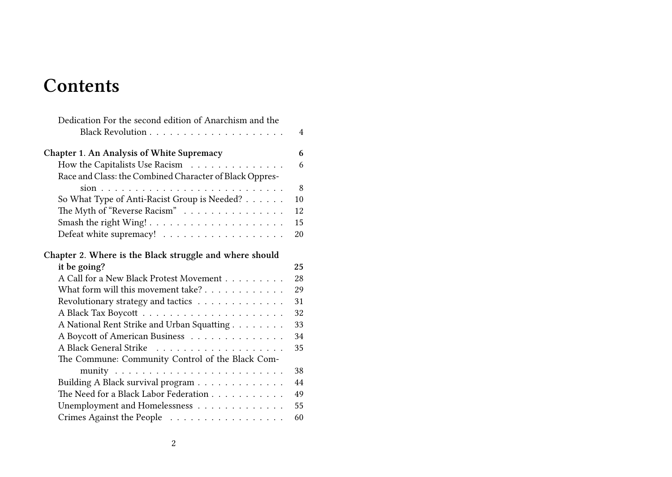# **Contents**

| Dedication For the second edition of Anarchism and the  |                |
|---------------------------------------------------------|----------------|
|                                                         | $\overline{4}$ |
| <b>Chapter 1. An Analysis of White Supremacy</b>        | 6              |
| How the Capitalists Use Racism                          | 6              |
| Race and Class: the Combined Character of Black Oppres- |                |
|                                                         | 8              |
| So What Type of Anti-Racist Group is Needed?            | 10             |
| The Myth of "Reverse Racism"                            | 12             |
|                                                         | 15             |
| Defeat white supremacy!                                 | 20             |
| Chapter 2. Where is the Black struggle and where should |                |
| it be going?                                            | 25             |
| A Call for a New Black Protest Movement                 | 28             |
| What form will this movement take?                      | 29             |
| Revolutionary strategy and tactics                      | 31             |
|                                                         | 32             |
| A National Rent Strike and Urban Squatting              | 33             |
| A Boycott of American Business                          | 34             |
|                                                         | 35             |
| The Commune: Community Control of the Black Com-        |                |
|                                                         | 38             |
| Building A Black survival program                       | 44             |
| The Need for a Black Labor Federation                   | 49             |
| Unemployment and Homelessness                           | 55             |
| Crimes Against the People                               | 60             |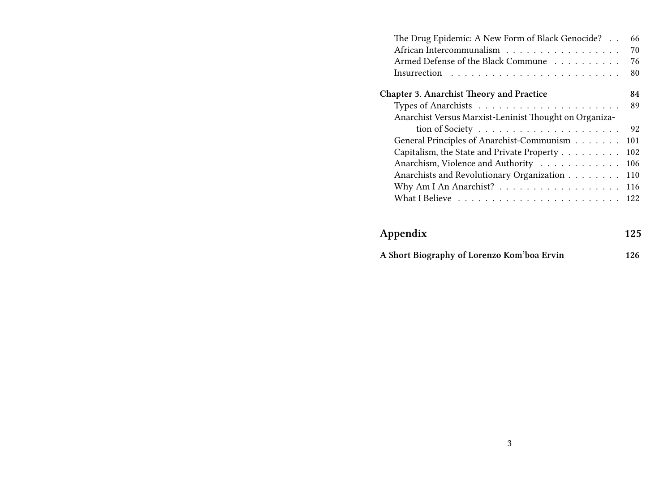| The Drug Epidemic: A New Form of Black Genocide?                   | 66  |
|--------------------------------------------------------------------|-----|
| African Intercommunalism                                           | 70  |
| Armed Defense of the Black Commune                                 | 76  |
|                                                                    | 80  |
| <b>Chapter 3. Anarchist Theory and Practice</b>                    | 84  |
|                                                                    | 89  |
| Anarchist Versus Marxist-Leninist Thought on Organiza-             |     |
| tion of Society $\dots \dots \dots \dots \dots \dots \dots \dots$  | 92  |
| General Principles of Anarchist-Communism                          | 101 |
| Capitalism, the State and Private Property                         | 102 |
| Anarchism, Violence and Authority                                  | 106 |
| Anarchists and Revolutionary Organization                          | 110 |
| Why Am I An Anarchist? $\ldots \ldots \ldots \ldots \ldots \ldots$ | 116 |
|                                                                    | 122 |

| Appendix                                   | 125 |
|--------------------------------------------|-----|
| A Short Biography of Lorenzo Kom'boa Ervin | 126 |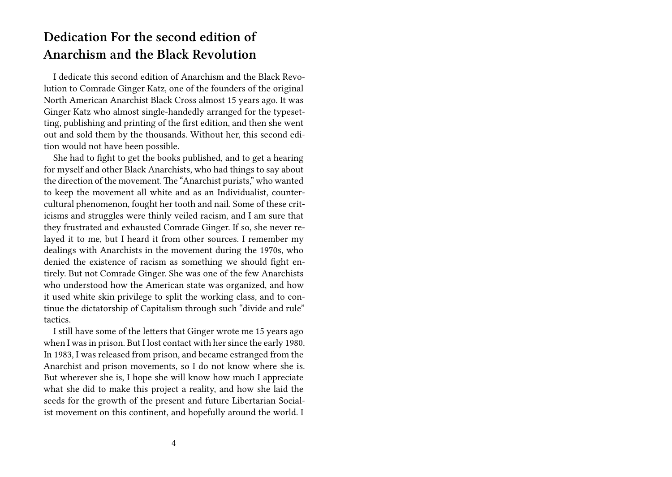## **Dedication For the second edition of Anarchism and the Black Revolution**

I dedicate this second edition of Anarchism and the Black Revolution to Comrade Ginger Katz, one of the founders of the original North American Anarchist Black Cross almost 15 years ago. It was Ginger Katz who almost single-handedly arranged for the typesetting, publishing and printing of the first edition, and then she went out and sold them by the thousands. Without her, this second edition would not have been possible.

She had to fight to get the books published, and to get a hearing for myself and other Black Anarchists, who had things to say about the direction of the movement. The "Anarchist purists," who wanted to keep the movement all white and as an Individualist, countercultural phenomenon, fought her tooth and nail. Some of these criticisms and struggles were thinly veiled racism, and I am sure that they frustrated and exhausted Comrade Ginger. If so, she never relayed it to me, but I heard it from other sources. I remember my dealings with Anarchists in the movement during the 1970s, who denied the existence of racism as something we should fight entirely. But not Comrade Ginger. She was one of the few Anarchists who understood how the American state was organized, and how it used white skin privilege to split the working class, and to continue the dictatorship of Capitalism through such "divide and rule" tactics.

I still have some of the letters that Ginger wrote me 15 years ago when I was in prison. But I lost contact with her since the early 1980. In 1983, I was released from prison, and became estranged from the Anarchist and prison movements, so I do not know where she is. But wherever she is, I hope she will know how much I appreciate what she did to make this project a reality, and how she laid the seeds for the growth of the present and future Libertarian Socialist movement on this continent, and hopefully around the world. I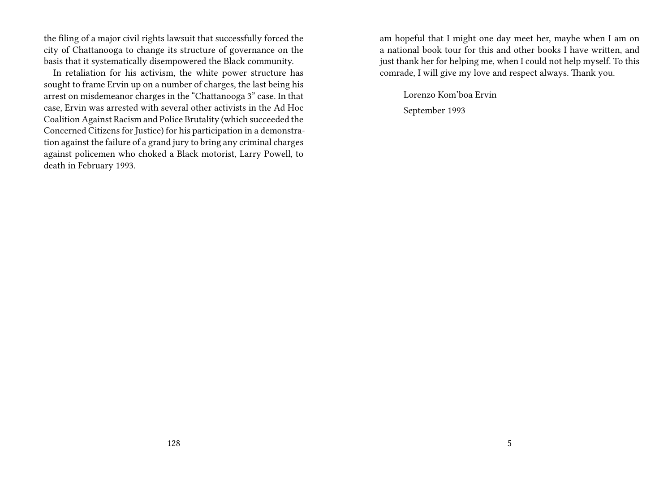the filing of a major civil rights lawsuit that successfully forced the city of Chattanooga to change its structure of governance on the basis that it systematically disempowered the Black community.

In retaliation for his activism, the white power structure has sought to frame Ervin up on a number of charges, the last being his arrest on misdemeanor charges in the "Chattanooga 3" case. In that case, Ervin was arrested with several other activists in the Ad Hoc Coalition Against Racism and Police Brutality (which succeeded the Concerned Citizens for Justice) for his participation in a demonstration against the failure of a grand jury to bring any criminal charges against policemen who choked a Black motorist, Larry Powell, to death in February 1993.

am hopeful that I might one day meet her, maybe when I am on a national book tour for this and other books I have written, and just thank her for helping me, when I could not help myself. To this comrade, I will give my love and respect always. Thank you.

Lorenzo Kom'boa Ervin September 1993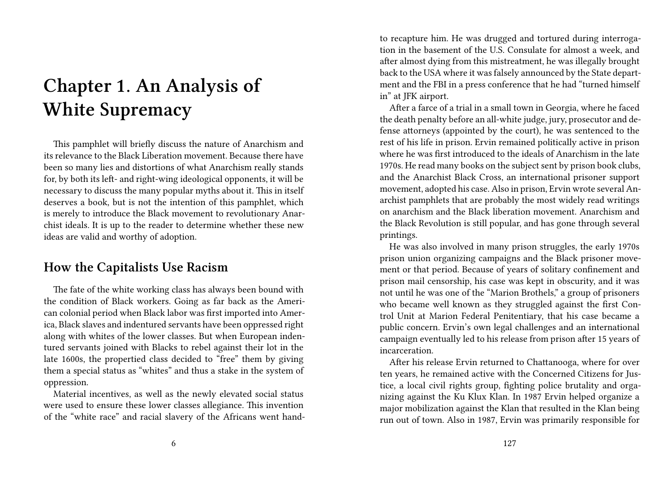# **Chapter 1. An Analysis of White Supremacy**

This pamphlet will briefly discuss the nature of Anarchism and its relevance to the Black Liberation movement. Because there have been so many lies and distortions of what Anarchism really stands for, by both its left- and right-wing ideological opponents, it will be necessary to discuss the many popular myths about it. This in itself deserves a book, but is not the intention of this pamphlet, which is merely to introduce the Black movement to revolutionary Anarchist ideals. It is up to the reader to determine whether these new ideas are valid and worthy of adoption.

## **How the Capitalists Use Racism**

The fate of the white working class has always been bound with the condition of Black workers. Going as far back as the American colonial period when Black labor was first imported into America, Black slaves and indentured servants have been oppressed right along with whites of the lower classes. But when European indentured servants joined with Blacks to rebel against their lot in the late 1600s, the propertied class decided to "free" them by giving them a special status as "whites" and thus a stake in the system of oppression.

Material incentives, as well as the newly elevated social status were used to ensure these lower classes allegiance. This invention of the "white race" and racial slavery of the Africans went handto recapture him. He was drugged and tortured during interrogation in the basement of the U.S. Consulate for almost a week, and after almost dying from this mistreatment, he was illegally brought back to the USA where it was falsely announced by the State department and the FBI in a press conference that he had "turned himself in" at JFK airport.

After a farce of a trial in a small town in Georgia, where he faced the death penalty before an all-white judge, jury, prosecutor and defense attorneys (appointed by the court), he was sentenced to the rest of his life in prison. Ervin remained politically active in prison where he was first introduced to the ideals of Anarchism in the late 1970s. He read many books on the subject sent by prison book clubs, and the Anarchist Black Cross, an international prisoner support movement, adopted his case. Also in prison, Ervin wrote several Anarchist pamphlets that are probably the most widely read writings on anarchism and the Black liberation movement. Anarchism and the Black Revolution is still popular, and has gone through several printings.

He was also involved in many prison struggles, the early 1970s prison union organizing campaigns and the Black prisoner movement or that period. Because of years of solitary confinement and prison mail censorship, his case was kept in obscurity, and it was not until he was one of the "Marion Brothels," a group of prisoners who became well known as they struggled against the first Control Unit at Marion Federal Penitentiary, that his case became a public concern. Ervin's own legal challenges and an international campaign eventually led to his release from prison after 15 years of incarceration.

After his release Ervin returned to Chattanooga, where for over ten years, he remained active with the Concerned Citizens for Justice, a local civil rights group, fighting police brutality and organizing against the Ku Klux Klan. In 1987 Ervin helped organize a major mobilization against the Klan that resulted in the Klan being run out of town. Also in 1987, Ervin was primarily responsible for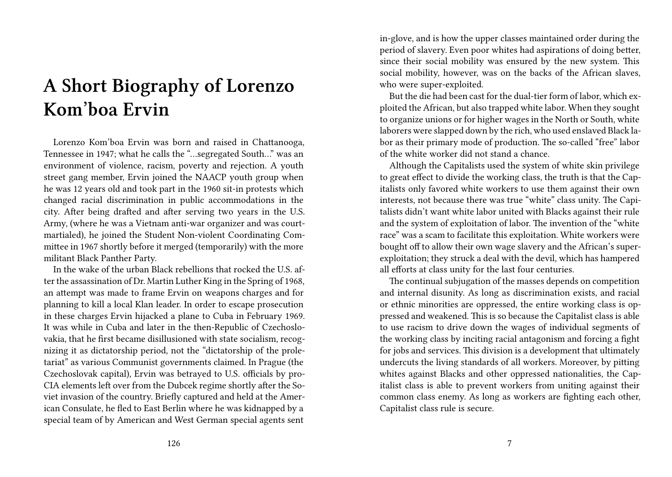# **A Short Biography of Lorenzo Kom'boa Ervin**

Lorenzo Kom'boa Ervin was born and raised in Chattanooga, Tennessee in 1947; what he calls the "…segregated South…" was an environment of violence, racism, poverty and rejection. A youth street gang member, Ervin joined the NAACP youth group when he was 12 years old and took part in the 1960 sit-in protests which changed racial discrimination in public accommodations in the city. After being drafted and after serving two years in the U.S. Army, (where he was a Vietnam anti-war organizer and was courtmartialed), he joined the Student Non-violent Coordinating Committee in 1967 shortly before it merged (temporarily) with the more militant Black Panther Party.

In the wake of the urban Black rebellions that rocked the U.S. after the assassination of Dr. Martin Luther King in the Spring of 1968, an attempt was made to frame Ervin on weapons charges and for planning to kill a local Klan leader. In order to escape prosecution in these charges Ervin hijacked a plane to Cuba in February 1969. It was while in Cuba and later in the then-Republic of Czechoslovakia, that he first became disillusioned with state socialism, recognizing it as dictatorship period, not the "dictatorship of the proletariat" as various Communist governments claimed. In Prague (the Czechoslovak capital), Ervin was betrayed to U.S. officials by pro-CIA elements left over from the Dubcek regime shortly after the Soviet invasion of the country. Briefly captured and held at the American Consulate, he fled to East Berlin where he was kidnapped by a special team of by American and West German special agents sent

in-glove, and is how the upper classes maintained order during the period of slavery. Even poor whites had aspirations of doing better, since their social mobility was ensured by the new system. This social mobility, however, was on the backs of the African slaves, who were super-exploited.

But the die had been cast for the dual-tier form of labor, which exploited the African, but also trapped white labor. When they sought to organize unions or for higher wages in the North or South, white laborers were slapped down by the rich, who used enslaved Black labor as their primary mode of production. The so-called "free" labor of the white worker did not stand a chance.

Although the Capitalists used the system of white skin privilege to great effect to divide the working class, the truth is that the Capitalists only favored white workers to use them against their own interests, not because there was true "white" class unity. The Capitalists didn't want white labor united with Blacks against their rule and the system of exploitation of labor. The invention of the "white race" was a scam to facilitate this exploitation. White workers were bought off to allow their own wage slavery and the African's superexploitation; they struck a deal with the devil, which has hampered all efforts at class unity for the last four centuries.

The continual subjugation of the masses depends on competition and internal disunity. As long as discrimination exists, and racial or ethnic minorities are oppressed, the entire working class is oppressed and weakened. This is so because the Capitalist class is able to use racism to drive down the wages of individual segments of the working class by inciting racial antagonism and forcing a fight for jobs and services. This division is a development that ultimately undercuts the living standards of all workers. Moreover, by pitting whites against Blacks and other oppressed nationalities, the Capitalist class is able to prevent workers from uniting against their common class enemy. As long as workers are fighting each other, Capitalist class rule is secure.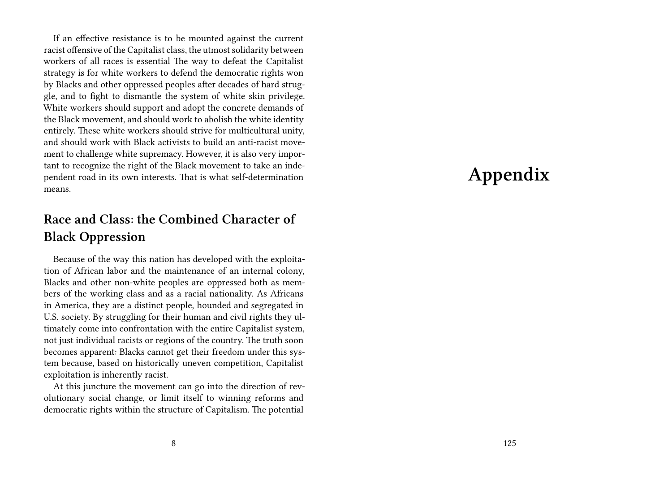If an effective resistance is to be mounted against the current racist offensive of the Capitalist class, the utmost solidarity between workers of all races is essential The way to defeat the Capitalist strategy is for white workers to defend the democratic rights won by Blacks and other oppressed peoples after decades of hard struggle, and to fight to dismantle the system of white skin privilege. White workers should support and adopt the concrete demands of the Black movement, and should work to abolish the white identity entirely. These white workers should strive for multicultural unity, and should work with Black activists to build an anti-racist movement to challenge white supremacy. However, it is also very important to recognize the right of the Black movement to take an independent road in its own interests. That is what self-determination means.

# **Race and Class: the Combined Character of Black Oppression**

Because of the way this nation has developed with the exploitation of African labor and the maintenance of an internal colony, Blacks and other non-white peoples are oppressed both as members of the working class and as a racial nationality. As Africans in America, they are a distinct people, hounded and segregated in U.S. society. By struggling for their human and civil rights they ultimately come into confrontation with the entire Capitalist system, not just individual racists or regions of the country. The truth soon becomes apparent: Blacks cannot get their freedom under this system because, based on historically uneven competition, Capitalist exploitation is inherently racist.

At this juncture the movement can go into the direction of revolutionary social change, or limit itself to winning reforms and democratic rights within the structure of Capitalism. The potential

# **Appendix**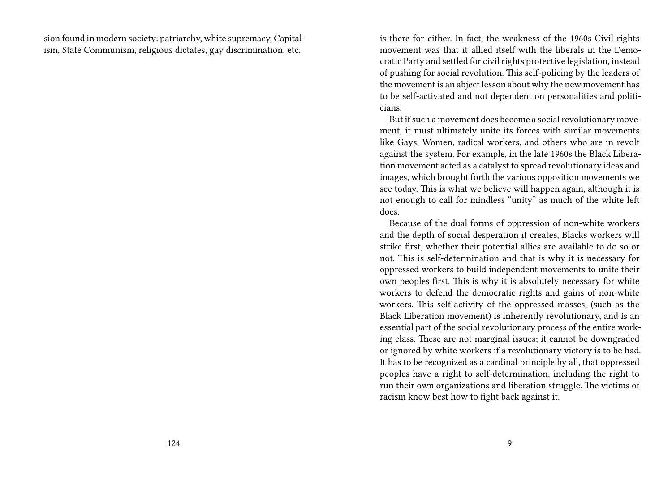sion found in modern society: patriarchy, white supremacy, Capitalism, State Communism, religious dictates, gay discrimination, etc.

is there for either. In fact, the weakness of the 1960s Civil rights movement was that it allied itself with the liberals in the Democratic Party and settled for civil rights protective legislation, instead of pushing for social revolution. This self-policing by the leaders of the movement is an abject lesson about why the new movement has to be self-activated and not dependent on personalities and politicians.

But if such a movement does become a social revolutionary movement, it must ultimately unite its forces with similar movements like Gays, Women, radical workers, and others who are in revolt against the system. For example, in the late 1960s the Black Liberation movement acted as a catalyst to spread revolutionary ideas and images, which brought forth the various opposition movements we see today. This is what we believe will happen again, although it is not enough to call for mindless "unity" as much of the white left does.

Because of the dual forms of oppression of non-white workers and the depth of social desperation it creates, Blacks workers will strike first, whether their potential allies are available to do so or not. This is self-determination and that is why it is necessary for oppressed workers to build independent movements to unite their own peoples first. This is why it is absolutely necessary for white workers to defend the democratic rights and gains of non-white workers. This self-activity of the oppressed masses, (such as the Black Liberation movement) is inherently revolutionary, and is an essential part of the social revolutionary process of the entire working class. These are not marginal issues; it cannot be downgraded or ignored by white workers if a revolutionary victory is to be had. It has to be recognized as a cardinal principle by all, that oppressed peoples have a right to self-determination, including the right to run their own organizations and liberation struggle. The victims of racism know best how to fight back against it.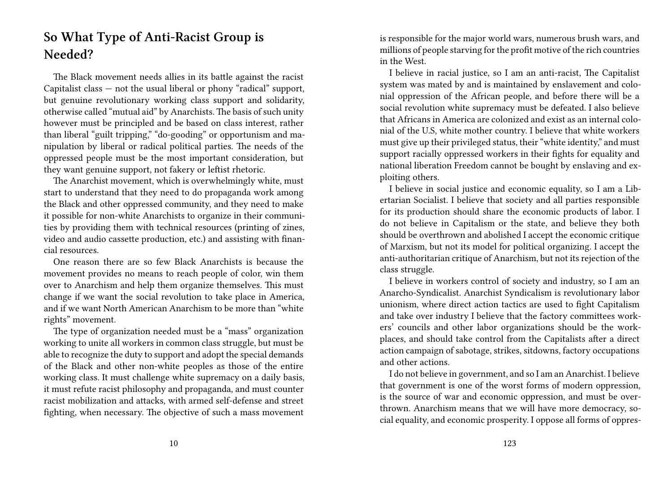## **So What Type of Anti-Racist Group is Needed?**

The Black movement needs allies in its battle against the racist Capitalist class — not the usual liberal or phony "radical" support, but genuine revolutionary working class support and solidarity, otherwise called "mutual aid" by Anarchists. The basis of such unity however must be principled and be based on class interest, rather than liberal "guilt tripping," "do-gooding" or opportunism and manipulation by liberal or radical political parties. The needs of the oppressed people must be the most important consideration, but they want genuine support, not fakery or leftist rhetoric.

The Anarchist movement, which is overwhelmingly white, must start to understand that they need to do propaganda work among the Black and other oppressed community, and they need to make it possible for non-white Anarchists to organize in their communities by providing them with technical resources (printing of zines, video and audio cassette production, etc.) and assisting with financial resources.

One reason there are so few Black Anarchists is because the movement provides no means to reach people of color, win them over to Anarchism and help them organize themselves. This must change if we want the social revolution to take place in America, and if we want North American Anarchism to be more than "white rights" movement.

The type of organization needed must be a "mass" organization working to unite all workers in common class struggle, but must be able to recognize the duty to support and adopt the special demands of the Black and other non-white peoples as those of the entire working class. It must challenge white supremacy on a daily basis, it must refute racist philosophy and propaganda, and must counter racist mobilization and attacks, with armed self-defense and street fighting, when necessary. The objective of such a mass movement is responsible for the major world wars, numerous brush wars, and millions of people starving for the profit motive of the rich countries in the West.

I believe in racial justice, so I am an anti-racist, The Capitalist system was mated by and is maintained by enslavement and colonial oppression of the African people, and before there will be a social revolution white supremacy must be defeated. I also believe that Africans in America are colonized and exist as an internal colonial of the U.S, white mother country. I believe that white workers must give up their privileged status, their "white identity," and must support racially oppressed workers in their fights for equality and national liberation Freedom cannot be bought by enslaving and exploiting others.

I believe in social justice and economic equality, so I am a Libertarian Socialist. I believe that society and all parties responsible for its production should share the economic products of labor. I do not believe in Capitalism or the state, and believe they both should be overthrown and abolished I accept the economic critique of Marxism, but not its model for political organizing. I accept the anti-authoritarian critique of Anarchism, but not its rejection of the class struggle.

I believe in workers control of society and industry, so I am an Anarcho-Syndicalist. Anarchist Syndicalism is revolutionary labor unionism, where direct action tactics are used to fight Capitalism and take over industry I believe that the factory committees workers' councils and other labor organizations should be the workplaces, and should take control from the Capitalists after a direct action campaign of sabotage, strikes, sitdowns, factory occupations and other actions.

I do not believe in government, and so I am an Anarchist. I believe that government is one of the worst forms of modern oppression, is the source of war and economic oppression, and must be overthrown. Anarchism means that we will have more democracy, social equality, and economic prosperity. I oppose all forms of oppres-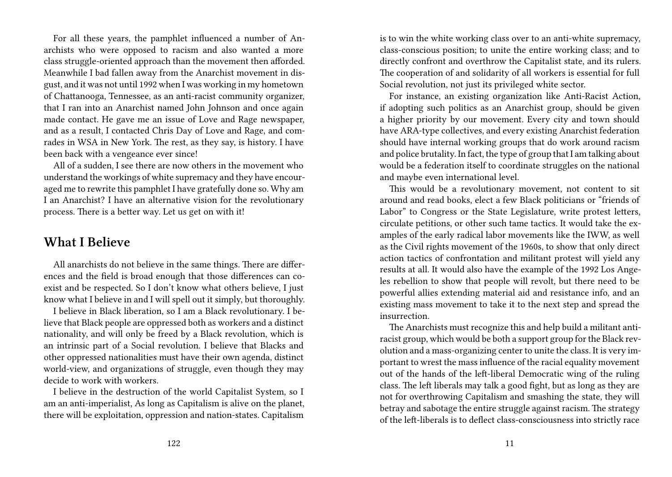For all these years, the pamphlet influenced a number of Anarchists who were opposed to racism and also wanted a more class struggle-oriented approach than the movement then afforded. Meanwhile I bad fallen away from the Anarchist movement in disgust, and it was not until 1992 when I was working in my hometown of Chattanooga, Tennessee, as an anti-racist community organizer, that I ran into an Anarchist named John Johnson and once again made contact. He gave me an issue of Love and Rage newspaper, and as a result, I contacted Chris Day of Love and Rage, and comrades in WSA in New York. The rest, as they say, is history. I have been back with a vengeance ever since!

All of a sudden, I see there are now others in the movement who understand the workings of white supremacy and they have encouraged me to rewrite this pamphlet I have gratefully done so. Why am I an Anarchist? I have an alternative vision for the revolutionary process. There is a better way. Let us get on with it!

### **What I Believe**

All anarchists do not believe in the same things. There are differences and the field is broad enough that those differences can coexist and be respected. So I don't know what others believe, I just know what I believe in and I will spell out it simply, but thoroughly.

I believe in Black liberation, so I am a Black revolutionary. I believe that Black people are oppressed both as workers and a distinct nationality, and will only be freed by a Black revolution, which is an intrinsic part of a Social revolution. I believe that Blacks and other oppressed nationalities must have their own agenda, distinct world-view, and organizations of struggle, even though they may decide to work with workers.

I believe in the destruction of the world Capitalist System, so I am an anti-imperialist, As long as Capitalism is alive on the planet, there will be exploitation, oppression and nation-states. Capitalism is to win the white working class over to an anti-white supremacy, class-conscious position; to unite the entire working class; and to directly confront and overthrow the Capitalist state, and its rulers. The cooperation of and solidarity of all workers is essential for full Social revolution, not just its privileged white sector.

For instance, an existing organization like Anti-Racist Action, if adopting such politics as an Anarchist group, should be given a higher priority by our movement. Every city and town should have ARA-type collectives, and every existing Anarchist federation should have internal working groups that do work around racism and police brutality. In fact, the type of group that I am talking about would be a federation itself to coordinate struggles on the national and maybe even international level.

This would be a revolutionary movement, not content to sit around and read books, elect a few Black politicians or "friends of Labor" to Congress or the State Legislature, write protest letters, circulate petitions, or other such tame tactics. It would take the examples of the early radical labor movements like the IWW, as well as the Civil rights movement of the 1960s, to show that only direct action tactics of confrontation and militant protest will yield any results at all. It would also have the example of the 1992 Los Angeles rebellion to show that people will revolt, but there need to be powerful allies extending material aid and resistance info, and an existing mass movement to take it to the next step and spread the insurrection.

The Anarchists must recognize this and help build a militant antiracist group, which would be both a support group for the Black revolution and a mass-organizing center to unite the class. It is very important to wrest the mass influence of the racial equality movement out of the hands of the left-liberal Democratic wing of the ruling class. The left liberals may talk a good fight, but as long as they are not for overthrowing Capitalism and smashing the state, they will betray and sabotage the entire struggle against racism. The strategy of the left-liberals is to deflect class-consciousness into strictly race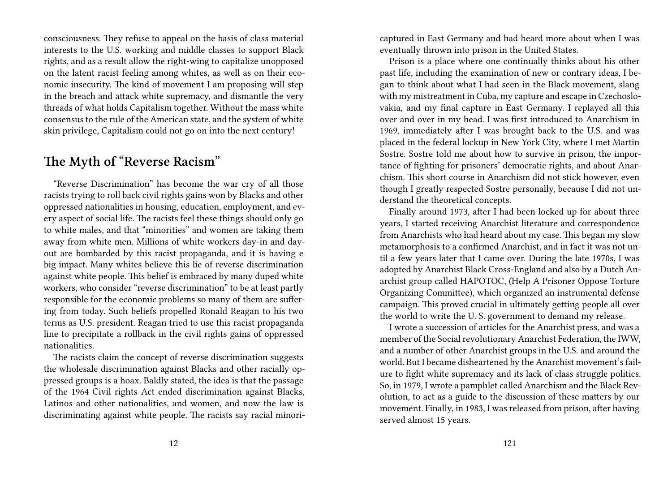consciousness. They refuse to appeal on the basis of class material interests to the U.S. working and middle classes to support Black rights, and as a result allow the right-wing to capitalize unopposed on the latent racist feeling among whites, as well as on their economic insecurity. The kind of movement I am proposing will step in the breach and attack white supremacy, and dismantle the very threads of what holds Capitalism together. Without the mass white consensus to the rule of the American state, and the system of white skin privilege, Capitalism could not go on into the next century!

#### **The Myth of "Reverse Racism"**

"Reverse Discrimination" has become the war cry of all those racists trying to roll back civil rights gains won by Blacks and other oppressed nationalities in housing, education, employment, and every aspect of social life. The racists feel these things should only go to white males, and that "minorities" and women are taking them away from white men. Millions of white workers day-in and dayout are bombarded by this racist propaganda, and it is having e big impact. Many whites believe this lie of reverse discrimination against white people. This belief is embraced by many duped white workers, who consider "reverse discrimination" to be at least partly responsible for the economic problems so many of them are suffering from today. Such beliefs propelled Ronald Reagan to his two terms as U.S. president. Reagan tried to use this racist propaganda line to precipitate a rollback in the civil rights gains of oppressed nationalities.

The racists claim the concept of reverse discrimination suggests the wholesale discrimination against Blacks and other racially oppressed groups is a hoax. Baldly stated, the idea is that the passage of the 1964 Civil rights Act ended discrimination against Blacks, Latinos and other nationalities, and women, and now the law is discriminating against white people. The racists say racial minoricaptured in East Germany and had heard more about when I was eventually thrown into prison in the United States.

Prison is a place where one continually thinks about his other past life, including the examination of new or contrary ideas, I began to think about what I had seen in the Black movement, slang with my mistreatment in Cuba, my capture and escape in Czechoslovakia, and my final capture in East Germany. I replayed all this over and over in my head. I was first introduced to Anarchism in 1969, immediately after I was brought back to the U.S. and was placed in the federal lockup in New York City, where I met Martin Sostre. Sostre told me about how to survive in prison, the importance of fighting for prisoners' democratic rights, and about Anarchism. This short course in Anarchism did not stick however, even though I greatly respected Sostre personally, because I did not understand the theoretical concepts.

Finally around 1973, after I had been locked up for about three years, I started receiving Anarchist literature and correspondence from Anarchists who had heard about my case. This began my slow metamorphosis to a confirmed Anarchist, and in fact it was not until a few years later that I came over. During the late 1970s, I was adopted by Anarchist Black Cross-England and also by a Dutch Anarchist group called HAPOTOC, (Help A Prisoner Oppose Torture Organizing Committee), which organized an instrumental defense campaign. This proved crucial in ultimately getting people all over the world to write the U. S. government to demand my release.

I wrote a succession of articles for the Anarchist press, and was a member of the Social revolutionary Anarchist Federation, the IWW, and a number of other Anarchist groups in the U.S. and around the world. But I became disheartened by the Anarchist movement's failure to fight white supremacy and its lack of class struggle politics. So, in 1979, I wrote a pamphlet called Anarchism and the Black Revolution, to act as a guide to the discussion of these matters by our movement. Finally, in 1983, I was released from prison, after having served almost 15 years.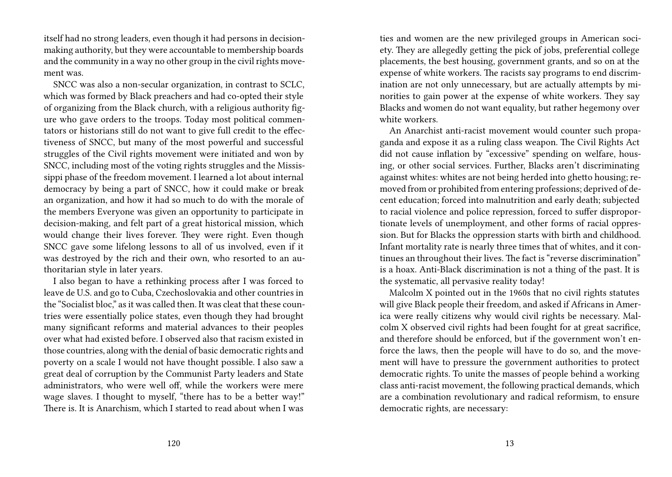itself had no strong leaders, even though it had persons in decisionmaking authority, but they were accountable to membership boards and the community in a way no other group in the civil rights movement was.

SNCC was also a non-secular organization, in contrast to SCLC, which was formed by Black preachers and had co-opted their style of organizing from the Black church, with a religious authority figure who gave orders to the troops. Today most political commentators or historians still do not want to give full credit to the effectiveness of SNCC, but many of the most powerful and successful struggles of the Civil rights movement were initiated and won by SNCC, including most of the voting rights struggles and the Mississippi phase of the freedom movement. I learned a lot about internal democracy by being a part of SNCC, how it could make or break an organization, and how it had so much to do with the morale of the members Everyone was given an opportunity to participate in decision-making, and felt part of a great historical mission, which would change their lives forever. They were right. Even though SNCC gave some lifelong lessons to all of us involved, even if it was destroyed by the rich and their own, who resorted to an authoritarian style in later years.

I also began to have a rethinking process after I was forced to leave de U.S. and go to Cuba, Czechoslovakia and other countries in the "Socialist bloc," as it was called then. It was cleat that these countries were essentially police states, even though they had brought many significant reforms and material advances to their peoples over what had existed before. I observed also that racism existed in those countries, along with the denial of basic democratic rights and poverty on a scale I would not have thought possible. I also saw a great deal of corruption by the Communist Party leaders and State administrators, who were well off, while the workers were mere wage slaves. I thought to myself, "there has to be a better way!" There is. It is Anarchism, which I started to read about when I was

ties and women are the new privileged groups in American society. They are allegedly getting the pick of jobs, preferential college placements, the best housing, government grants, and so on at the expense of white workers. The racists say programs to end discrimination are not only unnecessary, but are actually attempts by minorities to gain power at the expense of white workers. They say Blacks and women do not want equality, but rather hegemony over white workers.

An Anarchist anti-racist movement would counter such propaganda and expose it as a ruling class weapon. The Civil Rights Act did not cause inflation by "excessive" spending on welfare, housing, or other social services. Further, Blacks aren't discriminating against whites: whites are not being herded into ghetto housing; removed from or prohibited from entering professions; deprived of decent education; forced into malnutrition and early death; subjected to racial violence and police repression, forced to suffer disproportionate levels of unemployment, and other forms of racial oppression. But for Blacks the oppression starts with birth and childhood. Infant mortality rate is nearly three times that of whites, and it continues an throughout their lives. The fact is "reverse discrimination" is a hoax. Anti-Black discrimination is not a thing of the past. It is the systematic, all pervasive reality today!

Malcolm X pointed out in the 1960s that no civil rights statutes will give Black people their freedom, and asked if Africans in America were really citizens why would civil rights be necessary. Malcolm X observed civil rights had been fought for at great sacrifice, and therefore should be enforced, but if the government won't enforce the laws, then the people will have to do so, and the movement will have to pressure the government authorities to protect democratic rights. To unite the masses of people behind a working class anti-racist movement, the following practical demands, which are a combination revolutionary and radical reformism, to ensure democratic rights, are necessary: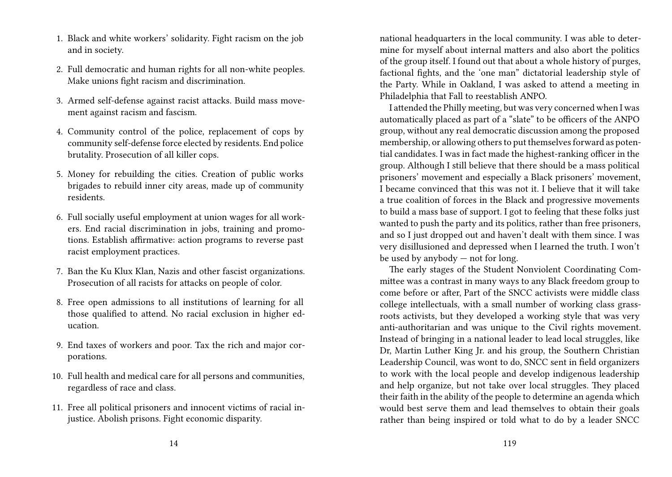- 1. Black and white workers' solidarity. Fight racism on the job and in society.
- 2. Full democratic and human rights for all non-white peoples. Make unions fight racism and discrimination.
- 3. Armed self-defense against racist attacks. Build mass movement against racism and fascism.
- 4. Community control of the police, replacement of cops by community self-defense force elected by residents. End police brutality. Prosecution of all killer cops.
- 5. Money for rebuilding the cities. Creation of public works brigades to rebuild inner city areas, made up of community residents.
- 6. Full socially useful employment at union wages for all workers. End racial discrimination in jobs, training and promotions. Establish affirmative: action programs to reverse past racist employment practices.
- 7. Ban the Ku Klux Klan, Nazis and other fascist organizations. Prosecution of all racists for attacks on people of color.
- 8. Free open admissions to all institutions of learning for all those qualified to attend. No racial exclusion in higher education.
- 9. End taxes of workers and poor. Tax the rich and major corporations.
- 10. Full health and medical care for all persons and communities, regardless of race and class.
- 11. Free all political prisoners and innocent victims of racial injustice. Abolish prisons. Fight economic disparity.

national headquarters in the local community. I was able to determine for myself about internal matters and also abort the politics of the group itself. I found out that about a whole history of purges, factional fights, and the 'one man" dictatorial leadership style of the Party. While in Oakland, I was asked to attend a meeting in Philadelphia that Fall to reestablish ANPO.

I attended the Philly meeting, but was very concerned when I was automatically placed as part of a "slate" to be officers of the ANPO group, without any real democratic discussion among the proposed membership, or allowing others to put themselves forward as potential candidates. I was in fact made the highest-ranking officer in the group. Although I still believe that there should be a mass political prisoners' movement and especially a Black prisoners' movement, I became convinced that this was not it. I believe that it will take a true coalition of forces in the Black and progressive movements to build a mass base of support. I got to feeling that these folks just wanted to push the party and its politics, rather than free prisoners, and so I just dropped out and haven't dealt with them since. I was very disillusioned and depressed when I learned the truth. I won't be used by anybody — not for long.

The early stages of the Student Nonviolent Coordinating Committee was a contrast in many ways to any Black freedom group to come before or after, Part of the SNCC activists were middle class college intellectuals, with a small number of working class grassroots activists, but they developed a working style that was very anti-authoritarian and was unique to the Civil rights movement. Instead of bringing in a national leader to lead local struggles, like Dr, Martin Luther King Jr. and his group, the Southern Christian Leadership Council, was wont to do, SNCC sent in field organizers to work with the local people and develop indigenous leadership and help organize, but not take over local struggles. They placed their faith in the ability of the people to determine an agenda which would best serve them and lead themselves to obtain their goals rather than being inspired or told what to do by a leader SNCC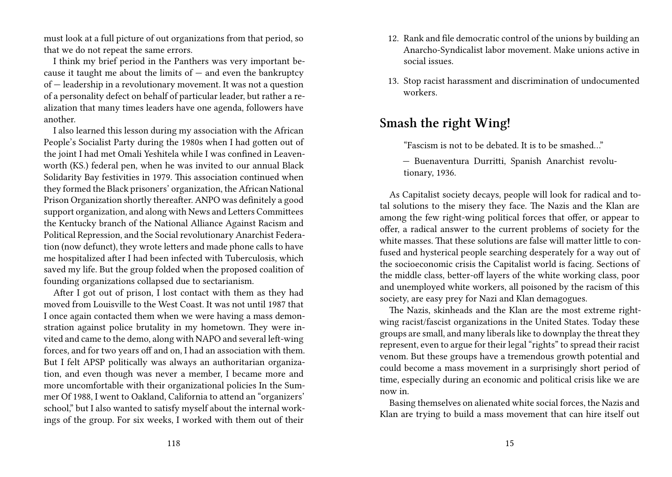must look at a full picture of out organizations from that period, so that we do not repeat the same errors.

I think my brief period in the Panthers was very important because it taught me about the limits of  $-$  and even the bankruptcy of — leadership in a revolutionary movement. It was not a question of a personality defect on behalf of particular leader, but rather a realization that many times leaders have one agenda, followers have another.

I also learned this lesson during my association with the African People's Socialist Party during the 1980s when I had gotten out of the joint I had met Omali Yeshitela while I was confined in Leavenworth (KS.) federal pen, when he was invited to our annual Black Solidarity Bay festivities in 1979. This association continued when they formed the Black prisoners' organization, the African National Prison Organization shortly thereafter. ANPO was definitely a good support organization, and along with News and Letters Committees the Kentucky branch of the National Alliance Against Racism and Political Repression, and the Social revolutionary Anarchist Federation (now defunct), they wrote letters and made phone calls to have me hospitalized after I had been infected with Tuberculosis, which saved my life. But the group folded when the proposed coalition of founding organizations collapsed due to sectarianism.

After I got out of prison, I lost contact with them as they had moved from Louisville to the West Coast. It was not until 1987 that I once again contacted them when we were having a mass demonstration against police brutality in my hometown. They were invited and came to the demo, along with NAPO and several left-wing forces, and for two years off and on, I had an association with them. But I felt APSP politically was always an authoritarian organization, and even though was never a member, I became more and more uncomfortable with their organizational policies In the Summer Of 1988, I went to Oakland, California to attend an "organizers' school," but I also wanted to satisfy myself about the internal workings of the group. For six weeks, I worked with them out of their

- 12. Rank and file democratic control of the unions by building an Anarcho-Syndicalist labor movement. Make unions active in social issues.
- 13. Stop racist harassment and discrimination of undocumented workers.

#### **Smash the right Wing!**

"Fascism is not to be debated. It is to be smashed…"

— Buenaventura Durritti, Spanish Anarchist revolutionary, 1936.

As Capitalist society decays, people will look for radical and total solutions to the misery they face. The Nazis and the Klan are among the few right-wing political forces that offer, or appear to offer, a radical answer to the current problems of society for the white masses. That these solutions are false will matter little to confused and hysterical people searching desperately for a way out of the socioeconomic crisis the Capitalist world is facing. Sections of the middle class, better-off layers of the white working class, poor and unemployed white workers, all poisoned by the racism of this society, are easy prey for Nazi and Klan demagogues.

The Nazis, skinheads and the Klan are the most extreme rightwing racist/fascist organizations in the United States. Today these groups are small, and many liberals like to downplay the threat they represent, even to argue for their legal "rights" to spread their racist venom. But these groups have a tremendous growth potential and could become a mass movement in a surprisingly short period of time, especially during an economic and political crisis like we are now in.

Basing themselves on alienated white social forces, the Nazis and Klan are trying to build a mass movement that can hire itself out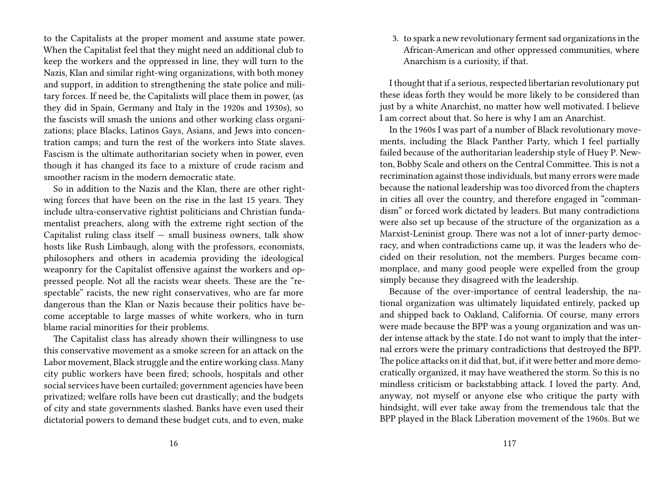to the Capitalists at the proper moment and assume state power. When the Capitalist feel that they might need an additional club to keep the workers and the oppressed in line, they will turn to the Nazis, Klan and similar right-wing organizations, with both money and support, in addition to strengthening the state police and military forces. If need be, the Capitalists will place them in power, (as they did in Spain, Germany and Italy in the 1920s and 1930s), so the fascists will smash the unions and other working class organizations; place Blacks, Latinos Gays, Asians, and Jews into concentration camps; and turn the rest of the workers into State slaves. Fascism is the ultimate authoritarian society when in power, even though it has changed its face to a mixture of crude racism and smoother racism in the modern democratic state.

So in addition to the Nazis and the Klan, there are other rightwing forces that have been on the rise in the last 15 years. They include ultra-conservative rightist politicians and Christian fundamentalist preachers, along with the extreme right section of the Capitalist ruling class itself  $-$  small business owners, talk show hosts like Rush Limbaugh, along with the professors, economists, philosophers and others in academia providing the ideological weaponry for the Capitalist offensive against the workers and oppressed people. Not all the racists wear sheets. These are the "respectable" racists, the new right conservatives, who are far more dangerous than the Klan or Nazis because their politics have become acceptable to large masses of white workers, who in turn blame racial minorities for their problems.

The Capitalist class has already shown their willingness to use this conservative movement as a smoke screen for an attack on the Labor movement, Black struggle and the entire working class. Many city public workers have been fired; schools, hospitals and other social services have been curtailed; government agencies have been privatized; welfare rolls have been cut drastically; and the budgets of city and state governments slashed. Banks have even used their dictatorial powers to demand these budget cuts, and to even, make

3. to spark a new revolutionary ferment sad organizations in the African-American and other oppressed communities, where Anarchism is a curiosity, if that.

I thought that if a serious, respected libertarian revolutionary put these ideas forth they would be more likely to be considered than just by a white Anarchist, no matter how well motivated. I believe I am correct about that. So here is why I am an Anarchist.

In the 1960s I was part of a number of Black revolutionary movements, including the Black Panther Party, which I feel partially failed because of the authoritarian leadership style of Huey P. Newton, Bobby Scale and others on the Central Committee. This is not a recrimination against those individuals, but many errors were made because the national leadership was too divorced from the chapters in cities all over the country, and therefore engaged in "commandism" or forced work dictated by leaders. But many contradictions were also set up because of the structure of the organization as a Marxist-Leninist group. There was not a lot of inner-party democracy, and when contradictions came up, it was the leaders who decided on their resolution, not the members. Purges became commonplace, and many good people were expelled from the group simply because they disagreed with the leadership.

Because of the over-importance of central leadership, the national organization was ultimately liquidated entirely, packed up and shipped back to Oakland, California. Of course, many errors were made because the BPP was a young organization and was under intense attack by the state. I do not want to imply that the internal errors were the primary contradictions that destroyed the BPP. The police attacks on it did that, but, if it were better and more democratically organized, it may have weathered the storm. So this is no mindless criticism or backstabbing attack. I loved the party. And, anyway, not myself or anyone else who critique the party with hindsight, will ever take away from the tremendous talc that the BPP played in the Black Liberation movement of the 1960s. But we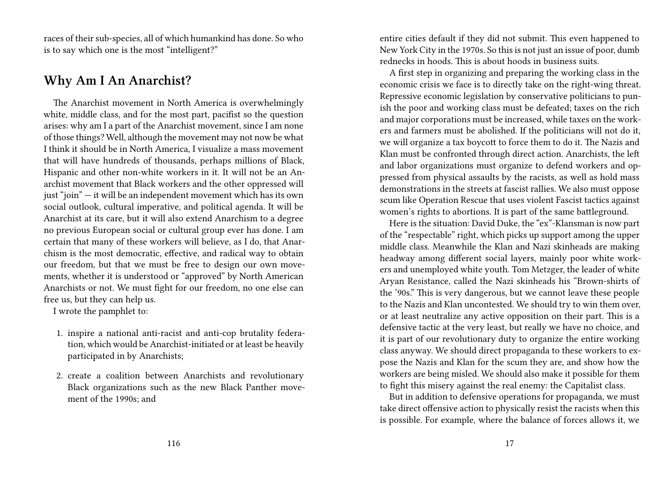races of their sub-species, all of which humankind has done. So who is to say which one is the most "intelligent?"

#### **Why Am I An Anarchist?**

The Anarchist movement in North America is overwhelmingly white, middle class, and for the most part, pacifist so the question arises: why am I a part of the Anarchist movement, since I am none of those things? Well, although the movement may not now be what I think it should be in North America, I visualize a mass movement that will have hundreds of thousands, perhaps millions of Black, Hispanic and other non-white workers in it. It will not be an Anarchist movement that Black workers and the other oppressed will just "join" — it will be an independent movement which has its own social outlook, cultural imperative, and political agenda. It will be Anarchist at its care, but it will also extend Anarchism to a degree no previous European social or cultural group ever has done. I am certain that many of these workers will believe, as I do, that Anarchism is the most democratic, effective, and radical way to obtain our freedom, but that we must be free to design our own movements, whether it is understood or "approved" by North American Anarchists or not. We must fight for our freedom, no one else can free us, but they can help us.

I wrote the pamphlet to:

- 1. inspire a national anti-racist and anti-cop brutality federation, which would be Anarchist-initiated or at least be heavily participated in by Anarchists;
- 2. create a coalition between Anarchists and revolutionary Black organizations such as the new Black Panther movement of the 1990s; and

entire cities default if they did not submit. This even happened to New York City in the 1970s. So this is not just an issue of poor, dumb rednecks in hoods. This is about hoods in business suits.

A first step in organizing and preparing the working class in the economic crisis we face is to directly take on the right-wing threat. Repressive economic legislation by conservative politicians to punish the poor and working class must be defeated; taxes on the rich and major corporations must be increased, while taxes on the workers and farmers must be abolished. If the politicians will not do it, we will organize a tax boycott to force them to do it. The Nazis and Klan must be confronted through direct action. Anarchists, the left and labor organizations must organize to defend workers and oppressed from physical assaults by the racists, as well as hold mass demonstrations in the streets at fascist rallies. We also must oppose scum like Operation Rescue that uses violent Fascist tactics against women's rights to abortions. It is part of the same battleground.

Here is the situation: David Duke, the "ex"-Klansman is now part of the "respectable" right, which picks up support among the upper middle class. Meanwhile the Klan and Nazi skinheads are making headway among different social layers, mainly poor white workers and unemployed white youth. Tom Metzger, the leader of white Aryan Resistance, called the Nazi skinheads his "Brown-shirts of the '90s." This is very dangerous, but we cannot leave these people to the Nazis and Klan uncontested. We should try to win them over, or at least neutralize any active opposition on their part. This is a defensive tactic at the very least, but really we have no choice, and it is part of our revolutionary duty to organize the entire working class anyway. We should direct propaganda to these workers to expose the Nazis and Klan for the scum they are, and show how the workers are being misled. We should also make it possible for them to fight this misery against the real enemy: the Capitalist class.

But in addition to defensive operations for propaganda, we must take direct offensive action to physically resist the racists when this is possible. For example, where the balance of forces allows it, we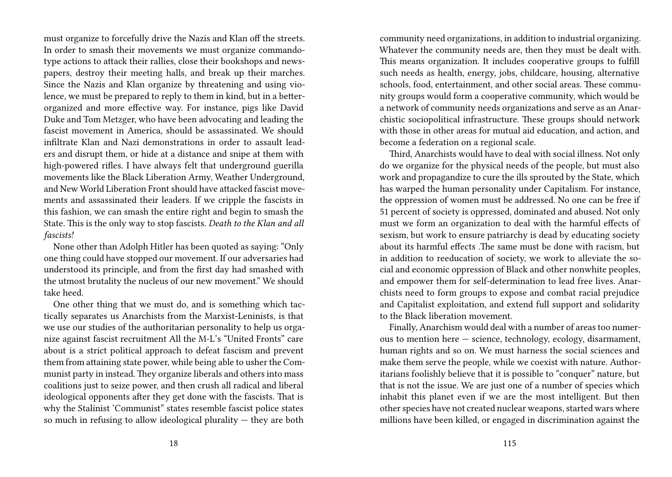must organize to forcefully drive the Nazis and Klan off the streets. In order to smash their movements we must organize commandotype actions to attack their rallies, close their bookshops and newspapers, destroy their meeting halls, and break up their marches. Since the Nazis and Klan organize by threatening and using violence, we must be prepared to reply to them in kind, but in a betterorganized and more effective way. For instance, pigs like David Duke and Tom Metzger, who have been advocating and leading the fascist movement in America, should be assassinated. We should infiltrate Klan and Nazi demonstrations in order to assault leaders and disrupt them, or hide at a distance and snipe at them with high-powered rifles. I have always felt that underground guerilla movements like the Black Liberation Army, Weather Underground, and New World Liberation Front should have attacked fascist movements and assassinated their leaders. If we cripple the fascists in this fashion, we can smash the entire right and begin to smash the State. This is the only way to stop fascists. *Death to the Klan and all fascists!*

None other than Adolph Hitler has been quoted as saying: "Only one thing could have stopped our movement. If our adversaries had understood its principle, and from the first day had smashed with the utmost brutality the nucleus of our new movement." We should take heed.

One other thing that we must do, and is something which tactically separates us Anarchists from the Marxist-Leninists, is that we use our studies of the authoritarian personality to help us organize against fascist recruitment All the M-L's "United Fronts" care about is a strict political approach to defeat fascism and prevent them from attaining state power, while being able to usher the Communist party in instead. They organize liberals and others into mass coalitions just to seize power, and then crush all radical and liberal ideological opponents after they get done with the fascists. That is why the Stalinist 'Communist" states resemble fascist police states so much in refusing to allow ideological plurality  $-$  they are both

community need organizations, in addition to industrial organizing. Whatever the community needs are, then they must be dealt with. This means organization. It includes cooperative groups to fulfill such needs as health, energy, jobs, childcare, housing, alternative schools, food, entertainment, and other social areas. These community groups would form a cooperative community, which would be a network of community needs organizations and serve as an Anarchistic sociopolitical infrastructure. These groups should network with those in other areas for mutual aid education, and action, and become a federation on a regional scale.

Third, Anarchists would have to deal with social illness. Not only do we organize for the physical needs of the people, but must also work and propagandize to cure the ills sprouted by the State, which has warped the human personality under Capitalism. For instance, the oppression of women must be addressed. No one can be free if 51 percent of society is oppressed, dominated and abused. Not only must we form an organization to deal with the harmful effects of sexism, but work to ensure patriarchy is dead by educating society about its harmful effects .The same must be done with racism, but in addition to reeducation of society, we work to alleviate the social and economic oppression of Black and other nonwhite peoples, and empower them for self-determination to lead free lives. Anarchists need to form groups to expose and combat racial prejudice and Capitalist exploitation, and extend full support and solidarity to the Black liberation movement.

Finally, Anarchism would deal with a number of areas too numerous to mention here — science, technology, ecology, disarmament, human rights and so on. We must harness the social sciences and make them serve the people, while we coexist with nature. Authoritarians foolishly believe that it is possible to "conquer" nature, but that is not the issue. We are just one of a number of species which inhabit this planet even if we are the most intelligent. But then other species have not created nuclear weapons, started wars where millions have been killed, or engaged in discrimination against the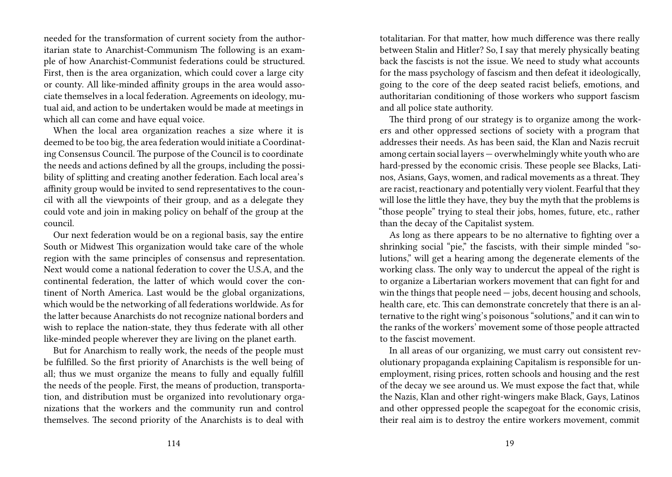needed for the transformation of current society from the authoritarian state to Anarchist-Communism The following is an example of how Anarchist-Communist federations could be structured. First, then is the area organization, which could cover a large city or county. All like-minded affinity groups in the area would associate themselves in a local federation. Agreements on ideology, mutual aid, and action to be undertaken would be made at meetings in which all can come and have equal voice.

When the local area organization reaches a size where it is deemed to be too big, the area federation would initiate a Coordinating Consensus Council. The purpose of the Council is to coordinate the needs and actions defined by all the groups, including the possibility of splitting and creating another federation. Each local area's affinity group would be invited to send representatives to the council with all the viewpoints of their group, and as a delegate they could vote and join in making policy on behalf of the group at the council.

Our next federation would be on a regional basis, say the entire South or Midwest This organization would take care of the whole region with the same principles of consensus and representation. Next would come a national federation to cover the U.S.A, and the continental federation, the latter of which would cover the continent of North America. Last would be the global organizations, which would be the networking of all federations worldwide. As for the latter because Anarchists do not recognize national borders and wish to replace the nation-state, they thus federate with all other like-minded people wherever they are living on the planet earth.

But for Anarchism to really work, the needs of the people must be fulfilled. So the first priority of Anarchists is the well being of all; thus we must organize the means to fully and equally fulfill the needs of the people. First, the means of production, transportation, and distribution must be organized into revolutionary organizations that the workers and the community run and control themselves. The second priority of the Anarchists is to deal with

totalitarian. For that matter, how much difference was there really between Stalin and Hitler? So, I say that merely physically beating back the fascists is not the issue. We need to study what accounts for the mass psychology of fascism and then defeat it ideologically, going to the core of the deep seated racist beliefs, emotions, and authoritarian conditioning of those workers who support fascism and all police state authority.

The third prong of our strategy is to organize among the workers and other oppressed sections of society with a program that addresses their needs. As has been said, the Klan and Nazis recruit among certain social layers — overwhelmingly white youth who are hard-pressed by the economic crisis. These people see Blacks, Latinos, Asians, Gays, women, and radical movements as a threat. They are racist, reactionary and potentially very violent. Fearful that they will lose the little they have, they buy the myth that the problems is "those people" trying to steal their jobs, homes, future, etc., rather than the decay of the Capitalist system.

As long as there appears to be no alternative to fighting over a shrinking social "pie," the fascists, with their simple minded "solutions," will get a hearing among the degenerate elements of the working class. The only way to undercut the appeal of the right is to organize a Libertarian workers movement that can fight for and win the things that people need — jobs, decent housing and schools, health care, etc. This can demonstrate concretely that there is an alternative to the right wing's poisonous "solutions," and it can win to the ranks of the workers' movement some of those people attracted to the fascist movement.

In all areas of our organizing, we must carry out consistent revolutionary propaganda explaining Capitalism is responsible for unemployment, rising prices, rotten schools and housing and the rest of the decay we see around us. We must expose the fact that, while the Nazis, Klan and other right-wingers make Black, Gays, Latinos and other oppressed people the scapegoat for the economic crisis, their real aim is to destroy the entire workers movement, commit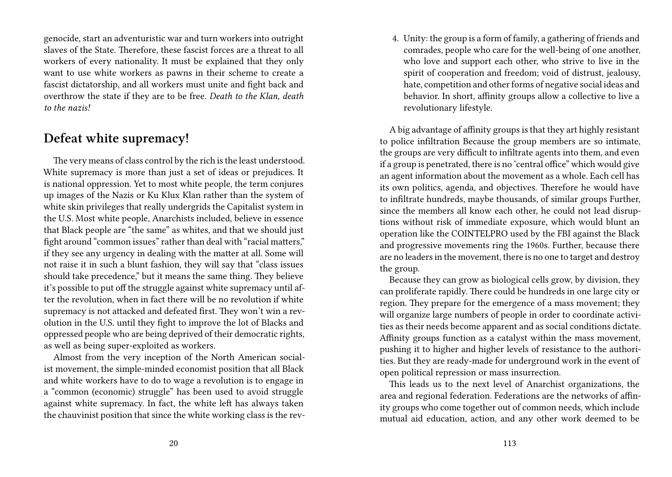genocide, start an adventuristic war and turn workers into outright slaves of the State. Therefore, these fascist forces are a threat to all workers of every nationality. It must be explained that they only want to use white workers as pawns in their scheme to create a fascist dictatorship, and all workers must unite and fight back and overthrow the state if they are to be free. *Death to the Klan, death to the nazis!*

## **Defeat white supremacy!**

The very means of class control by the rich is the least understood. White supremacy is more than just a set of ideas or prejudices. It is national oppression. Yet to most white people, the term conjures up images of the Nazis or Ku Klux Klan rather than the system of white skin privileges that really undergrids the Capitalist system in the U.S. Most white people, Anarchists included, believe in essence that Black people are "the same" as whites, and that we should just fight around "common issues" rather than deal with "racial matters," if they see any urgency in dealing with the matter at all. Some will not raise it in such a blunt fashion, they will say that "class issues should take precedence," but it means the same thing. They believe it's possible to put off the struggle against white supremacy until after the revolution, when in fact there will be no revolution if white supremacy is not attacked and defeated first. They won't win a revolution in the U.S. until they fight to improve the lot of Blacks and oppressed people who are being deprived of their democratic rights, as well as being super-exploited as workers.

Almost from the very inception of the North American socialist movement, the simple-minded economist position that all Black and white workers have to do to wage a revolution is to engage in a "common (economic) struggle" has been used to avoid struggle against white supremacy. In fact, the white left has always taken the chauvinist position that since the white working class is the rev4. Unity: the group is a form of family, a gathering of friends and comrades, people who care for the well-being of one another, who love and support each other, who strive to live in the spirit of cooperation and freedom; void of distrust, jealousy, hate, competition and other forms of negative social ideas and behavior. In short, affinity groups allow a collective to live a revolutionary lifestyle.

A big advantage of affinity groups is that they art highly resistant to police infiltration Because the group members are so intimate, the groups are very difficult to infiltrate agents into them, and even if a group is penetrated, there is no 'central office" which would give an agent information about the movement as a whole. Each cell has its own politics, agenda, and objectives. Therefore he would have to infiltrate hundreds, maybe thousands, of similar groups Further, since the members all know each other, he could not lead disruptions without risk of immediate exposure, which would blunt an operation like the COINTELPRO used by the FBI against the Black and progressive movements ring the 1960s. Further, because there are no leaders in the movement, there is no one to target and destroy the group.

Because they can grow as biological cells grow, by division, they can proliferate rapidly. There could be hundreds in one large city or region. They prepare for the emergence of a mass movement; they will organize large numbers of people in order to coordinate activities as their needs become apparent and as social conditions dictate. Affinity groups function as a catalyst within the mass movement, pushing it to higher and higher levels of resistance to the authorities. But they are ready-made for underground work in the event of open political repression or mass insurrection.

This leads us to the next level of Anarchist organizations, the area and regional federation. Federations are the networks of affinity groups who come together out of common needs, which include mutual aid education, action, and any other work deemed to be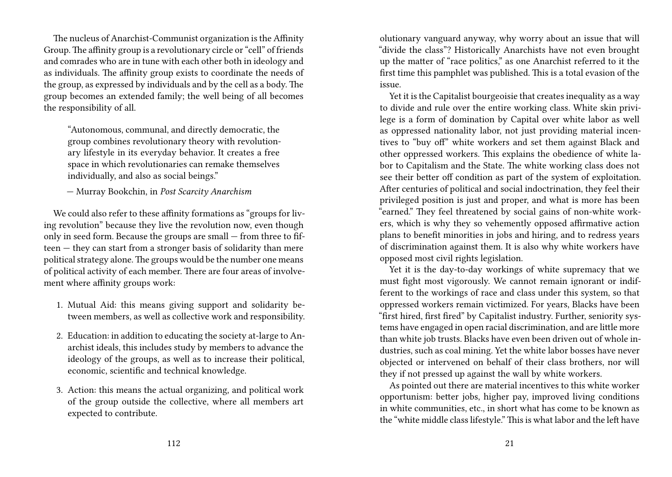The nucleus of Anarchist-Communist organization is the Affinity Group.The affinity group is a revolutionary circle or "cell" of friends and comrades who are in tune with each other both in ideology and as individuals. The affinity group exists to coordinate the needs of the group, as expressed by individuals and by the cell as a body. The group becomes an extended family; the well being of all becomes the responsibility of all.

"Autonomous, communal, and directly democratic, the group combines revolutionary theory with revolutionary lifestyle in its everyday behavior. It creates a free space in which revolutionaries can remake themselves individually, and also as social beings."

— Murray Bookchin, in *Post Scarcity Anarchism*

We could also refer to these affinity formations as "groups for living revolution" because they live the revolution now, even though only in seed form. Because the groups are small — from three to fifteen — they can start from a stronger basis of solidarity than mere political strategy alone.The groups would be the number one means of political activity of each member. There are four areas of involvement where affinity groups work:

- 1. Mutual Aid: this means giving support and solidarity between members, as well as collective work and responsibility.
- 2. Education: in addition to educating the society at-large to Anarchist ideals, this includes study by members to advance the ideology of the groups, as well as to increase their political, economic, scientific and technical knowledge.
- 3. Action: this means the actual organizing, and political work of the group outside the collective, where all members art expected to contribute.

olutionary vanguard anyway, why worry about an issue that will "divide the class"? Historically Anarchists have not even brought up the matter of "race politics," as one Anarchist referred to it the first time this pamphlet was published. This is a total evasion of the issue.

Yet it is the Capitalist bourgeoisie that creates inequality as a way to divide and rule over the entire working class. White skin privilege is a form of domination by Capital over white labor as well as oppressed nationality labor, not just providing material incentives to "buy off" white workers and set them against Black and other oppressed workers. This explains the obedience of white labor to Capitalism and the State. The white working class does not see their better off condition as part of the system of exploitation. After centuries of political and social indoctrination, they feel their privileged position is just and proper, and what is more has been "earned." They feel threatened by social gains of non-white workers, which is why they so vehemently opposed affirmative action plans to benefit minorities in jobs and hiring, and to redress years of discrimination against them. It is also why white workers have opposed most civil rights legislation.

Yet it is the day-to-day workings of white supremacy that we must fight most vigorously. We cannot remain ignorant or indifferent to the workings of race and class under this system, so that oppressed workers remain victimized. For years, Blacks have been "first hired, first fired" by Capitalist industry. Further, seniority systems have engaged in open racial discrimination, and are little more than white job trusts. Blacks have even been driven out of whole industries, such as coal mining. Yet the white labor bosses have never objected or intervened on behalf of their class brothers, nor will they if not pressed up against the wall by white workers.

As pointed out there are material incentives to this white worker opportunism: better jobs, higher pay, improved living conditions in white communities, etc., in short what has come to be known as the "white middle class lifestyle." This is what labor and the left have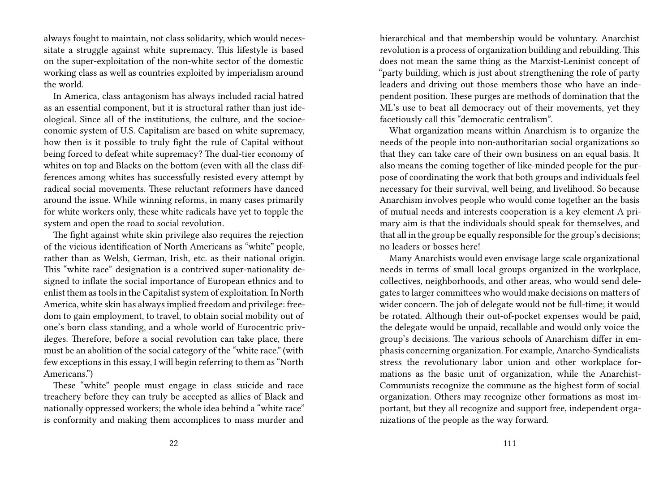always fought to maintain, not class solidarity, which would necessitate a struggle against white supremacy. This lifestyle is based on the super-exploitation of the non-white sector of the domestic working class as well as countries exploited by imperialism around the world.

In America, class antagonism has always included racial hatred as an essential component, but it is structural rather than just ideological. Since all of the institutions, the culture, and the socioeconomic system of U.S. Capitalism are based on white supremacy, how then is it possible to truly fight the rule of Capital without being forced to defeat white supremacy? The dual-tier economy of whites on top and Blacks on the bottom (even with all the class differences among whites has successfully resisted every attempt by radical social movements. These reluctant reformers have danced around the issue. While winning reforms, in many cases primarily for white workers only, these white radicals have yet to topple the system and open the road to social revolution.

The fight against white skin privilege also requires the rejection of the vicious identification of North Americans as "white" people, rather than as Welsh, German, Irish, etc. as their national origin. This "white race" designation is a contrived super-nationality designed to inflate the social importance of European ethnics and to enlist them as tools in the Capitalist system of exploitation. In North America, white skin has always implied freedom and privilege: freedom to gain employment, to travel, to obtain social mobility out of one's born class standing, and a whole world of Eurocentric privileges. Therefore, before a social revolution can take place, there must be an abolition of the social category of the "white race." (with few exceptions in this essay, I will begin referring to them as "North Americans.")

These "white" people must engage in class suicide and race treachery before they can truly be accepted as allies of Black and nationally oppressed workers; the whole idea behind a "white race" is conformity and making them accomplices to mass murder and hierarchical and that membership would be voluntary. Anarchist revolution is a process of organization building and rebuilding. This does not mean the same thing as the Marxist-Leninist concept of "party building, which is just about strengthening the role of party leaders and driving out those members those who have an independent position. These purges are methods of domination that the ML's use to beat all democracy out of their movements, yet they facetiously call this "democratic centralism".

What organization means within Anarchism is to organize the needs of the people into non-authoritarian social organizations so that they can take care of their own business on an equal basis. It also means the coming together of like-minded people for the purpose of coordinating the work that both groups and individuals feel necessary for their survival, well being, and livelihood. So because Anarchism involves people who would come together an the basis of mutual needs and interests cooperation is a key element A primary aim is that the individuals should speak for themselves, and that all in the group be equally responsible for the group's decisions; no leaders or bosses here!

Many Anarchists would even envisage large scale organizational needs in terms of small local groups organized in the workplace, collectives, neighborhoods, and other areas, who would send delegates to larger committees who would make decisions on matters of wider concern. The job of delegate would not be full-time; it would be rotated. Although their out-of-pocket expenses would be paid, the delegate would be unpaid, recallable and would only voice the group's decisions. The various schools of Anarchism differ in emphasis concerning organization. For example, Anarcho-Syndicalists stress the revolutionary labor union and other workplace formations as the basic unit of organization, while the Anarchist-Communists recognize the commune as the highest form of social organization. Others may recognize other formations as most important, but they all recognize and support free, independent organizations of the people as the way forward.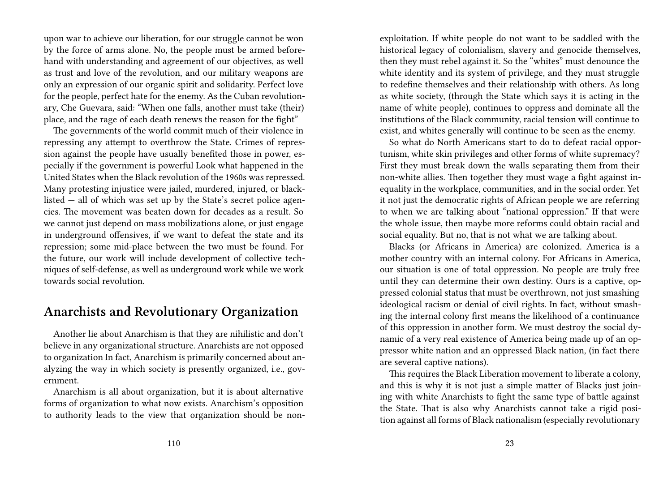upon war to achieve our liberation, for our struggle cannot be won by the force of arms alone. No, the people must be armed beforehand with understanding and agreement of our objectives, as well as trust and love of the revolution, and our military weapons are only an expression of our organic spirit and solidarity. Perfect love for the people, perfect hate for the enemy. As the Cuban revolutionary, Che Guevara, said: "When one falls, another must take (their) place, and the rage of each death renews the reason for the fight"

The governments of the world commit much of their violence in repressing any attempt to overthrow the State. Crimes of repression against the people have usually benefited those in power, especially if the government is powerful Look what happened in the United States when the Black revolution of the 1960s was repressed. Many protesting injustice were jailed, murdered, injured, or blacklisted — all of which was set up by the State's secret police agencies. The movement was beaten down for decades as a result. So we cannot just depend on mass mobilizations alone, or just engage in underground offensives, if we want to defeat the state and its repression; some mid-place between the two must be found. For the future, our work will include development of collective techniques of self-defense, as well as underground work while we work towards social revolution.

#### **Anarchists and Revolutionary Organization**

Another lie about Anarchism is that they are nihilistic and don't believe in any organizational structure. Anarchists are not opposed to organization In fact, Anarchism is primarily concerned about analyzing the way in which society is presently organized, i.e., government.

Anarchism is all about organization, but it is about alternative forms of organization to what now exists. Anarchism's opposition to authority leads to the view that organization should be nonexploitation. If white people do not want to be saddled with the historical legacy of colonialism, slavery and genocide themselves, then they must rebel against it. So the "whites" must denounce the white identity and its system of privilege, and they must struggle to redefine themselves and their relationship with others. As long as white society, (through the State which says it is acting in the name of white people), continues to oppress and dominate all the institutions of the Black community, racial tension will continue to exist, and whites generally will continue to be seen as the enemy.

So what do North Americans start to do to defeat racial opportunism, white skin privileges and other forms of white supremacy? First they must break down the walls separating them from their non-white allies. Then together they must wage a fight against inequality in the workplace, communities, and in the social order. Yet it not just the democratic rights of African people we are referring to when we are talking about "national oppression." If that were the whole issue, then maybe more reforms could obtain racial and social equality. But no, that is not what we are talking about.

Blacks (or Africans in America) are colonized. America is a mother country with an internal colony. For Africans in America, our situation is one of total oppression. No people are truly free until they can determine their own destiny. Ours is a captive, oppressed colonial status that must be overthrown, not just smashing ideological racism or denial of civil rights. In fact, without smashing the internal colony first means the likelihood of a continuance of this oppression in another form. We must destroy the social dynamic of a very real existence of America being made up of an oppressor white nation and an oppressed Black nation, (in fact there are several captive nations).

This requires the Black Liberation movement to liberate a colony, and this is why it is not just a simple matter of Blacks just joining with white Anarchists to fight the same type of battle against the State. That is also why Anarchists cannot take a rigid position against all forms of Black nationalism (especially revolutionary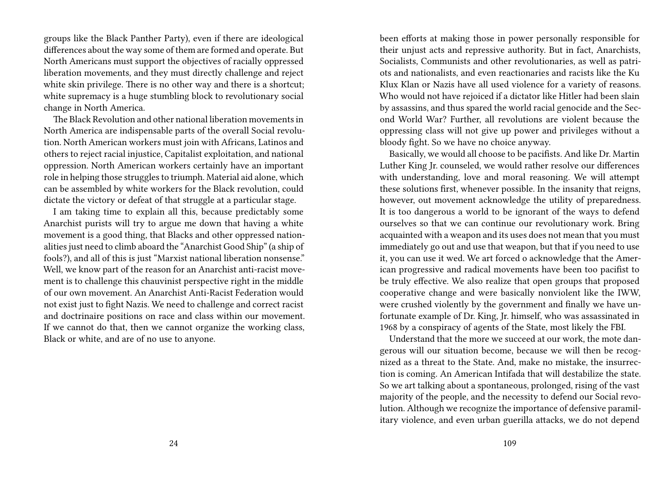groups like the Black Panther Party), even if there are ideological differences about the way some of them are formed and operate. But North Americans must support the objectives of racially oppressed liberation movements, and they must directly challenge and reject white skin privilege. There is no other way and there is a shortcut; white supremacy is a huge stumbling block to revolutionary social change in North America.

The Black Revolution and other national liberation movements in North America are indispensable parts of the overall Social revolution. North American workers must join with Africans, Latinos and others to reject racial injustice, Capitalist exploitation, and national oppression. North American workers certainly have an important role in helping those struggles to triumph. Material aid alone, which can be assembled by white workers for the Black revolution, could dictate the victory or defeat of that struggle at a particular stage.

I am taking time to explain all this, because predictably some Anarchist purists will try to argue me down that having a white movement is a good thing, that Blacks and other oppressed nationalities just need to climb aboard the "Anarchist Good Ship" (a ship of fools?), and all of this is just "Marxist national liberation nonsense." Well, we know part of the reason for an Anarchist anti-racist movement is to challenge this chauvinist perspective right in the middle of our own movement. An Anarchist Anti-Racist Federation would not exist just to fight Nazis. We need to challenge and correct racist and doctrinaire positions on race and class within our movement. If we cannot do that, then we cannot organize the working class, Black or white, and are of no use to anyone.

been efforts at making those in power personally responsible for their unjust acts and repressive authority. But in fact, Anarchists, Socialists, Communists and other revolutionaries, as well as patriots and nationalists, and even reactionaries and racists like the Ku Klux Klan or Nazis have all used violence for a variety of reasons. Who would not have rejoiced if a dictator like Hitler had been slain by assassins, and thus spared the world racial genocide and the Second World War? Further, all revolutions are violent because the oppressing class will not give up power and privileges without a bloody fight. So we have no choice anyway.

Basically, we would all choose to be pacifists. And like Dr. Martin Luther King Jr. counseled, we would rather resolve our differences with understanding, love and moral reasoning. We will attempt these solutions first, whenever possible. In the insanity that reigns, however, out movement acknowledge the utility of preparedness. It is too dangerous a world to be ignorant of the ways to defend ourselves so that we can continue our revolutionary work. Bring acquainted with a weapon and its uses does not mean that you must immediately go out and use that weapon, but that if you need to use it, you can use it wed. We art forced o acknowledge that the American progressive and radical movements have been too pacifist to be truly effective. We also realize that open groups that proposed cooperative change and were basically nonviolent like the IWW, were crushed violently by the government and finally we have unfortunate example of Dr. King, Jr. himself, who was assassinated in 1968 by a conspiracy of agents of the State, most likely the FBI.

Understand that the more we succeed at our work, the mote dangerous will our situation become, because we will then be recognized as a threat to the State. And, make no mistake, the insurrection is coming. An American Intifada that will destabilize the state. So we art talking about a spontaneous, prolonged, rising of the vast majority of the people, and the necessity to defend our Social revolution. Although we recognize the importance of defensive paramilitary violence, and even urban guerilla attacks, we do not depend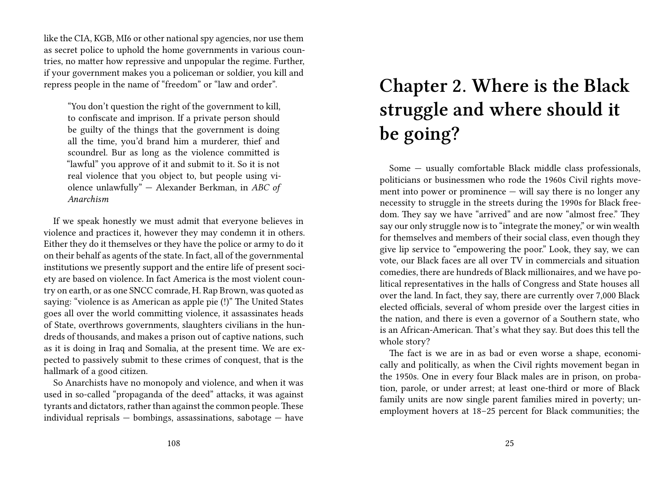like the CIA, KGB, MI6 or other national spy agencies, nor use them as secret police to uphold the home governments in various countries, no matter how repressive and unpopular the regime. Further, if your government makes you a policeman or soldier, you kill and repress people in the name of "freedom" or "law and order".

"You don't question the right of the government to kill, to confiscate and imprison. If a private person should be guilty of the things that the government is doing all the time, you'd brand him a murderer, thief and scoundrel. Bur as long as the violence committed is "lawful" you approve of it and submit to it. So it is not real violence that you object to, but people using violence unlawfully" — Alexander Berkman, in *ABC of Anarchism*

If we speak honestly we must admit that everyone believes in violence and practices it, however they may condemn it in others. Either they do it themselves or they have the police or army to do it on their behalf as agents of the state. In fact, all of the governmental institutions we presently support and the entire life of present society are based on violence. In fact America is the most violent country on earth, or as one SNCC comrade, H. Rap Brown, was quoted as saying: "violence is as American as apple pie (!)" The United States goes all over the world committing violence, it assassinates heads of State, overthrows governments, slaughters civilians in the hundreds of thousands, and makes a prison out of captive nations, such as it is doing in Iraq and Somalia, at the present time. We are expected to passively submit to these crimes of conquest, that is the hallmark of a good citizen.

So Anarchists have no monopoly and violence, and when it was used in so-called "propaganda of the deed" attacks, it was against tyrants and dictators, rather than against the common people.These individual reprisals  $-$  bombings, assassinations, sabotage  $-$  have

# **Chapter 2. Where is the Black struggle and where should it be going?**

Some — usually comfortable Black middle class professionals, politicians or businessmen who rode the 1960s Civil rights movement into power or prominence  $-$  will say there is no longer any necessity to struggle in the streets during the 1990s for Black freedom. They say we have "arrived" and are now "almost free." They say our only struggle now is to "integrate the money," or win wealth for themselves and members of their social class, even though they give lip service to "empowering the poor." Look, they say, we can vote, our Black faces are all over TV in commercials and situation comedies, there are hundreds of Black millionaires, and we have political representatives in the halls of Congress and State houses all over the land. In fact, they say, there are currently over 7,000 Black elected officials, several of whom preside over the largest cities in the nation, and there is even a governor of a Southern state, who is an African-American. That's what they say. But does this tell the whole story?

The fact is we are in as bad or even worse a shape, economically and politically, as when the Civil rights movement began in the 1950s. One in every four Black males are in prison, on probation, parole, or under arrest; at least one-third or more of Black family units are now single parent families mired in poverty; unemployment hovers at 18–25 percent for Black communities; the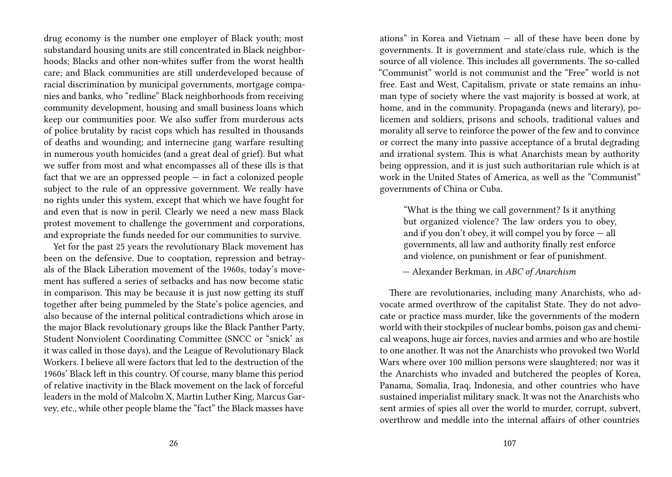drug economy is the number one employer of Black youth; most substandard housing units are still concentrated in Black neighborhoods; Blacks and other non-whites suffer from the worst health care; and Black communities are still underdeveloped because of racial discrimination by municipal governments, mortgage companies and banks, who "redline" Black neighborhoods from receiving community development, housing and small business loans which keep our communities poor. We also suffer from murderous acts of police brutality by racist cops which has resulted in thousands of deaths and wounding; and internecine gang warfare resulting in numerous youth homicides (and a great deal of grief). But what we suffer from most and what encompasses all of these ills is that fact that we are an oppressed people — in fact a colonized people subject to the rule of an oppressive government. We really have no rights under this system, except that which we have fought for and even that is now in peril. Clearly we need a new mass Black protest movement to challenge the government and corporations, and expropriate the funds needed for our communities to survive.

Yet for the past 25 years the revolutionary Black movement has been on the defensive. Due to cooptation, repression and betrayals of the Black Liberation movement of the 1960s, today's movement has suffered a series of setbacks and has now become static in comparison. This may be because it is just now getting its stuff together after being pummeled by the State's police agencies, and also because of the internal political contradictions which arose in the major Black revolutionary groups like the Black Panther Party, Student Nonviolent Coordinating Committee (SNCC or "snick' as it was called in those days), and the League of Revolutionary Black Workers. I believe all were factors that led to the destruction of the 1960s' Black left in this country. Of course, many blame this period of relative inactivity in the Black movement on the lack of forceful leaders in the mold of Malcolm X, Martin Luther King, Marcus Garvey, etc., while other people blame the "fact" the Black masses have

ations" in Korea and Vietnam — all of these have been done by governments. It is government and state/class rule, which is the source of all violence. This includes all governments. The so-called "Communist" world is not communist and the "Free" world is not free. East and West, Capitalism, private or state remains an inhuman type of society where the vast majority is bossed at work, at home, and in the community. Propaganda (news and literary), policemen and soldiers, prisons and schools, traditional values and morality all serve to reinforce the power of the few and to convince or correct the many into passive acceptance of a brutal degrading and irrational system. This is what Anarchists mean by authority being oppression, and it is just such authoritarian rule which is at work in the United States of America, as well as the "Communist" governments of China or Cuba.

"What is the thing we call government? Is it anything but organized violence? The law orders you to obey, and if you don't obey, it will compel you by force — all governments, all law and authority finally rest enforce and violence, on punishment or fear of punishment.

— Alexander Berkman, in *ABC of Anarchism*

There are revolutionaries, including many Anarchists, who advocate armed overthrow of the capitalist State. They do not advocate or practice mass murder, like the governments of the modern world with their stockpiles of nuclear bombs, poison gas and chemical weapons, huge air forces, navies and armies and who are hostile to one another. It was not the Anarchists who provoked two World Wars where over 100 million persons were slaughtered; nor was it the Anarchists who invaded and butchered the peoples of Korea, Panama, Somalia, Iraq, Indonesia, and other countries who have sustained imperialist military snack. It was not the Anarchists who sent armies of spies all over the world to murder, corrupt, subvert, overthrow and meddle into the internal affairs of other countries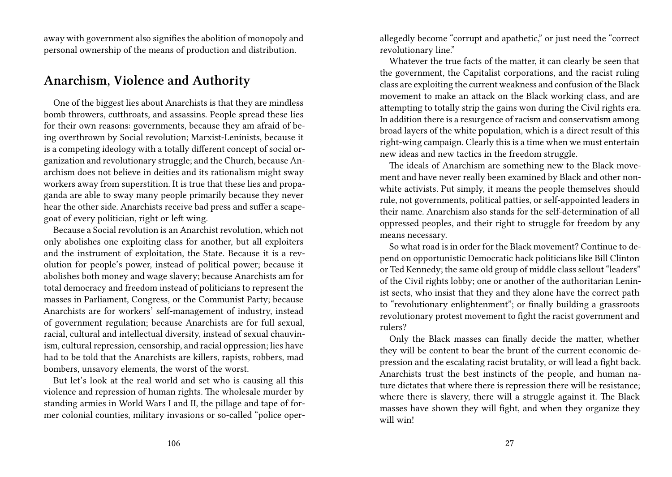away with government also signifies the abolition of monopoly and personal ownership of the means of production and distribution.

#### **Anarchism, Violence and Authority**

One of the biggest lies about Anarchists is that they are mindless bomb throwers, cutthroats, and assassins. People spread these lies for their own reasons: governments, because they am afraid of being overthrown by Social revolution; Marxist-Leninists, because it is a competing ideology with a totally different concept of social organization and revolutionary struggle; and the Church, because Anarchism does not believe in deities and its rationalism might sway workers away from superstition. It is true that these lies and propaganda are able to sway many people primarily because they never hear the other side. Anarchists receive bad press and suffer a scapegoat of every politician, right or left wing.

Because a Social revolution is an Anarchist revolution, which not only abolishes one exploiting class for another, but all exploiters and the instrument of exploitation, the State. Because it is a revolution for people's power, instead of political power; because it abolishes both money and wage slavery; because Anarchists am for total democracy and freedom instead of politicians to represent the masses in Parliament, Congress, or the Communist Party; because Anarchists are for workers' self-management of industry, instead of government regulation; because Anarchists are for full sexual, racial, cultural and intellectual diversity, instead of sexual chauvinism, cultural repression, censorship, and racial oppression; lies have had to be told that the Anarchists are killers, rapists, robbers, mad bombers, unsavory elements, the worst of the worst.

But let's look at the real world and set who is causing all this violence and repression of human rights. The wholesale murder by standing armies in World Wars I and II, the pillage and tape of former colonial counties, military invasions or so-called "police operallegedly become "corrupt and apathetic," or just need the "correct revolutionary line."

Whatever the true facts of the matter, it can clearly be seen that the government, the Capitalist corporations, and the racist ruling class are exploiting the current weakness and confusion of the Black movement to make an attack on the Black working class, and are attempting to totally strip the gains won during the Civil rights era. In addition there is a resurgence of racism and conservatism among broad layers of the white population, which is a direct result of this right-wing campaign. Clearly this is a time when we must entertain new ideas and new tactics in the freedom struggle.

The ideals of Anarchism are something new to the Black movement and have never really been examined by Black and other nonwhite activists. Put simply, it means the people themselves should rule, not governments, political patties, or self-appointed leaders in their name. Anarchism also stands for the self-determination of all oppressed peoples, and their right to struggle for freedom by any means necessary.

So what road is in order for the Black movement? Continue to depend on opportunistic Democratic hack politicians like Bill Clinton or Ted Kennedy; the same old group of middle class sellout "leaders" of the Civil rights lobby; one or another of the authoritarian Leninist sects, who insist that they and they alone have the correct path to "revolutionary enlightenment"; or finally building a grassroots revolutionary protest movement to fight the racist government and rulers?

Only the Black masses can finally decide the matter, whether they will be content to bear the brunt of the current economic depression and the escalating racist brutality, or will lead a fight back. Anarchists trust the best instincts of the people, and human nature dictates that where there is repression there will be resistance; where there is slavery, there will a struggle against it. The Black masses have shown they will fight, and when they organize they will win!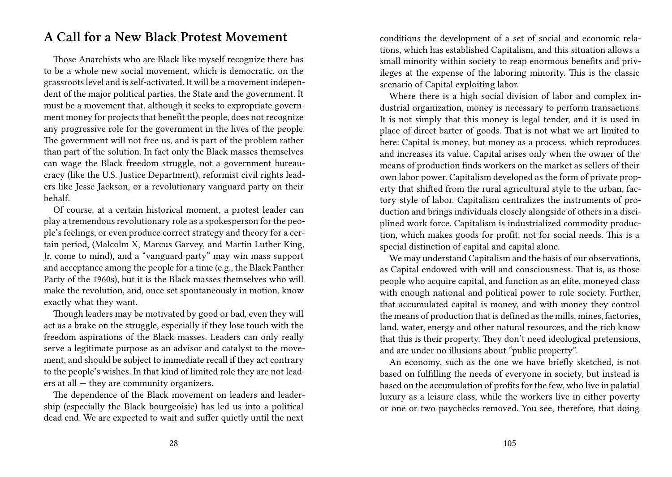## **A Call for a New Black Protest Movement**

Those Anarchists who are Black like myself recognize there has to be a whole new social movement, which is democratic, on the grassroots level and is self-activated. It will be a movement independent of the major political parties, the State and the government. It must be a movement that, although it seeks to expropriate government money for projects that benefit the people, does not recognize any progressive role for the government in the lives of the people. The government will not free us, and is part of the problem rather than part of the solution. In fact only the Black masses themselves can wage the Black freedom struggle, not a government bureaucracy (like the U.S. Justice Department), reformist civil rights leaders like Jesse Jackson, or a revolutionary vanguard party on their behalf.

Of course, at a certain historical moment, a protest leader can play a tremendous revolutionary role as a spokesperson for the people's feelings, or even produce correct strategy and theory for a certain period, (Malcolm X, Marcus Garvey, and Martin Luther King, Jr. come to mind), and a "vanguard party" may win mass support and acceptance among the people for a time (e.g., the Black Panther Party of the 1960s), but it is the Black masses themselves who will make the revolution, and, once set spontaneously in motion, know exactly what they want.

Though leaders may be motivated by good or bad, even they will act as a brake on the struggle, especially if they lose touch with the freedom aspirations of the Black masses. Leaders can only really serve a legitimate purpose as an advisor and catalyst to the movement, and should be subject to immediate recall if they act contrary to the people's wishes. In that kind of limited role they are not leaders at all — they are community organizers.

The dependence of the Black movement on leaders and leadership (especially the Black bourgeoisie) has led us into a political dead end. We are expected to wait and suffer quietly until the next

conditions the development of a set of social and economic relations, which has established Capitalism, and this situation allows a small minority within society to reap enormous benefits and privileges at the expense of the laboring minority. This is the classic scenario of Capital exploiting labor.

Where there is a high social division of labor and complex industrial organization, money is necessary to perform transactions. It is not simply that this money is legal tender, and it is used in place of direct barter of goods. That is not what we art limited to here: Capital is money, but money as a process, which reproduces and increases its value. Capital arises only when the owner of the means of production finds workers on the market as sellers of their own labor power. Capitalism developed as the form of private property that shifted from the rural agricultural style to the urban, factory style of labor. Capitalism centralizes the instruments of production and brings individuals closely alongside of others in a disciplined work force. Capitalism is industrialized commodity production, which makes goods for profit, not for social needs. This is a special distinction of capital and capital alone.

We may understand Capitalism and the basis of our observations, as Capital endowed with will and consciousness. That is, as those people who acquire capital, and function as an elite, moneyed class with enough national and political power to rule society. Further, that accumulated capital is money, and with money they control the means of production that is defined as the mills, mines, factories, land, water, energy and other natural resources, and the rich know that this is their property. They don't need ideological pretensions, and are under no illusions about "public property".

An economy, such as the one we have briefly sketched, is not based on fulfilling the needs of everyone in society, but instead is based on the accumulation of profits for the few, who live in palatial luxury as a leisure class, while the workers live in either poverty or one or two paychecks removed. You see, therefore, that doing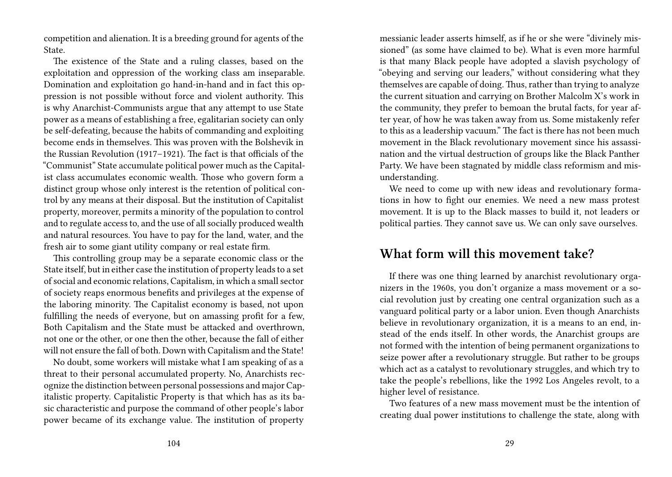competition and alienation. It is a breeding ground for agents of the State.

The existence of the State and a ruling classes, based on the exploitation and oppression of the working class am inseparable. Domination and exploitation go hand-in-hand and in fact this oppression is not possible without force and violent authority. This is why Anarchist-Communists argue that any attempt to use State power as a means of establishing a free, egalitarian society can only be self-defeating, because the habits of commanding and exploiting become ends in themselves. This was proven with the Bolshevik in the Russian Revolution (1917–1921). The fact is that officials of the "Communist" State accumulate political power much as the Capitalist class accumulates economic wealth. Those who govern form a distinct group whose only interest is the retention of political control by any means at their disposal. But the institution of Capitalist property, moreover, permits a minority of the population to control and to regulate access to, and the use of all socially produced wealth and natural resources. You have to pay for the land, water, and the fresh air to some giant utility company or real estate firm.

This controlling group may be a separate economic class or the State itself, but in either case the institution of property leads to a set of social and economic relations, Capitalism, in which a small sector of society reaps enormous benefits and privileges at the expense of the laboring minority. The Capitalist economy is based, not upon fulfilling the needs of everyone, but on amassing profit for a few, Both Capitalism and the State must be attacked and overthrown, not one or the other, or one then the other, because the fall of either will not ensure the fall of both. Down with Capitalism and the State!

No doubt, some workers will mistake what I am speaking of as a threat to their personal accumulated property. No, Anarchists recognize the distinction between personal possessions and major Capitalistic property. Capitalistic Property is that which has as its basic characteristic and purpose the command of other people's labor power became of its exchange value. The institution of property

messianic leader asserts himself, as if he or she were "divinely missioned" (as some have claimed to be). What is even more harmful is that many Black people have adopted a slavish psychology of "obeying and serving our leaders," without considering what they themselves are capable of doing. Thus, rather than trying to analyze the current situation and carrying on Brother Malcolm X's work in the community, they prefer to bemoan the brutal facts, for year after year, of how he was taken away from us. Some mistakenly refer to this as a leadership vacuum." The fact is there has not been much movement in the Black revolutionary movement since his assassination and the virtual destruction of groups like the Black Panther Party. We have been stagnated by middle class reformism and misunderstanding.

We need to come up with new ideas and revolutionary formations in how to fight our enemies. We need a new mass protest movement. It is up to the Black masses to build it, not leaders or political parties. They cannot save us. We can only save ourselves.

#### **What form will this movement take?**

If there was one thing learned by anarchist revolutionary organizers in the 1960s, you don't organize a mass movement or a social revolution just by creating one central organization such as a vanguard political party or a labor union. Even though Anarchists believe in revolutionary organization, it is a means to an end, instead of the ends itself. In other words, the Anarchist groups are not formed with the intention of being permanent organizations to seize power after a revolutionary struggle. But rather to be groups which act as a catalyst to revolutionary struggles, and which try to take the people's rebellions, like the 1992 Los Angeles revolt, to a higher level of resistance.

Two features of a new mass movement must be the intention of creating dual power institutions to challenge the state, along with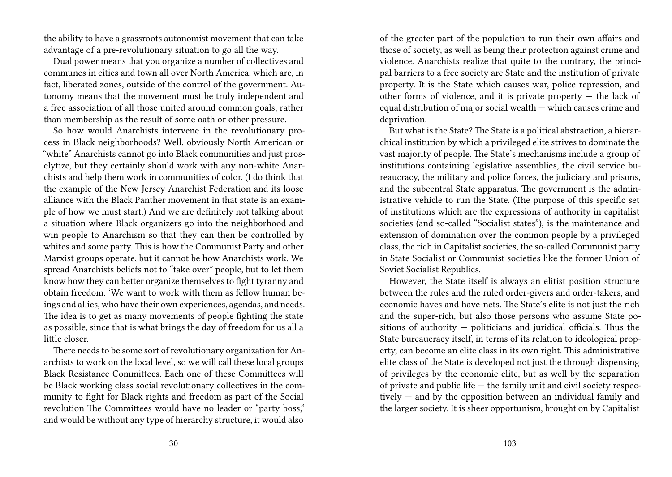the ability to have a grassroots autonomist movement that can take advantage of a pre-revolutionary situation to go all the way.

Dual power means that you organize a number of collectives and communes in cities and town all over North America, which are, in fact, liberated zones, outside of the control of the government. Autonomy means that the movement must be truly independent and a free association of all those united around common goals, rather than membership as the result of some oath or other pressure.

So how would Anarchists intervene in the revolutionary process in Black neighborhoods? Well, obviously North American or "white" Anarchists cannot go into Black communities and just proselytize, but they certainly should work with any non-white Anarchists and help them work in communities of color. (I do think that the example of the New Jersey Anarchist Federation and its loose alliance with the Black Panther movement in that state is an example of how we must start.) And we are definitely not talking about a situation where Black organizers go into the neighborhood and win people to Anarchism so that they can then be controlled by whites and some party. This is how the Communist Party and other Marxist groups operate, but it cannot be how Anarchists work. We spread Anarchists beliefs not to "take over" people, but to let them know how they can better organize themselves to fight tyranny and obtain freedom. 'We want to work with them as fellow human beings and allies, who have their own experiences, agendas, and needs. The idea is to get as many movements of people fighting the state as possible, since that is what brings the day of freedom for us all a little closer.

There needs to be some sort of revolutionary organization for Anarchists to work on the local level, so we will call these local groups Black Resistance Committees. Each one of these Committees will be Black working class social revolutionary collectives in the community to fight for Black rights and freedom as part of the Social revolution The Committees would have no leader or "party boss," and would be without any type of hierarchy structure, it would also

of the greater part of the population to run their own affairs and those of society, as well as being their protection against crime and violence. Anarchists realize that quite to the contrary, the principal barriers to a free society are State and the institution of private property. It is the State which causes war, police repression, and other forms of violence, and it is private property  $-$  the lack of equal distribution of major social wealth — which causes crime and deprivation.

But what is the State? The State is a political abstraction, a hierarchical institution by which a privileged elite strives to dominate the vast majority of people. The State's mechanisms include a group of institutions containing legislative assemblies, the civil service bureaucracy, the military and police forces, the judiciary and prisons, and the subcentral State apparatus. The government is the administrative vehicle to run the State. (The purpose of this specific set of institutions which are the expressions of authority in capitalist societies (and so-called "Socialist states"), is the maintenance and extension of domination over the common people by a privileged class, the rich in Capitalist societies, the so-called Communist party in State Socialist or Communist societies like the former Union of Soviet Socialist Republics.

However, the State itself is always an elitist position structure between the rules and the ruled order-givers and order-takers, and economic haves and have-nets. The State's elite is not just the rich and the super-rich, but also those persons who assume State positions of authority  $-$  politicians and juridical officials. Thus the State bureaucracy itself, in terms of its relation to ideological property, can become an elite class in its own right. This administrative elite class of the State is developed not just the through dispensing of privileges by the economic elite, but as well by the separation of private and public life — the family unit and civil society respectively — and by the opposition between an individual family and the larger society. It is sheer opportunism, brought on by Capitalist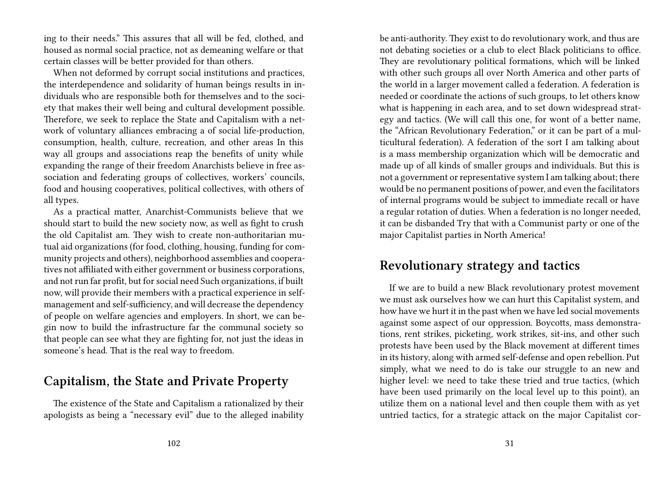ing to their needs." This assures that all will be fed, clothed, and housed as normal social practice, not as demeaning welfare or that certain classes will be better provided for than others.

When not deformed by corrupt social institutions and practices, the interdependence and solidarity of human beings results in individuals who are responsible both for themselves and to the society that makes their well being and cultural development possible. Therefore, we seek to replace the State and Capitalism with a network of voluntary alliances embracing a of social life-production, consumption, health, culture, recreation, and other areas In this way all groups and associations reap the benefits of unity while expanding the range of their freedom Anarchists believe in free association and federating groups of collectives, workers' councils, food and housing cooperatives, political collectives, with others of all types.

As a practical matter, Anarchist-Communists believe that we should start to build the new society now, as well as fight to crush the old Capitalist am. They wish to create non-authoritarian mutual aid organizations (for food, clothing, housing, funding for community projects and others), neighborhood assemblies and cooperatives not affiliated with either government or business corporations, and not run far profit, but for social need Such organizations, if built now, will provide their members with a practical experience in selfmanagement and self-sufficiency, and will decrease the dependency of people on welfare agencies and employers. In short, we can begin now to build the infrastructure far the communal society so that people can see what they are fighting for, not just the ideas in someone's head. That is the real way to freedom.

## **Capitalism, the State and Private Property**

The existence of the State and Capitalism a rationalized by their apologists as being a "necessary evil" due to the alleged inability

be anti-authority. They exist to do revolutionary work, and thus are not debating societies or a club to elect Black politicians to office. They are revolutionary political formations, which will be linked with other such groups all over North America and other parts of the world in a larger movement called a federation. A federation is needed or coordinate the actions of such groups, to let others know what is happening in each area, and to set down widespread strategy and tactics. (We will call this one, for wont of a better name, the "African Revolutionary Federation," or it can be part of a multicultural federation). A federation of the sort I am talking about is a mass membership organization which will be democratic and made up of all kinds of smaller groups and individuals. But this is not a government or representative system I am talking about; there would be no permanent positions of power, and even the facilitators of internal programs would be subject to immediate recall or have a regular rotation of duties. When a federation is no longer needed, it can be disbanded Try that with a Communist party or one of the major Capitalist parties in North America!

## **Revolutionary strategy and tactics**

If we are to build a new Black revolutionary protest movement we must ask ourselves how we can hurt this Capitalist system, and how have we hurt it in the past when we have led social movements against some aspect of our oppression. Boycotts, mass demonstrations, rent strikes, picketing, work strikes, sit-ins, and other such protests have been used by the Black movement at different times in its history, along with armed self-defense and open rebellion. Put simply, what we need to do is take our struggle to an new and higher level: we need to take these tried and true tactics, (which have been used primarily on the local level up to this point), an utilize them on a national level and then couple them with as yet untried tactics, for a strategic attack on the major Capitalist cor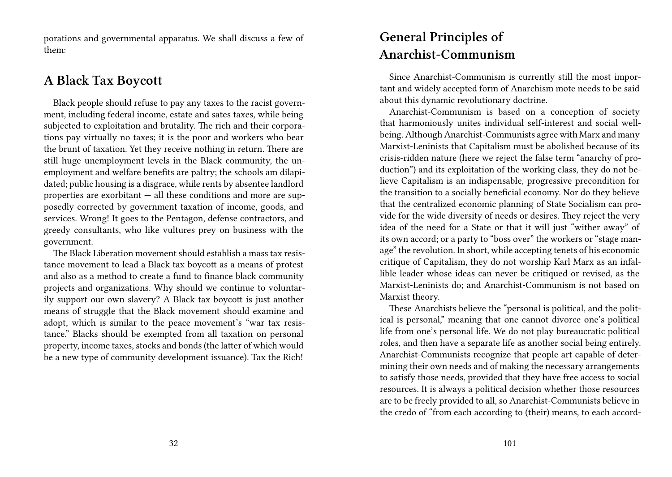porations and governmental apparatus. We shall discuss a few of them:

#### **A Black Tax Boycott**

Black people should refuse to pay any taxes to the racist government, including federal income, estate and sates taxes, while being subjected to exploitation and brutality. The rich and their corporations pay virtually no taxes; it is the poor and workers who bear the brunt of taxation. Yet they receive nothing in return. There are still huge unemployment levels in the Black community, the unemployment and welfare benefits are paltry; the schools am dilapidated; public housing is a disgrace, while rents by absentee landlord properties are exorbitant — all these conditions and more are supposedly corrected by government taxation of income, goods, and services. Wrong! It goes to the Pentagon, defense contractors, and greedy consultants, who like vultures prey on business with the government.

The Black Liberation movement should establish a mass tax resistance movement to lead a Black tax boycott as a means of protest and also as a method to create a fund to finance black community projects and organizations. Why should we continue to voluntarily support our own slavery? A Black tax boycott is just another means of struggle that the Black movement should examine and adopt, which is similar to the peace movement's "war tax resistance." Blacks should be exempted from all taxation on personal property, income taxes, stocks and bonds (the latter of which would be a new type of community development issuance). Tax the Rich!

## **General Principles of Anarchist-Communism**

Since Anarchist-Communism is currently still the most important and widely accepted form of Anarchism mote needs to be said about this dynamic revolutionary doctrine.

Anarchist-Communism is based on a conception of society that harmoniously unites individual self-interest and social wellbeing. Although Anarchist-Communists agree with Marx and many Marxist-Leninists that Capitalism must be abolished because of its crisis-ridden nature (here we reject the false term "anarchy of production") and its exploitation of the working class, they do not believe Capitalism is an indispensable, progressive precondition for the transition to a socially beneficial economy. Nor do they believe that the centralized economic planning of State Socialism can provide for the wide diversity of needs or desires. They reject the very idea of the need for a State or that it will just "wither away" of its own accord; or a party to "boss over" the workers or "stage manage" the revolution. In short, while accepting tenets of his economic critique of Capitalism, they do not worship Karl Marx as an infallible leader whose ideas can never be critiqued or revised, as the Marxist-Leninists do; and Anarchist-Communism is not based on Marxist theory.

These Anarchists believe the "personal is political, and the political is personal," meaning that one cannot divorce one's political life from one's personal life. We do not play bureaucratic political roles, and then have a separate life as another social being entirely. Anarchist-Communists recognize that people art capable of determining their own needs and of making the necessary arrangements to satisfy those needs, provided that they have free access to social resources. It is always a political decision whether those resources are to be freely provided to all, so Anarchist-Communists believe in the credo of "from each according to (their) means, to each accord-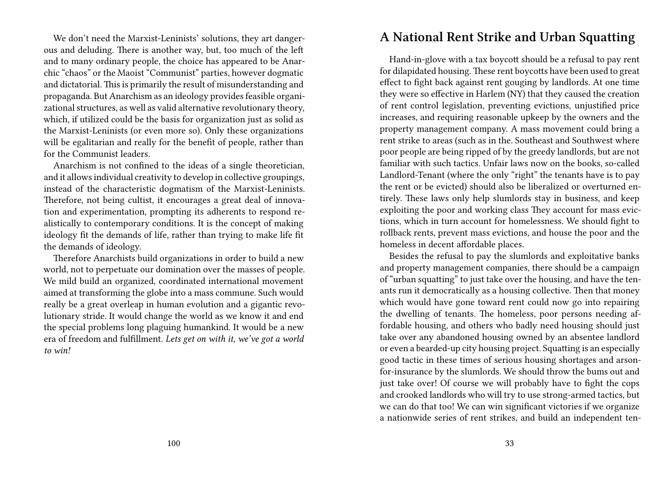We don't need the Marxist-Leninists' solutions, they art dangerous and deluding. There is another way, but, too much of the left and to many ordinary people, the choice has appeared to be Anarchic "chaos" or the Maoist "Communist" parties, however dogmatic and dictatorial. This is primarily the result of misunderstanding and propaganda. But Anarchism as an ideology provides feasible organizational structures, as well as valid alternative revolutionary theory, which, if utilized could be the basis for organization just as solid as the Marxist-Leninists (or even more so). Only these organizations will be egalitarian and really for the benefit of people, rather than for the Communist leaders.

Anarchism is not confined to the ideas of a single theoretician, and it allows individual creativity to develop in collective groupings, instead of the characteristic dogmatism of the Marxist-Leninists. Therefore, not being cultist, it encourages a great deal of innovation and experimentation, prompting its adherents to respond realistically to contemporary conditions. It is the concept of making ideology fit the demands of life, rather than trying to make life fit the demands of ideology.

Therefore Anarchists build organizations in order to build a new world, not to perpetuate our domination over the masses of people. We mild build an organized, coordinated international movement aimed at transforming the globe into a mass commune. Such would really be a great overleap in human evolution and a gigantic revolutionary stride. It would change the world as we know it and end the special problems long plaguing humankind. It would be a new era of freedom and fulfillment. *Lets get on with it, we've got a world to win!*

### **A National Rent Strike and Urban Squatting**

Hand-in-glove with a tax boycott should be a refusal to pay rent for dilapidated housing. These rent boycotts have been used to great effect to fight back against rent gouging by landlords. At one time they were so effective in Harlem (NY) that they caused the creation of rent control legislation, preventing evictions, unjustified price increases, and requiring reasonable upkeep by the owners and the property management company. A mass movement could bring a rent strike to areas (such as in the. Southeast and Southwest where poor people are being ripped of by the greedy landlords, but are not familiar with such tactics. Unfair laws now on the books, so-called Landlord-Tenant (where the only "right" the tenants have is to pay the rent or be evicted) should also be liberalized or overturned entirely. These laws only help slumlords stay in business, and keep exploiting the poor and working class They account for mass evictions, which in turn account for homelessness. We should fight to rollback rents, prevent mass evictions, and house the poor and the homeless in decent affordable places.

Besides the refusal to pay the slumlords and exploitative banks and property management companies, there should be a campaign of "urban squatting" to just take over the housing, and have the tenants run it democratically as a housing collective. Then that money which would have gone toward rent could now go into repairing the dwelling of tenants. The homeless, poor persons needing affordable housing, and others who badly need housing should just take over any abandoned housing owned by an absentee landlord or even a bearded-up city housing project. Squatting is an especially good tactic in these times of serious housing shortages and arsonfor-insurance by the slumlords. We should throw the bums out and just take over! Of course we will probably have to fight the cops and crooked landlords who will try to use strong-armed tactics, but we can do that too! We can win significant victories if we organize a nationwide series of rent strikes, and build an independent ten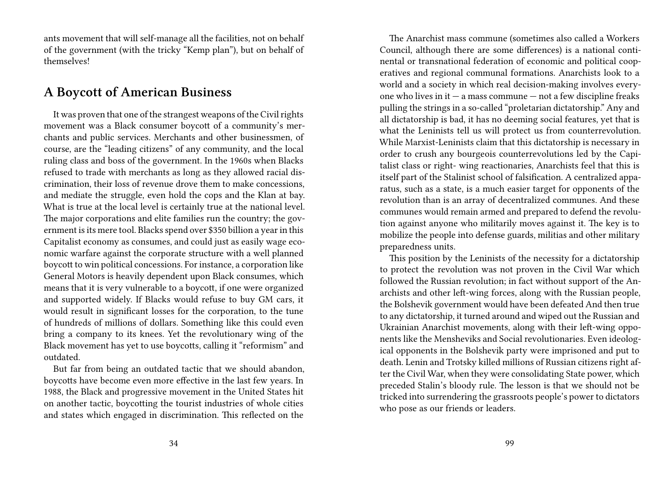ants movement that will self-manage all the facilities, not on behalf of the government (with the tricky "Kemp plan"), but on behalf of themselves!

### **A Boycott of American Business**

It was proven that one of the strangest weapons of the Civil rights movement was a Black consumer boycott of a community's merchants and public services. Merchants and other businessmen, of course, are the "leading citizens" of any community, and the local ruling class and boss of the government. In the 1960s when Blacks refused to trade with merchants as long as they allowed racial discrimination, their loss of revenue drove them to make concessions, and mediate the struggle, even hold the cops and the Klan at bay. What is true at the local level is certainly true at the national level. The major corporations and elite families run the country; the government is its mere tool. Blacks spend over \$350 billion a year in this Capitalist economy as consumes, and could just as easily wage economic warfare against the corporate structure with a well planned boycott to win political concessions. For instance, a corporation like General Motors is heavily dependent upon Black consumes, which means that it is very vulnerable to a boycott, if one were organized and supported widely. If Blacks would refuse to buy GM cars, it would result in significant losses for the corporation, to the tune of hundreds of millions of dollars. Something like this could even bring a company to its knees. Yet the revolutionary wing of the Black movement has yet to use boycotts, calling it "reformism" and outdated.

But far from being an outdated tactic that we should abandon, boycotts have become even more effective in the last few years. In 1988, the Black and progressive movement in the United States hit on another tactic, boycotting the tourist industries of whole cities and states which engaged in discrimination. This reflected on the

The Anarchist mass commune (sometimes also called a Workers Council, although there are some differences) is a national continental or transnational federation of economic and political cooperatives and regional communal formations. Anarchists look to a world and a society in which real decision-making involves everyone who lives in it  $-$  a mass commune  $-$  not a few discipline freaks pulling the strings in a so-called "proletarian dictatorship." Any and all dictatorship is bad, it has no deeming social features, yet that is what the Leninists tell us will protect us from counterrevolution. While Marxist-Leninists claim that this dictatorship is necessary in order to crush any bourgeois counterrevolutions led by the Capitalist class or right- wing reactionaries, Anarchists feel that this is itself part of the Stalinist school of falsification. A centralized apparatus, such as a state, is a much easier target for opponents of the revolution than is an array of decentralized communes. And these communes would remain armed and prepared to defend the revolution against anyone who militarily moves against it. The key is to mobilize the people into defense guards, militias and other military preparedness units.

This position by the Leninists of the necessity for a dictatorship to protect the revolution was not proven in the Civil War which followed the Russian revolution; in fact without support of the Anarchists and other left-wing forces, along with the Russian people, the Bolshevik government would have been defeated And then true to any dictatorship, it turned around and wiped out the Russian and Ukrainian Anarchist movements, along with their left-wing opponents like the Mensheviks and Social revolutionaries. Even ideological opponents in the Bolshevik party were imprisoned and put to death. Lenin and Trotsky killed millions of Russian citizens right after the Civil War, when they were consolidating State power, which preceded Stalin's bloody rule. The lesson is that we should not be tricked into surrendering the grassroots people's power to dictators who pose as our friends or leaders.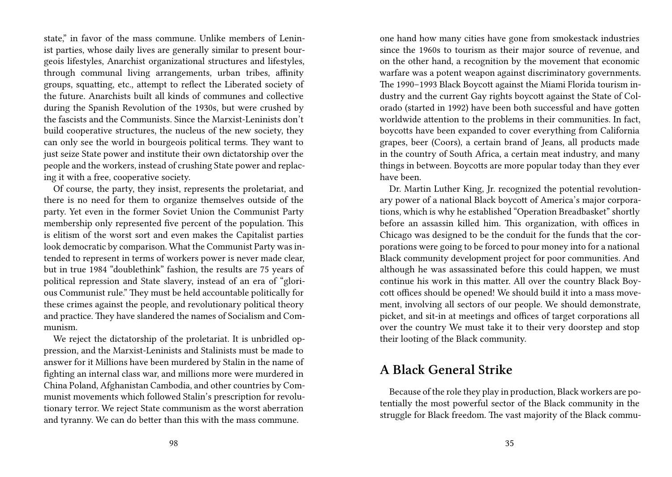state," in favor of the mass commune. Unlike members of Leninist parties, whose daily lives are generally similar to present bourgeois lifestyles, Anarchist organizational structures and lifestyles, through communal living arrangements, urban tribes, affinity groups, squatting, etc., attempt to reflect the Liberated society of the future. Anarchists built all kinds of communes and collective during the Spanish Revolution of the 1930s, but were crushed by the fascists and the Communists. Since the Marxist-Leninists don't build cooperative structures, the nucleus of the new society, they can only see the world in bourgeois political terms. They want to just seize State power and institute their own dictatorship over the people and the workers, instead of crushing State power and replacing it with a free, cooperative society.

Of course, the party, they insist, represents the proletariat, and there is no need for them to organize themselves outside of the party. Yet even in the former Soviet Union the Communist Party membership only represented five percent of the population. This is elitism of the worst sort and even makes the Capitalist parties look democratic by comparison. What the Communist Party was intended to represent in terms of workers power is never made clear, but in true 1984 "doublethink" fashion, the results are 75 years of political repression and State slavery, instead of an era of "glorious Communist rule." They must be held accountable politically for these crimes against the people, and revolutionary political theory and practice. They have slandered the names of Socialism and Communism.

We reject the dictatorship of the proletariat. It is unbridled oppression, and the Marxist-Leninists and Stalinists must be made to answer for it Millions have been murdered by Stalin in the name of fighting an internal class war, and millions more were murdered in China Poland, Afghanistan Cambodia, and other countries by Communist movements which followed Stalin's prescription for revolutionary terror. We reject State communism as the worst aberration and tyranny. We can do better than this with the mass commune.

one hand how many cities have gone from smokestack industries since the 1960s to tourism as their major source of revenue, and on the other hand, a recognition by the movement that economic warfare was a potent weapon against discriminatory governments. The 1990–1993 Black Boycott against the Miami Florida tourism industry and the current Gay rights boycott against the State of Colorado (started in 1992) have been both successful and have gotten worldwide attention to the problems in their communities. In fact, boycotts have been expanded to cover everything from California grapes, beer (Coors), a certain brand of Jeans, all products made in the country of South Africa, a certain meat industry, and many things in between. Boycotts are more popular today than they ever have been.

Dr. Martin Luther King, Jr. recognized the potential revolutionary power of a national Black boycott of America's major corporations, which is why he established "Operation Breadbasket" shortly before an assassin killed him. This organization, with offices in Chicago was designed to be the conduit for the funds that the corporations were going to be forced to pour money into for a national Black community development project for poor communities. And although he was assassinated before this could happen, we must continue his work in this matter. All over the country Black Boycott offices should be opened! We should build it into a mass movement, involving all sectors of our people. We should demonstrate, picket, and sit-in at meetings and offices of target corporations all over the country We must take it to their very doorstep and stop their looting of the Black community.

## **A Black General Strike**

Because of the role they play in production, Black workers are potentially the most powerful sector of the Black community in the struggle for Black freedom. The vast majority of the Black commu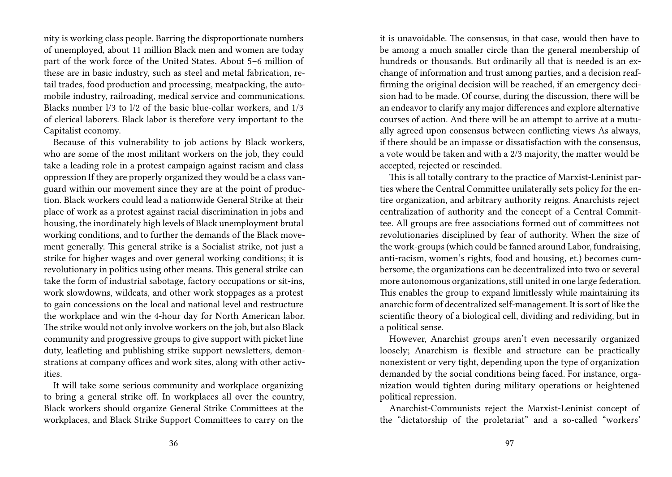nity is working class people. Barring the disproportionate numbers of unemployed, about 11 million Black men and women are today part of the work force of the United States. About 5–6 million of these are in basic industry, such as steel and metal fabrication, retail trades, food production and processing, meatpacking, the automobile industry, railroading, medical service and communications. Blacks number l/3 to l/2 of the basic blue-collar workers, and 1/3 of clerical laborers. Black labor is therefore very important to the Capitalist economy.

Because of this vulnerability to job actions by Black workers, who are some of the most militant workers on the job, they could take a leading role in a protest campaign against racism and class oppression If they are properly organized they would be a class vanguard within our movement since they are at the point of production. Black workers could lead a nationwide General Strike at their place of work as a protest against racial discrimination in jobs and housing, the inordinately high levels of Black unemployment brutal working conditions, and to further the demands of the Black movement generally. This general strike is a Socialist strike, not just a strike for higher wages and over general working conditions; it is revolutionary in politics using other means. This general strike can take the form of industrial sabotage, factory occupations or sit-ins, work slowdowns, wildcats, and other work stoppages as a protest to gain concessions on the local and national level and restructure the workplace and win the 4-hour day for North American labor. The strike would not only involve workers on the job, but also Black community and progressive groups to give support with picket line duty, leafleting and publishing strike support newsletters, demonstrations at company offices and work sites, along with other activities.

It will take some serious community and workplace organizing to bring a general strike off. In workplaces all over the country, Black workers should organize General Strike Committees at the workplaces, and Black Strike Support Committees to carry on the

it is unavoidable. The consensus, in that case, would then have to be among a much smaller circle than the general membership of hundreds or thousands. But ordinarily all that is needed is an exchange of information and trust among parties, and a decision reaffirming the original decision will be reached, if an emergency decision had to be made. Of course, during the discussion, there will be an endeavor to clarify any major differences and explore alternative courses of action. And there will be an attempt to arrive at a mutually agreed upon consensus between conflicting views As always, if there should be an impasse or dissatisfaction with the consensus, a vote would be taken and with a 2/3 majority, the matter would be accepted, rejected or rescinded.

This is all totally contrary to the practice of Marxist-Leninist parties where the Central Committee unilaterally sets policy for the entire organization, and arbitrary authority reigns. Anarchists reject centralization of authority and the concept of a Central Committee. All groups are free associations formed out of committees not revolutionaries disciplined by fear of authority. When the size of the work-groups (which could be fanned around Labor, fundraising, anti-racism, women's rights, food and housing, et.) becomes cumbersome, the organizations can be decentralized into two or several more autonomous organizations, still united in one large federation. This enables the group to expand limitlessly while maintaining its anarchic form of decentralized self-management. It is sort of like the scientific theory of a biological cell, dividing and redividing, but in a political sense.

However, Anarchist groups aren't even necessarily organized loosely; Anarchism is flexible and structure can be practically nonexistent or very tight, depending upon the type of organization demanded by the social conditions being faced. For instance, organization would tighten during military operations or heightened political repression.

Anarchist-Communists reject the Marxist-Leninist concept of the "dictatorship of the proletariat" and a so-called "workers'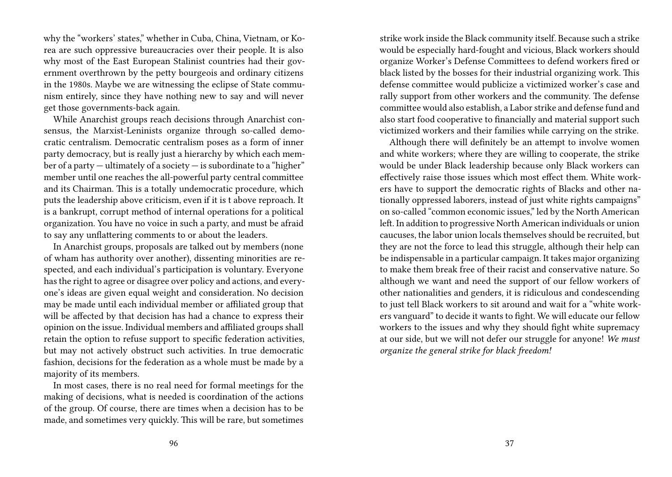why the "workers' states," whether in Cuba, China, Vietnam, or Korea are such oppressive bureaucracies over their people. It is also why most of the East European Stalinist countries had their government overthrown by the petty bourgeois and ordinary citizens in the 1980s. Maybe we are witnessing the eclipse of State communism entirely, since they have nothing new to say and will never get those governments-back again.

While Anarchist groups reach decisions through Anarchist consensus, the Marxist-Leninists organize through so-called democratic centralism. Democratic centralism poses as a form of inner party democracy, but is really just a hierarchy by which each member of a party  $-$  ultimately of a society  $-$  is subordinate to a "higher" member until one reaches the all-powerful party central committee and its Chairman. This is a totally undemocratic procedure, which puts the leadership above criticism, even if it is t above reproach. It is a bankrupt, corrupt method of internal operations for a political organization. You have no voice in such a party, and must be afraid to say any unflattering comments to or about the leaders.

In Anarchist groups, proposals are talked out by members (none of wham has authority over another), dissenting minorities are respected, and each individual's participation is voluntary. Everyone has the right to agree or disagree over policy and actions, and everyone's ideas are given equal weight and consideration. No decision may be made until each individual member or affiliated group that will be affected by that decision has had a chance to express their opinion on the issue. Individual members and affiliated groups shall retain the option to refuse support to specific federation activities, but may not actively obstruct such activities. In true democratic fashion, decisions for the federation as a whole must be made by a majority of its members.

In most cases, there is no real need for formal meetings for the making of decisions, what is needed is coordination of the actions of the group. Of course, there are times when a decision has to be made, and sometimes very quickly. This will be rare, but sometimes

strike work inside the Black community itself. Because such a strike would be especially hard-fought and vicious, Black workers should organize Worker's Defense Committees to defend workers fired or black listed by the bosses for their industrial organizing work. This defense committee would publicize a victimized worker's case and rally support from other workers and the community. The defense committee would also establish, a Labor strike and defense fund and also start food cooperative to financially and material support such victimized workers and their families while carrying on the strike.

Although there will definitely be an attempt to involve women and white workers; where they are willing to cooperate, the strike would be under Black leadership because only Black workers can effectively raise those issues which most effect them. White workers have to support the democratic rights of Blacks and other nationally oppressed laborers, instead of just white rights campaigns" on so-called "common economic issues," led by the North American left. In addition to progressive North American individuals or union caucuses, the labor union locals themselves should be recruited, but they are not the force to lead this struggle, although their help can be indispensable in a particular campaign. It takes major organizing to make them break free of their racist and conservative nature. So although we want and need the support of our fellow workers of other nationalities and genders, it is ridiculous and condescending to just tell Black workers to sit around and wait for a "white workers vanguard" to decide it wants to fight. We will educate our fellow workers to the issues and why they should fight white supremacy at our side, but we will not defer our struggle for anyone! *We must organize the general strike for black freedom!*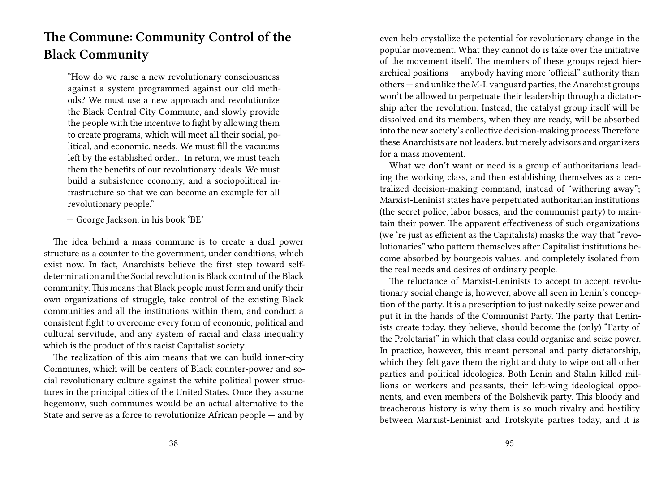# **The Commune: Community Control of the Black Community**

"How do we raise a new revolutionary consciousness against a system programmed against our old methods? We must use a new approach and revolutionize the Black Central City Commune, and slowly provide the people with the incentive to fight by allowing them to create programs, which will meet all their social, political, and economic, needs. We must fill the vacuums left by the established order… In return, we must teach them the benefits of our revolutionary ideals. We must build a subsistence economy, and a sociopolitical infrastructure so that we can become an example for all revolutionary people."

— George Jackson, in his book 'BE'

The idea behind a mass commune is to create a dual power structure as a counter to the government, under conditions, which exist now. In fact, Anarchists believe the first step toward selfdetermination and the Social revolution is Black control of the Black community.This means that Black people must form and unify their own organizations of struggle, take control of the existing Black communities and all the institutions within them, and conduct a consistent fight to overcome every form of economic, political and cultural servitude, and any system of racial and class inequality which is the product of this racist Capitalist society.

The realization of this aim means that we can build inner-city Communes, which will be centers of Black counter-power and social revolutionary culture against the white political power structures in the principal cities of the United States. Once they assume hegemony, such communes would be an actual alternative to the State and serve as a force to revolutionize African people — and by

even help crystallize the potential for revolutionary change in the popular movement. What they cannot do is take over the initiative of the movement itself. The members of these groups reject hierarchical positions — anybody having more 'official" authority than others — and unlike the M-L vanguard parties, the Anarchist groups won't be allowed to perpetuate their leadership through a dictatorship after the revolution. Instead, the catalyst group itself will be dissolved and its members, when they are ready, will be absorbed into the new society's collective decision-making process Therefore these Anarchists are not leaders, but merely advisors and organizers for a mass movement.

What we don't want or need is a group of authoritarians leading the working class, and then establishing themselves as a centralized decision-making command, instead of "withering away"; Marxist-Leninist states have perpetuated authoritarian institutions (the secret police, labor bosses, and the communist party) to maintain their power. The apparent effectiveness of such organizations (we 're just as efficient as the Capitalists) masks the way that "revolutionaries" who pattern themselves after Capitalist institutions become absorbed by bourgeois values, and completely isolated from the real needs and desires of ordinary people.

The reluctance of Marxist-Leninists to accept to accept revolutionary social change is, however, above all seen in Lenin's conception of the party. It is a prescription to just nakedly seize power and put it in the hands of the Communist Party. The party that Leninists create today, they believe, should become the (only) "Party of the Proletariat" in which that class could organize and seize power. In practice, however, this meant personal and party dictatorship, which they felt gave them the right and duty to wipe out all other parties and political ideologies. Both Lenin and Stalin killed millions or workers and peasants, their left-wing ideological opponents, and even members of the Bolshevik party. This bloody and treacherous history is why them is so much rivalry and hostility between Marxist-Leninist and Trotskyite parties today, and it is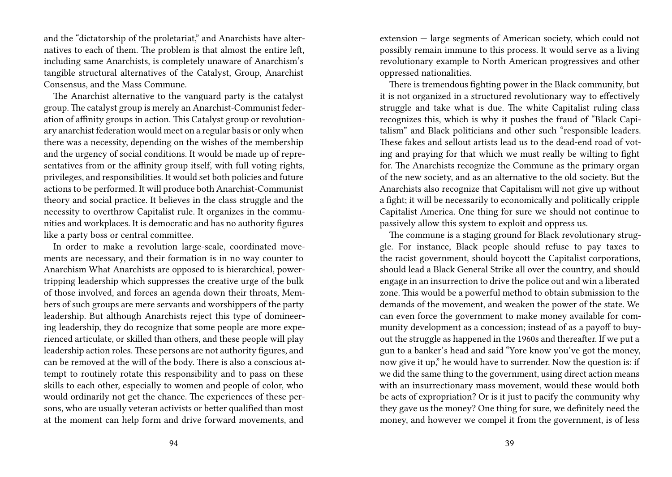and the "dictatorship of the proletariat," and Anarchists have alternatives to each of them. The problem is that almost the entire left, including same Anarchists, is completely unaware of Anarchism's tangible structural alternatives of the Catalyst, Group, Anarchist Consensus, and the Mass Commune.

The Anarchist alternative to the vanguard party is the catalyst group. The catalyst group is merely an Anarchist-Communist federation of affinity groups in action. This Catalyst group or revolutionary anarchist federation would meet on a regular basis or only when there was a necessity, depending on the wishes of the membership and the urgency of social conditions. It would be made up of representatives from or the affinity group itself, with full voting rights, privileges, and responsibilities. It would set both policies and future actions to be performed. It will produce both Anarchist-Communist theory and social practice. It believes in the class struggle and the necessity to overthrow Capitalist rule. It organizes in the communities and workplaces. It is democratic and has no authority figures like a party boss or central committee.

In order to make a revolution large-scale, coordinated movements are necessary, and their formation is in no way counter to Anarchism What Anarchists are opposed to is hierarchical, powertripping leadership which suppresses the creative urge of the bulk of those involved, and forces an agenda down their throats, Members of such groups are mere servants and worshippers of the party leadership. But although Anarchists reject this type of domineering leadership, they do recognize that some people are more experienced articulate, or skilled than others, and these people will play leadership action roles. These persons are not authority figures, and can be removed at the will of the body. There is also a conscious attempt to routinely rotate this responsibility and to pass on these skills to each other, especially to women and people of color, who would ordinarily not get the chance. The experiences of these persons, who are usually veteran activists or better qualified than most at the moment can help form and drive forward movements, and

extension — large segments of American society, which could not possibly remain immune to this process. It would serve as a living revolutionary example to North American progressives and other oppressed nationalities.

There is tremendous fighting power in the Black community, but it is not organized in a structured revolutionary way to effectively struggle and take what is due. The white Capitalist ruling class recognizes this, which is why it pushes the fraud of "Black Capitalism" and Black politicians and other such "responsible leaders. These fakes and sellout artists lead us to the dead-end road of voting and praying for that which we must really be wilting to fight for. The Anarchists recognize the Commune as the primary organ of the new society, and as an alternative to the old society. But the Anarchists also recognize that Capitalism will not give up without a fight; it will be necessarily to economically and politically cripple Capitalist America. One thing for sure we should not continue to passively allow this system to exploit and oppress us.

The commune is a staging ground for Black revolutionary struggle. For instance, Black people should refuse to pay taxes to the racist government, should boycott the Capitalist corporations, should lead a Black General Strike all over the country, and should engage in an insurrection to drive the police out and win a liberated zone. This would be a powerful method to obtain submission to the demands of the movement, and weaken the power of the state. We can even force the government to make money available for community development as a concession; instead of as a payoff to buyout the struggle as happened in the 1960s and thereafter. If we put a gun to a banker's head and said "Yore know you've got the money, now give it up," he would have to surrender. Now the question is: if we did the same thing to the government, using direct action means with an insurrectionary mass movement, would these would both be acts of expropriation? Or is it just to pacify the community why they gave us the money? One thing for sure, we definitely need the money, and however we compel it from the government, is of less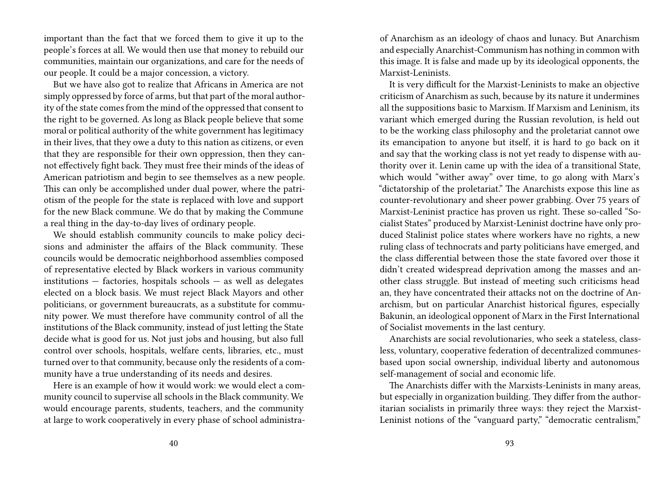important than the fact that we forced them to give it up to the people's forces at all. We would then use that money to rebuild our communities, maintain our organizations, and care for the needs of our people. It could be a major concession, a victory.

But we have also got to realize that Africans in America are not simply oppressed by force of arms, but that part of the moral authority of the state comes from the mind of the oppressed that consent to the right to be governed. As long as Black people believe that some moral or political authority of the white government has legitimacy in their lives, that they owe a duty to this nation as citizens, or even that they are responsible for their own oppression, then they cannot effectively fight back. They must free their minds of the ideas of American patriotism and begin to see themselves as a new people. This can only be accomplished under dual power, where the patriotism of the people for the state is replaced with love and support for the new Black commune. We do that by making the Commune a real thing in the day-to-day lives of ordinary people.

We should establish community councils to make policy decisions and administer the affairs of the Black community. These councils would be democratic neighborhood assemblies composed of representative elected by Black workers in various community institutions  $-$  factories, hospitals schools  $-$  as well as delegates elected on a block basis. We must reject Black Mayors and other politicians, or government bureaucrats, as a substitute for community power. We must therefore have community control of all the institutions of the Black community, instead of just letting the State decide what is good for us. Not just jobs and housing, but also full control over schools, hospitals, welfare cents, libraries, etc., must turned over to that community, because only the residents of a community have a true understanding of its needs and desires.

Here is an example of how it would work: we would elect a community council to supervise all schools in the Black community. We would encourage parents, students, teachers, and the community at large to work cooperatively in every phase of school administraof Anarchism as an ideology of chaos and lunacy. But Anarchism and especially Anarchist-Communism has nothing in common with this image. It is false and made up by its ideological opponents, the Marxist-Leninists.

It is very difficult for the Marxist-Leninists to make an objective criticism of Anarchism as such, because by its nature it undermines all the suppositions basic to Marxism. If Marxism and Leninism, its variant which emerged during the Russian revolution, is held out to be the working class philosophy and the proletariat cannot owe its emancipation to anyone but itself, it is hard to go back on it and say that the working class is not yet ready to dispense with authority over it. Lenin came up with the idea of a transitional State, which would "wither away" over time, to go along with Marx's "dictatorship of the proletariat." The Anarchists expose this line as counter-revolutionary and sheer power grabbing. Over 75 years of Marxist-Leninist practice has proven us right. These so-called "Socialist States" produced by Marxist-Leninist doctrine have only produced Stalinist police states where workers have no rights, a new ruling class of technocrats and party politicians have emerged, and the class differential between those the state favored over those it didn't created widespread deprivation among the masses and another class struggle. But instead of meeting such criticisms head an, they have concentrated their attacks not on the doctrine of Anarchism, but on particular Anarchist historical figures, especially Bakunin, an ideological opponent of Marx in the First International of Socialist movements in the last century.

Anarchists are social revolutionaries, who seek a stateless, classless, voluntary, cooperative federation of decentralized communesbased upon social ownership, individual liberty and autonomous self-management of social and economic life.

The Anarchists differ with the Marxists-Leninists in many areas, but especially in organization building. They differ from the authoritarian socialists in primarily three ways: they reject the Marxist-Leninist notions of the "vanguard party," "democratic centralism,"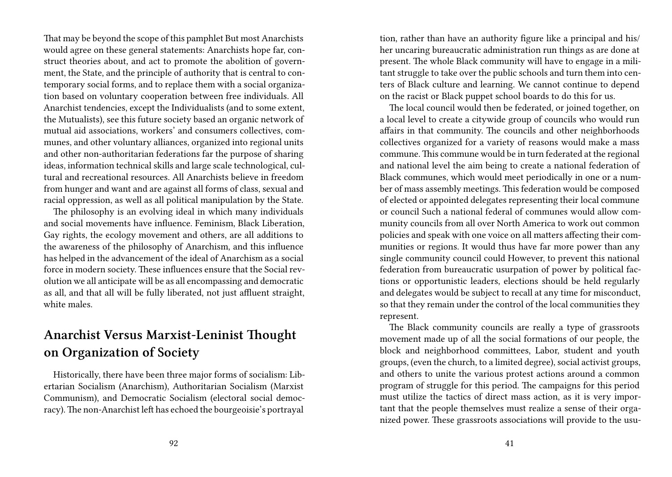That may be beyond the scope of this pamphlet But most Anarchists would agree on these general statements: Anarchists hope far, construct theories about, and act to promote the abolition of government, the State, and the principle of authority that is central to contemporary social forms, and to replace them with a social organization based on voluntary cooperation between free individuals. All Anarchist tendencies, except the Individualists (and to some extent, the Mutualists), see this future society based an organic network of mutual aid associations, workers' and consumers collectives, communes, and other voluntary alliances, organized into regional units and other non-authoritarian federations far the purpose of sharing ideas, information technical skills and large scale technological, cultural and recreational resources. All Anarchists believe in freedom from hunger and want and are against all forms of class, sexual and racial oppression, as well as all political manipulation by the State.

The philosophy is an evolving ideal in which many individuals and social movements have influence. Feminism, Black Liberation, Gay rights, the ecology movement and others, are all additions to the awareness of the philosophy of Anarchism, and this influence has helped in the advancement of the ideal of Anarchism as a social force in modern society. These influences ensure that the Social revolution we all anticipate will be as all encompassing and democratic as all, and that all will be fully liberated, not just affluent straight, white males.

# **Anarchist Versus Marxist-Leninist Thought on Organization of Society**

Historically, there have been three major forms of socialism: Libertarian Socialism (Anarchism), Authoritarian Socialism (Marxist Communism), and Democratic Socialism (electoral social democracy). The non-Anarchist left has echoed the bourgeoisie's portrayal

tion, rather than have an authority figure like a principal and his/ her uncaring bureaucratic administration run things as are done at present. The whole Black community will have to engage in a militant struggle to take over the public schools and turn them into centers of Black culture and learning. We cannot continue to depend on the racist or Black puppet school boards to do this for us.

The local council would then be federated, or joined together, on a local level to create a citywide group of councils who would run affairs in that community. The councils and other neighborhoods collectives organized for a variety of reasons would make a mass commune. This commune would be in turn federated at the regional and national level the aim being to create a national federation of Black communes, which would meet periodically in one or a number of mass assembly meetings. This federation would be composed of elected or appointed delegates representing their local commune or council Such a national federal of communes would allow community councils from all over North America to work out common policies and speak with one voice on all matters affecting their communities or regions. It would thus have far more power than any single community council could However, to prevent this national federation from bureaucratic usurpation of power by political factions or opportunistic leaders, elections should be held regularly and delegates would be subject to recall at any time for misconduct, so that they remain under the control of the local communities they represent.

The Black community councils are really a type of grassroots movement made up of all the social formations of our people, the block and neighborhood committees, Labor, student and youth groups, (even the church, to a limited degree), social activist groups, and others to unite the various protest actions around a common program of struggle for this period. The campaigns for this period must utilize the tactics of direct mass action, as it is very important that the people themselves must realize a sense of their organized power. These grassroots associations will provide to the usu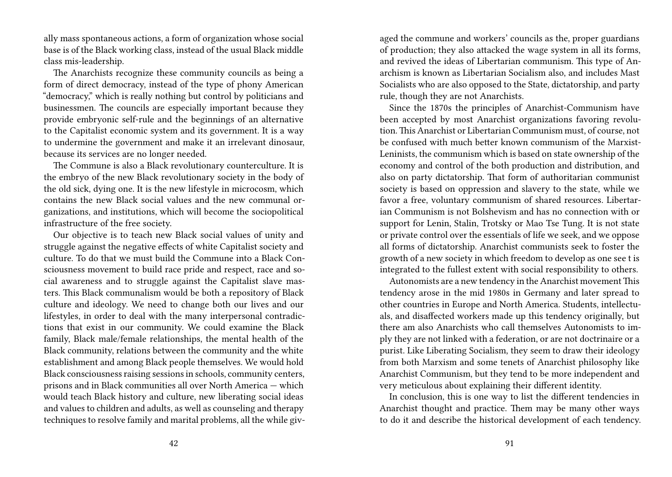ally mass spontaneous actions, a form of organization whose social base is of the Black working class, instead of the usual Black middle class mis-leadership.

The Anarchists recognize these community councils as being a form of direct democracy, instead of the type of phony American "democracy," which is really nothing but control by politicians and businessmen. The councils are especially important because they provide embryonic self-rule and the beginnings of an alternative to the Capitalist economic system and its government. It is a way to undermine the government and make it an irrelevant dinosaur, because its services are no longer needed.

The Commune is also a Black revolutionary counterculture. It is the embryo of the new Black revolutionary society in the body of the old sick, dying one. It is the new lifestyle in microcosm, which contains the new Black social values and the new communal organizations, and institutions, which will become the sociopolitical infrastructure of the free society.

Our objective is to teach new Black social values of unity and struggle against the negative effects of white Capitalist society and culture. To do that we must build the Commune into a Black Consciousness movement to build race pride and respect, race and social awareness and to struggle against the Capitalist slave masters. This Black communalism would be both a repository of Black culture and ideology. We need to change both our lives and our lifestyles, in order to deal with the many interpersonal contradictions that exist in our community. We could examine the Black family, Black male/female relationships, the mental health of the Black community, relations between the community and the white establishment and among Black people themselves. We would hold Black consciousness raising sessions in schools, community centers, prisons and in Black communities all over North America — which would teach Black history and culture, new liberating social ideas and values to children and adults, as well as counseling and therapy techniques to resolve family and marital problems, all the while givaged the commune and workers' councils as the, proper guardians of production; they also attacked the wage system in all its forms, and revived the ideas of Libertarian communism. This type of Anarchism is known as Libertarian Socialism also, and includes Mast Socialists who are also opposed to the State, dictatorship, and party rule, though they are not Anarchists.

Since the 1870s the principles of Anarchist-Communism have been accepted by most Anarchist organizations favoring revolution. This Anarchist or Libertarian Communism must, of course, not be confused with much better known communism of the Marxist-Leninists, the communism which is based on state ownership of the economy and control of the both production and distribution, and also on party dictatorship. That form of authoritarian communist society is based on oppression and slavery to the state, while we favor a free, voluntary communism of shared resources. Libertarian Communism is not Bolshevism and has no connection with or support for Lenin, Stalin, Trotsky or Mao Tse Tung. It is not state or private control over the essentials of life we seek, and we oppose all forms of dictatorship. Anarchist communists seek to foster the growth of a new society in which freedom to develop as one see t is integrated to the fullest extent with social responsibility to others.

Autonomists are a new tendency in the Anarchist movement This tendency arose in the mid 1980s in Germany and later spread to other countries in Europe and North America. Students, intellectuals, and disaffected workers made up this tendency originally, but there am also Anarchists who call themselves Autonomists to imply they are not linked with a federation, or are not doctrinaire or a purist. Like Liberating Socialism, they seem to draw their ideology from both Marxism and some tenets of Anarchist philosophy like Anarchist Communism, but they tend to be more independent and very meticulous about explaining their different identity.

In conclusion, this is one way to list the different tendencies in Anarchist thought and practice. Them may be many other ways to do it and describe the historical development of each tendency.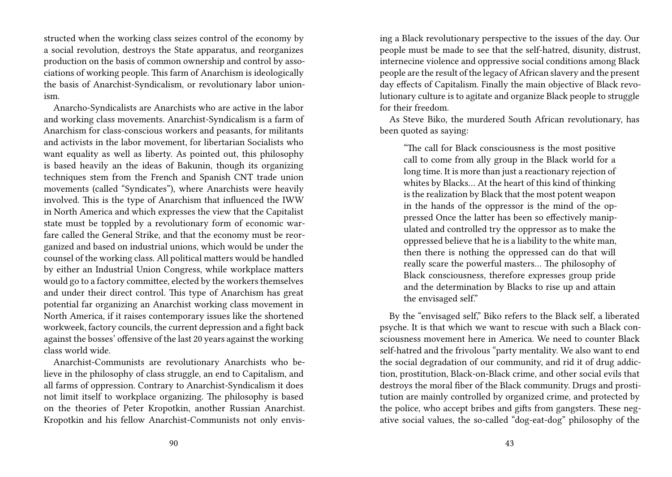structed when the working class seizes control of the economy by a social revolution, destroys the State apparatus, and reorganizes production on the basis of common ownership and control by associations of working people. This farm of Anarchism is ideologically the basis of Anarchist-Syndicalism, or revolutionary labor unionism.

Anarcho-Syndicalists are Anarchists who are active in the labor and working class movements. Anarchist-Syndicalism is a farm of Anarchism for class-conscious workers and peasants, for militants and activists in the labor movement, for libertarian Socialists who want equality as well as liberty. As pointed out, this philosophy is based heavily an the ideas of Bakunin, though its organizing techniques stem from the French and Spanish CNT trade union movements (called "Syndicates"), where Anarchists were heavily involved. This is the type of Anarchism that influenced the IWW in North America and which expresses the view that the Capitalist state must be toppled by a revolutionary form of economic warfare called the General Strike, and that the economy must be reorganized and based on industrial unions, which would be under the counsel of the working class. All political matters would be handled by either an Industrial Union Congress, while workplace matters would go to a factory committee, elected by the workers themselves and under their direct control. This type of Anarchism has great potential far organizing an Anarchist working class movement in North America, if it raises contemporary issues like the shortened workweek, factory councils, the current depression and a fight back against the bosses' offensive of the last 20 years against the working class world wide.

Anarchist-Communists are revolutionary Anarchists who believe in the philosophy of class struggle, an end to Capitalism, and all farms of oppression. Contrary to Anarchist-Syndicalism it does not limit itself to workplace organizing. The philosophy is based on the theories of Peter Kropotkin, another Russian Anarchist. Kropotkin and his fellow Anarchist-Communists not only envising a Black revolutionary perspective to the issues of the day. Our people must be made to see that the self-hatred, disunity, distrust, internecine violence and oppressive social conditions among Black people are the result of the legacy of African slavery and the present day effects of Capitalism. Finally the main objective of Black revolutionary culture is to agitate and organize Black people to struggle for their freedom.

As Steve Biko, the murdered South African revolutionary, has been quoted as saying:

"The call for Black consciousness is the most positive call to come from ally group in the Black world for a long time. It is more than just a reactionary rejection of whites by Blacks… At the heart of this kind of thinking is the realization by Black that the most potent weapon in the hands of the oppressor is the mind of the oppressed Once the latter has been so effectively manipulated and controlled try the oppressor as to make the oppressed believe that he is a liability to the white man, then there is nothing the oppressed can do that will really scare the powerful masters… The philosophy of Black consciousness, therefore expresses group pride and the determination by Blacks to rise up and attain the envisaged self."

By the "envisaged self," Biko refers to the Black self, a liberated psyche. It is that which we want to rescue with such a Black consciousness movement here in America. We need to counter Black self-hatred and the frivolous "party mentality. We also want to end the social degradation of our community, and rid it of drug addiction, prostitution, Black-on-Black crime, and other social evils that destroys the moral fiber of the Black community. Drugs and prostitution are mainly controlled by organized crime, and protected by the police, who accept bribes and gifts from gangsters. These negative social values, the so-called "dog-eat-dog" philosophy of the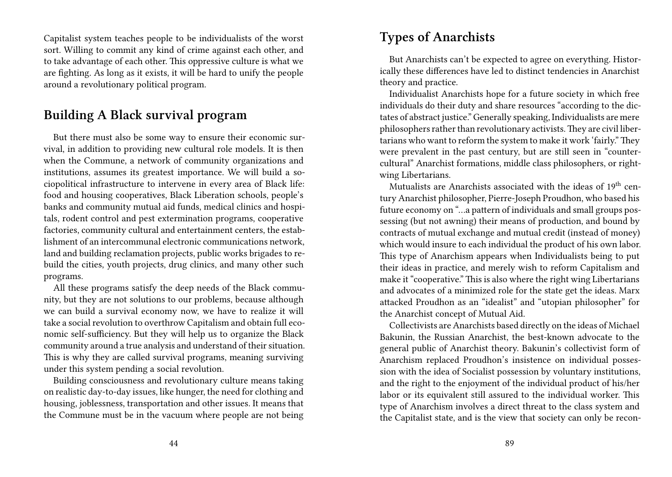Capitalist system teaches people to be individualists of the worst sort. Willing to commit any kind of crime against each other, and to take advantage of each other. This oppressive culture is what we are fighting. As long as it exists, it will be hard to unify the people around a revolutionary political program.

## **Building A Black survival program**

But there must also be some way to ensure their economic survival, in addition to providing new cultural role models. It is then when the Commune, a network of community organizations and institutions, assumes its greatest importance. We will build a sociopolitical infrastructure to intervene in every area of Black life: food and housing cooperatives, Black Liberation schools, people's banks and community mutual aid funds, medical clinics and hospitals, rodent control and pest extermination programs, cooperative factories, community cultural and entertainment centers, the establishment of an intercommunal electronic communications network, land and building reclamation projects, public works brigades to rebuild the cities, youth projects, drug clinics, and many other such programs.

All these programs satisfy the deep needs of the Black community, but they are not solutions to our problems, because although we can build a survival economy now, we have to realize it will take a social revolution to overthrow Capitalism and obtain full economic self-sufficiency. But they will help us to organize the Black community around a true analysis and understand of their situation. This is why they are called survival programs, meaning surviving under this system pending a social revolution.

Building consciousness and revolutionary culture means taking on realistic day-to-day issues, like hunger, the need for clothing and housing, joblessness, transportation and other issues. It means that the Commune must be in the vacuum where people are not being

## **Types of Anarchists**

But Anarchists can't be expected to agree on everything. Historically these differences have led to distinct tendencies in Anarchist theory and practice.

Individualist Anarchists hope for a future society in which free individuals do their duty and share resources "according to the dictates of abstract justice." Generally speaking, Individualists are mere philosophers rather than revolutionary activists.They are civil libertarians who want to reform the system to make it work 'fairly." They were prevalent in the past century, but are still seen in "countercultural" Anarchist formations, middle class philosophers, or rightwing Libertarians.

Mutualists are Anarchists associated with the ideas of 19<sup>th</sup> century Anarchist philosopher, Pierre-Joseph Proudhon, who based his future economy on "…a pattern of individuals and small groups possessing (but not awning) their means of production, and bound by contracts of mutual exchange and mutual credit (instead of money) which would insure to each individual the product of his own labor. This type of Anarchism appears when Individualists being to put their ideas in practice, and merely wish to reform Capitalism and make it "cooperative." This is also where the right wing Libertarians and advocates of a minimized role for the state get the ideas. Marx attacked Proudhon as an "idealist" and "utopian philosopher" for the Anarchist concept of Mutual Aid.

Collectivists are Anarchists based directly on the ideas of Michael Bakunin, the Russian Anarchist, the best-known advocate to the general public of Anarchist theory. Bakunin's collectivist form of Anarchism replaced Proudhon's insistence on individual possession with the idea of Socialist possession by voluntary institutions, and the right to the enjoyment of the individual product of his/her labor or its equivalent still assured to the individual worker. This type of Anarchism involves a direct threat to the class system and the Capitalist state, and is the view that society can only be recon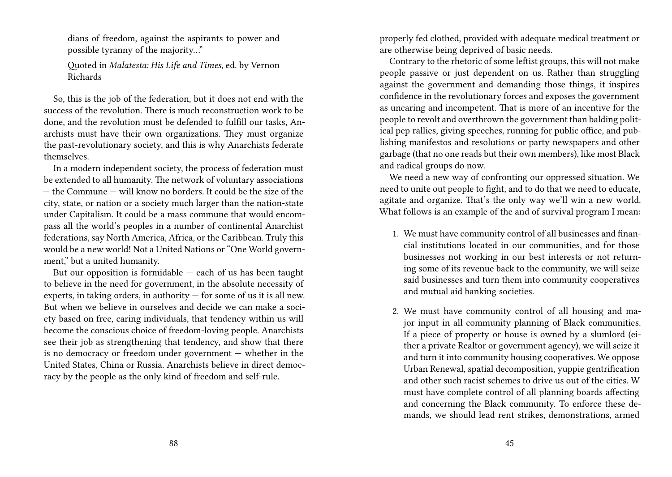dians of freedom, against the aspirants to power and possible tyranny of the majority…"

Quoted in *Malatesta: His Life and Times*, ed. by Vernon Richards

So, this is the job of the federation, but it does not end with the success of the revolution. There is much reconstruction work to be done, and the revolution must be defended to fulfill our tasks, Anarchists must have their own organizations. They must organize the past-revolutionary society, and this is why Anarchists federate themselves.

In a modern independent society, the process of federation must be extended to all humanity. The network of voluntary associations — the Commune — will know no borders. It could be the size of the city, state, or nation or a society much larger than the nation-state under Capitalism. It could be a mass commune that would encompass all the world's peoples in a number of continental Anarchist federations, say North America, Africa, or the Caribbean. Truly this would be a new world! Not a United Nations or "One World government," but a united humanity.

But our opposition is formidable  $-$  each of us has been taught to believe in the need for government, in the absolute necessity of experts, in taking orders, in authority  $-$  for some of us it is all new. But when we believe in ourselves and decide we can make a society based on free, caring individuals, that tendency within us will become the conscious choice of freedom-loving people. Anarchists see their job as strengthening that tendency, and show that there is no democracy or freedom under government — whether in the United States, China or Russia. Anarchists believe in direct democracy by the people as the only kind of freedom and self-rule.

properly fed clothed, provided with adequate medical treatment or are otherwise being deprived of basic needs.

Contrary to the rhetoric of some leftist groups, this will not make people passive or just dependent on us. Rather than struggling against the government and demanding those things, it inspires confidence in the revolutionary forces and exposes the government as uncaring and incompetent. That is more of an incentive for the people to revolt and overthrown the government than balding political pep rallies, giving speeches, running for public office, and publishing manifestos and resolutions or party newspapers and other garbage (that no one reads but their own members), like most Black and radical groups do now.

We need a new way of confronting our oppressed situation. We need to unite out people to fight, and to do that we need to educate, agitate and organize. That's the only way we'll win a new world. What follows is an example of the and of survival program I mean:

- 1. We must have community control of all businesses and financial institutions located in our communities, and for those businesses not working in our best interests or not returning some of its revenue back to the community, we will seize said businesses and turn them into community cooperatives and mutual aid banking societies.
- 2. We must have community control of all housing and major input in all community planning of Black communities. If a piece of property or house is owned by a slumlord (either a private Realtor or government agency), we will seize it and turn it into community housing cooperatives. We oppose Urban Renewal, spatial decomposition, yuppie gentrification and other such racist schemes to drive us out of the cities. W must have complete control of all planning boards affecting and concerning the Black community. To enforce these demands, we should lead rent strikes, demonstrations, armed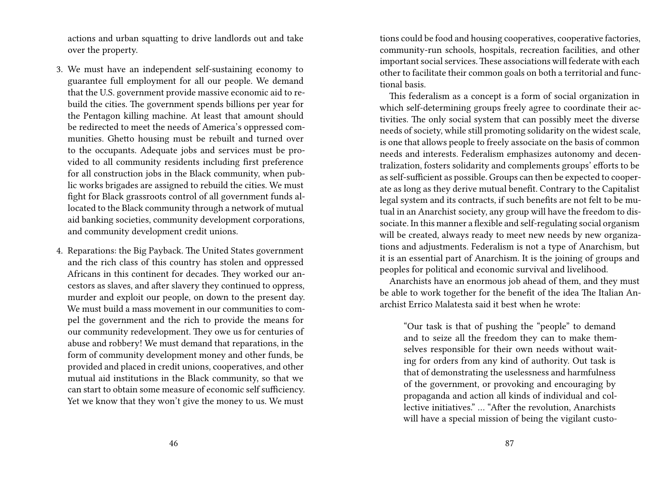actions and urban squatting to drive landlords out and take over the property.

- 3. We must have an independent self-sustaining economy to guarantee full employment for all our people. We demand that the U.S. government provide massive economic aid to rebuild the cities. The government spends billions per year for the Pentagon killing machine. At least that amount should be redirected to meet the needs of America's oppressed communities. Ghetto housing must be rebuilt and turned over to the occupants. Adequate jobs and services must be provided to all community residents including first preference for all construction jobs in the Black community, when public works brigades are assigned to rebuild the cities. We must fight for Black grassroots control of all government funds allocated to the Black community through a network of mutual aid banking societies, community development corporations, and community development credit unions.
- 4. Reparations: the Big Payback. The United States government and the rich class of this country has stolen and oppressed Africans in this continent for decades. They worked our ancestors as slaves, and after slavery they continued to oppress, murder and exploit our people, on down to the present day. We must build a mass movement in our communities to compel the government and the rich to provide the means for our community redevelopment. They owe us for centuries of abuse and robbery! We must demand that reparations, in the form of community development money and other funds, be provided and placed in credit unions, cooperatives, and other mutual aid institutions in the Black community, so that we can start to obtain some measure of economic self sufficiency. Yet we know that they won't give the money to us. We must

tions could be food and housing cooperatives, cooperative factories, community-run schools, hospitals, recreation facilities, and other important social services.These associations will federate with each other to facilitate their common goals on both a territorial and functional basis.

This federalism as a concept is a form of social organization in which self-determining groups freely agree to coordinate their activities. The only social system that can possibly meet the diverse needs of society, while still promoting solidarity on the widest scale, is one that allows people to freely associate on the basis of common needs and interests. Federalism emphasizes autonomy and decentralization, fosters solidarity and complements groups' efforts to be as self-sufficient as possible. Groups can then be expected to cooperate as long as they derive mutual benefit. Contrary to the Capitalist legal system and its contracts, if such benefits are not felt to be mutual in an Anarchist society, any group will have the freedom to dissociate. In this manner a flexible and self-regulating social organism will be created, always ready to meet new needs by new organizations and adjustments. Federalism is not a type of Anarchism, but it is an essential part of Anarchism. It is the joining of groups and peoples for political and economic survival and livelihood.

Anarchists have an enormous job ahead of them, and they must be able to work together for the benefit of the idea The Italian Anarchist Errico Malatesta said it best when he wrote:

"Our task is that of pushing the "people" to demand and to seize all the freedom they can to make themselves responsible for their own needs without waiting for orders from any kind of authority. Out task is that of demonstrating the uselessness and harmfulness of the government, or provoking and encouraging by propaganda and action all kinds of individual and collective initiatives." … "After the revolution, Anarchists will have a special mission of being the vigilant custo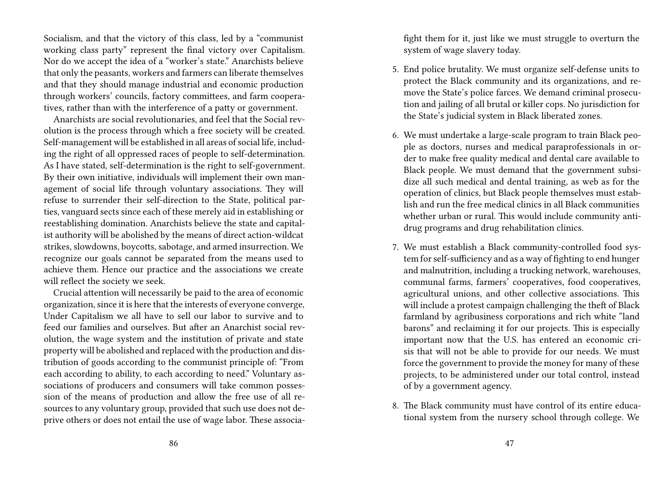Socialism, and that the victory of this class, led by a "communist working class party" represent the final victory over Capitalism. Nor do we accept the idea of a "worker's state." Anarchists believe that only the peasants, workers and farmers can liberate themselves and that they should manage industrial and economic production through workers' councils, factory committees, and farm cooperatives, rather than with the interference of a patty or government.

Anarchists are social revolutionaries, and feel that the Social revolution is the process through which a free society will be created. Self-management will be established in all areas of social life, including the right of all oppressed races of people to self-determination. As I have stated, self-determination is the right to self-government. By their own initiative, individuals will implement their own management of social life through voluntary associations. They will refuse to surrender their self-direction to the State, political parties, vanguard sects since each of these merely aid in establishing or reestablishing domination. Anarchists believe the state and capitalist authority will be abolished by the means of direct action-wildcat strikes, slowdowns, boycotts, sabotage, and armed insurrection. We recognize our goals cannot be separated from the means used to achieve them. Hence our practice and the associations we create will reflect the society we seek.

Crucial attention will necessarily be paid to the area of economic organization, since it is here that the interests of everyone converge, Under Capitalism we all have to sell our labor to survive and to feed our families and ourselves. But after an Anarchist social revolution, the wage system and the institution of private and state property will be abolished and replaced with the production and distribution of goods according to the communist principle of: "From each according to ability, to each according to need." Voluntary associations of producers and consumers will take common possession of the means of production and allow the free use of all resources to any voluntary group, provided that such use does not deprive others or does not entail the use of wage labor. These associafight them for it, just like we must struggle to overturn the system of wage slavery today.

- 5. End police brutality. We must organize self-defense units to protect the Black community and its organizations, and remove the State's police farces. We demand criminal prosecution and jailing of all brutal or killer cops. No jurisdiction for the State's judicial system in Black liberated zones.
- 6. We must undertake a large-scale program to train Black people as doctors, nurses and medical paraprofessionals in order to make free quality medical and dental care available to Black people. We must demand that the government subsidize all such medical and dental training, as web as for the operation of clinics, but Black people themselves must establish and run the free medical clinics in all Black communities whether urban or rural. This would include community antidrug programs and drug rehabilitation clinics.
- 7. We must establish a Black community-controlled food system for self-sufficiency and as a way of fighting to end hunger and malnutrition, including a trucking network, warehouses, communal farms, farmers' cooperatives, food cooperatives, agricultural unions, and other collective associations. This will include a protest campaign challenging the theft of Black farmland by agribusiness corporations and rich white "land barons" and reclaiming it for our projects. This is especially important now that the U.S. has entered an economic crisis that will not be able to provide for our needs. We must force the government to provide the money for many of these projects, to be administered under our total control, instead of by a government agency.
- 8. The Black community must have control of its entire educational system from the nursery school through college. We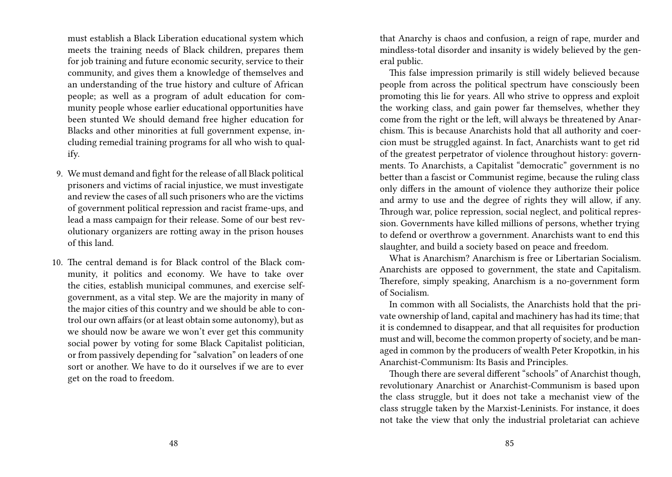must establish a Black Liberation educational system which meets the training needs of Black children, prepares them for job training and future economic security, service to their community, and gives them a knowledge of themselves and an understanding of the true history and culture of African people; as well as a program of adult education for community people whose earlier educational opportunities have been stunted We should demand free higher education for Blacks and other minorities at full government expense, including remedial training programs for all who wish to qualify.

- 9. We must demand and fight for the release of all Black political prisoners and victims of racial injustice, we must investigate and review the cases of all such prisoners who are the victims of government political repression and racist frame-ups, and lead a mass campaign for their release. Some of our best revolutionary organizers are rotting away in the prison houses of this land.
- 10. The central demand is for Black control of the Black community, it politics and economy. We have to take over the cities, establish municipal communes, and exercise selfgovernment, as a vital step. We are the majority in many of the major cities of this country and we should be able to control our own affairs (or at least obtain some autonomy), but as we should now be aware we won't ever get this community social power by voting for some Black Capitalist politician, or from passively depending for "salvation" on leaders of one sort or another. We have to do it ourselves if we are to ever get on the road to freedom.

that Anarchy is chaos and confusion, a reign of rape, murder and mindless-total disorder and insanity is widely believed by the general public.

This false impression primarily is still widely believed because people from across the political spectrum have consciously been promoting this lie for years. All who strive to oppress and exploit the working class, and gain power far themselves, whether they come from the right or the left, will always be threatened by Anarchism. This is because Anarchists hold that all authority and coercion must be struggled against. In fact, Anarchists want to get rid of the greatest perpetrator of violence throughout history: governments. To Anarchists, a Capitalist "democratic" government is no better than a fascist or Communist regime, because the ruling class only differs in the amount of violence they authorize their police and army to use and the degree of rights they will allow, if any. Through war, police repression, social neglect, and political repression. Governments have killed millions of persons, whether trying to defend or overthrow a government. Anarchists want to end this slaughter, and build a society based on peace and freedom.

What is Anarchism? Anarchism is free or Libertarian Socialism. Anarchists are opposed to government, the state and Capitalism. Therefore, simply speaking, Anarchism is a no-government form of Socialism.

In common with all Socialists, the Anarchists hold that the private ownership of land, capital and machinery has had its time; that it is condemned to disappear, and that all requisites for production must and will, become the common property of society, and be managed in common by the producers of wealth Peter Kropotkin, in his Anarchist-Communism: Its Basis and Principles.

Though there are several different "schools" of Anarchist though, revolutionary Anarchist or Anarchist-Communism is based upon the class struggle, but it does not take a mechanist view of the class struggle taken by the Marxist-Leninists. For instance, it does not take the view that only the industrial proletariat can achieve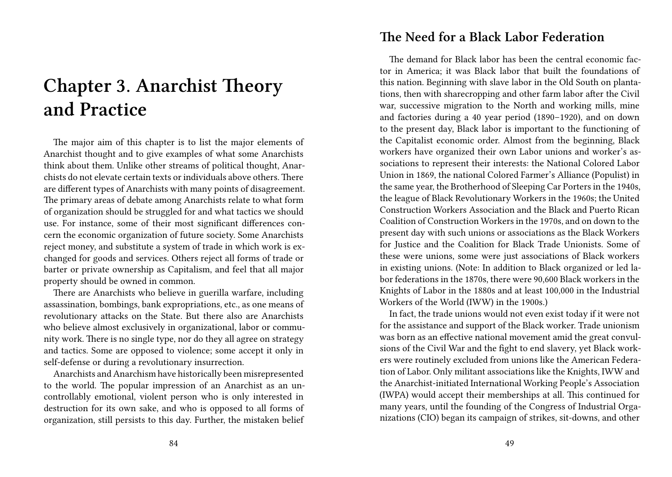# **Chapter 3. Anarchist Theory and Practice**

The major aim of this chapter is to list the major elements of Anarchist thought and to give examples of what some Anarchists think about them. Unlike other streams of political thought, Anarchists do not elevate certain texts or individuals above others. There are different types of Anarchists with many points of disagreement. The primary areas of debate among Anarchists relate to what form of organization should be struggled for and what tactics we should use. For instance, some of their most significant differences concern the economic organization of future society. Some Anarchists reject money, and substitute a system of trade in which work is exchanged for goods and services. Others reject all forms of trade or barter or private ownership as Capitalism, and feel that all major property should be owned in common.

There are Anarchists who believe in guerilla warfare, including assassination, bombings, bank expropriations, etc., as one means of revolutionary attacks on the State. But there also are Anarchists who believe almost exclusively in organizational, labor or community work. There is no single type, nor do they all agree on strategy and tactics. Some are opposed to violence; some accept it only in self-defense or during a revolutionary insurrection.

Anarchists and Anarchism have historically been misrepresented to the world. The popular impression of an Anarchist as an uncontrollably emotional, violent person who is only interested in destruction for its own sake, and who is opposed to all forms of organization, still persists to this day. Further, the mistaken belief

## **The Need for a Black Labor Federation**

The demand for Black labor has been the central economic factor in America; it was Black labor that built the foundations of this nation. Beginning with slave labor in the Old South on plantations, then with sharecropping and other farm labor after the Civil war, successive migration to the North and working mills, mine and factories during a 40 year period (1890–1920), and on down to the present day, Black labor is important to the functioning of the Capitalist economic order. Almost from the beginning, Black workers have organized their own Labor unions and worker's associations to represent their interests: the National Colored Labor Union in 1869, the national Colored Farmer's Alliance (Populist) in the same year, the Brotherhood of Sleeping Car Porters in the 1940s, the league of Black Revolutionary Workers in the 1960s; the United Construction Workers Association and the Black and Puerto Rican Coalition of Construction Workers in the 1970s, and on down to the present day with such unions or associations as the Black Workers for Justice and the Coalition for Black Trade Unionists. Some of these were unions, some were just associations of Black workers in existing unions. (Note: In addition to Black organized or led labor federations in the 1870s, there were 90,600 Black workers in the Knights of Labor in the 1880s and at least 100,000 in the Industrial Workers of the World (IWW) in the 1900s.)

In fact, the trade unions would not even exist today if it were not for the assistance and support of the Black worker. Trade unionism was born as an effective national movement amid the great convulsions of the Civil War and the fight to end slavery, yet Black workers were routinely excluded from unions like the American Federation of Labor. Only militant associations like the Knights, IWW and the Anarchist-initiated International Working People's Association (IWPA) would accept their memberships at all. This continued for many years, until the founding of the Congress of Industrial Organizations (CIO) began its campaign of strikes, sit-downs, and other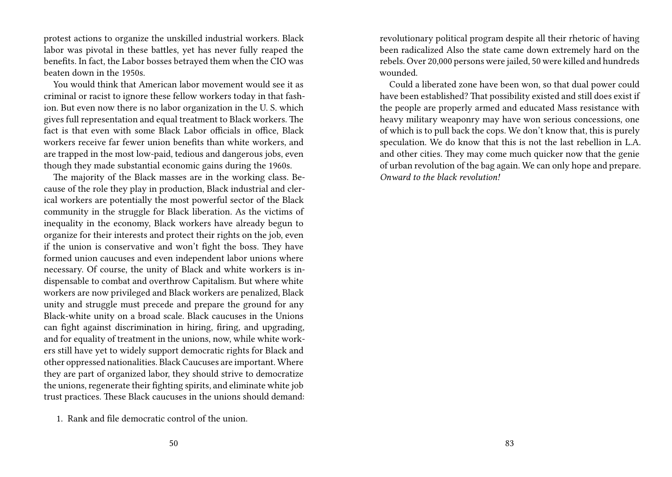protest actions to organize the unskilled industrial workers. Black labor was pivotal in these battles, yet has never fully reaped the benefits. In fact, the Labor bosses betrayed them when the CIO was beaten down in the 1950s.

You would think that American labor movement would see it as criminal or racist to ignore these fellow workers today in that fashion. But even now there is no labor organization in the U. S. which gives full representation and equal treatment to Black workers. The fact is that even with some Black Labor officials in office, Black workers receive far fewer union benefits than white workers, and are trapped in the most low-paid, tedious and dangerous jobs, even though they made substantial economic gains during the 1960s.

The majority of the Black masses are in the working class. Because of the role they play in production, Black industrial and clerical workers are potentially the most powerful sector of the Black community in the struggle for Black liberation. As the victims of inequality in the economy, Black workers have already begun to organize for their interests and protect their rights on the job, even if the union is conservative and won't fight the boss. They have formed union caucuses and even independent labor unions where necessary. Of course, the unity of Black and white workers is indispensable to combat and overthrow Capitalism. But where white workers are now privileged and Black workers are penalized, Black unity and struggle must precede and prepare the ground for any Black-white unity on a broad scale. Black caucuses in the Unions can fight against discrimination in hiring, firing, and upgrading, and for equality of treatment in the unions, now, while white workers still have yet to widely support democratic rights for Black and other oppressed nationalities. Black Caucuses are important. Where they are part of organized labor, they should strive to democratize the unions, regenerate their fighting spirits, and eliminate white job trust practices. These Black caucuses in the unions should demand:

1. Rank and file democratic control of the union.

revolutionary political program despite all their rhetoric of having been radicalized Also the state came down extremely hard on the rebels. Over 20,000 persons were jailed, 50 were killed and hundreds wounded.

Could a liberated zone have been won, so that dual power could have been established? That possibility existed and still does exist if the people are properly armed and educated Mass resistance with heavy military weaponry may have won serious concessions, one of which is to pull back the cops. We don't know that, this is purely speculation. We do know that this is not the last rebellion in L.A. and other cities. They may come much quicker now that the genie of urban revolution of the bag again. We can only hope and prepare. *Onward to the black revolution!*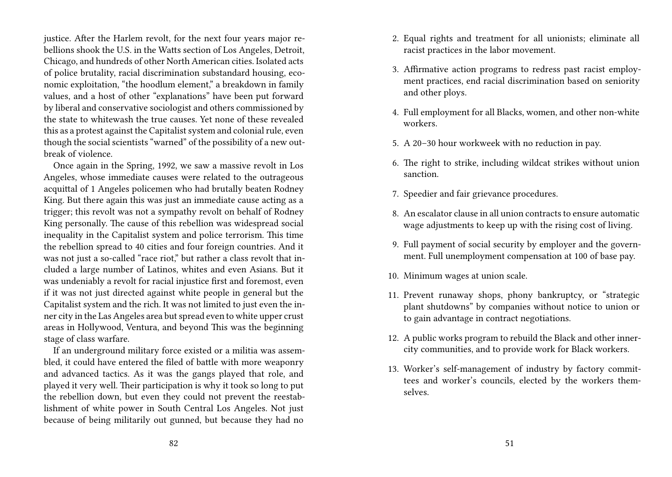justice. After the Harlem revolt, for the next four years major rebellions shook the U.S. in the Watts section of Los Angeles, Detroit, Chicago, and hundreds of other North American cities. Isolated acts of police brutality, racial discrimination substandard housing, economic exploitation, "the hoodlum element," a breakdown in family values, and a host of other "explanations" have been put forward by liberal and conservative sociologist and others commissioned by the state to whitewash the true causes. Yet none of these revealed this as a protest against the Capitalist system and colonial rule, even though the social scientists "warned" of the possibility of a new outbreak of violence.

Once again in the Spring, 1992, we saw a massive revolt in Los Angeles, whose immediate causes were related to the outrageous acquittal of 1 Angeles policemen who had brutally beaten Rodney King. But there again this was just an immediate cause acting as a trigger; this revolt was not a sympathy revolt on behalf of Rodney King personally. The cause of this rebellion was widespread social inequality in the Capitalist system and police terrorism. This time the rebellion spread to 40 cities and four foreign countries. And it was not just a so-called "race riot," but rather a class revolt that included a large number of Latinos, whites and even Asians. But it was undeniably a revolt for racial injustice first and foremost, even if it was not just directed against white people in general but the Capitalist system and the rich. It was not limited to just even the inner city in the Las Angeles area but spread even to white upper crust areas in Hollywood, Ventura, and beyond This was the beginning stage of class warfare.

If an underground military force existed or a militia was assembled, it could have entered the filed of battle with more weaponry and advanced tactics. As it was the gangs played that role, and played it very well. Their participation is why it took so long to put the rebellion down, but even they could not prevent the reestablishment of white power in South Central Los Angeles. Not just because of being militarily out gunned, but because they had no

- 2. Equal rights and treatment for all unionists; eliminate all racist practices in the labor movement.
- 3. Affirmative action programs to redress past racist employment practices, end racial discrimination based on seniority and other ploys.
- 4. Full employment for all Blacks, women, and other non-white workers.
- 5. A 20–30 hour workweek with no reduction in pay.
- 6. The right to strike, including wildcat strikes without union sanction.
- 7. Speedier and fair grievance procedures.
- 8. An escalator clause in all union contracts to ensure automatic wage adjustments to keep up with the rising cost of living.
- 9. Full payment of social security by employer and the government. Full unemployment compensation at 100 of base pay.
- 10. Minimum wages at union scale.
- 11. Prevent runaway shops, phony bankruptcy, or "strategic plant shutdowns" by companies without notice to union or to gain advantage in contract negotiations.
- 12. A public works program to rebuild the Black and other innercity communities, and to provide work for Black workers.
- 13. Worker's self-management of industry by factory committees and worker's councils, elected by the workers themselves.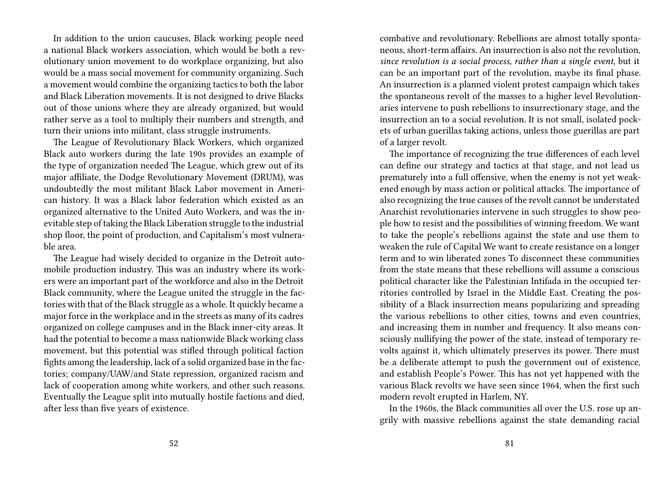In addition to the union caucuses, Black working people need a national Black workers association, which would be both a revolutionary union movement to do workplace organizing, but also would be a mass social movement for community organizing. Such a movement would combine the organizing tactics to both the labor and Black Liberation movements. It is not designed to drive Blacks out of those unions where they are already organized, but would rather serve as a tool to multiply their numbers and strength, and turn their unions into militant, class struggle instruments.

The League of Revolutionary Black Workers, which organized Black auto workers during the late 190s provides an example of the type of organization needed The League, which grew out of its major affiliate, the Dodge Revolutionary Movement (DRUM), was undoubtedly the most militant Black Labor movement in American history. It was a Black labor federation which existed as an organized alternative to the United Auto Workers, and was the inevitable step of taking the Black Liberation struggle to the industrial shop floor, the point of production, and Capitalism's most vulnerable area.

The League had wisely decided to organize in the Detroit automobile production industry. This was an industry where its workers were an important part of the workforce and also in the Detroit Black community, where the League united the struggle in the factories with that of the Black struggle as a whole. It quickly became a major force in the workplace and in the streets as many of its cadres organized on college campuses and in the Black inner-city areas. It had the potential to become a mass nationwide Black working class movement, but this potential was stifled through political faction fights among the leadership, lack of a solid organized base in the factories; company/UAW/and State repression, organized racism and lack of cooperation among white workers, and other such reasons. Eventually the League split into mutually hostile factions and died, after less than five years of existence.

combative and revolutionary. Rebellions are almost totally spontaneous, short-term affairs. An insurrection is also not the revolution, *since revolution is a social process, rather than a single event*, but it can be an important part of the revolution, maybe its final phase. An insurrection is a planned violent protest campaign which takes the spontaneous revolt of the masses to a higher level Revolutionaries intervene to push rebellions to insurrectionary stage, and the insurrection an to a social revolution. It is not small, isolated pockets of urban guerillas taking actions, unless those guerillas are part of a larger revolt.

The importance of recognizing the true differences of each level can define our strategy and tactics at that stage, and not lead us prematurely into a full offensive, when the enemy is not yet weakened enough by mass action or political attacks. The importance of also recognizing the true causes of the revolt cannot be understated Anarchist revolutionaries intervene in such struggles to show people how to resist and the possibilities of winning freedom. We want to take the people's rebellions against the state and use them to weaken the rule of Capital We want to create resistance on a longer term and to win liberated zones To disconnect these communities from the state means that these rebellions will assume a conscious political character like the Palestinian Intifada in the occupied territories controlled by Israel in the Middle East. Creating the possibility of a Black insurrection means popularizing and spreading the various rebellions to other cities, towns and even countries, and increasing them in number and frequency. It also means consciously nullifying the power of the state, instead of temporary revolts against it, which ultimately preserves its power. There must be a deliberate attempt to push the government out of existence, and establish People's Power. This has not yet happened with the various Black revolts we have seen since 1964, when the first such modern revolt erupted in Harlem, NY.

In the 1960s, the Black communities all over the U.S. rose up angrily with massive rebellions against the state demanding racial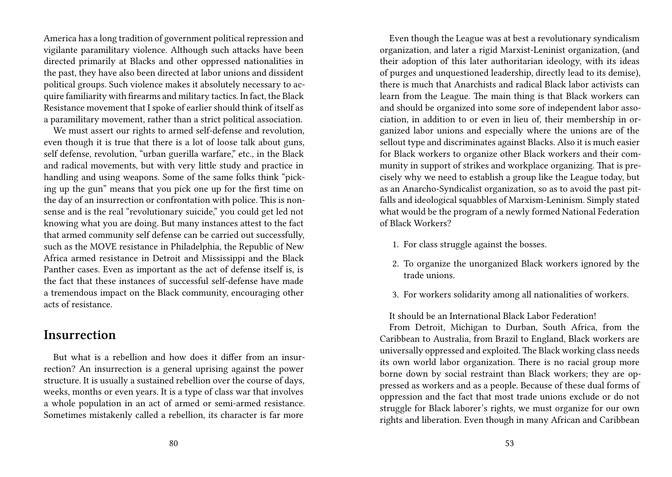America has a long tradition of government political repression and vigilante paramilitary violence. Although such attacks have been directed primarily at Blacks and other oppressed nationalities in the past, they have also been directed at labor unions and dissident political groups. Such violence makes it absolutely necessary to acquire familiarity with firearms and military tactics. In fact, the Black Resistance movement that I spoke of earlier should think of itself as a paramilitary movement, rather than a strict political association.

We must assert our rights to armed self-defense and revolution, even though it is true that there is a lot of loose talk about guns, self defense, revolution, "urban guerilla warfare," etc., in the Black and radical movements, but with very little study and practice in handling and using weapons. Some of the same folks think "picking up the gun" means that you pick one up for the first time on the day of an insurrection or confrontation with police. This is nonsense and is the real "revolutionary suicide," you could get led not knowing what you are doing. But many instances attest to the fact that armed community self defense can be carried out successfully, such as the MOVE resistance in Philadelphia, the Republic of New Africa armed resistance in Detroit and Mississippi and the Black Panther cases. Even as important as the act of defense itself is, is the fact that these instances of successful self-defense have made a tremendous impact on the Black community, encouraging other acts of resistance.

#### **Insurrection**

But what is a rebellion and how does it differ from an insurrection? An insurrection is a general uprising against the power structure. It is usually a sustained rebellion over the course of days, weeks, months or even years. It is a type of class war that involves a whole population in an act of armed or semi-armed resistance. Sometimes mistakenly called a rebellion, its character is far more

Even though the League was at best a revolutionary syndicalism organization, and later a rigid Marxist-Leninist organization, (and their adoption of this later authoritarian ideology, with its ideas of purges and unquestioned leadership, directly lead to its demise), there is much that Anarchists and radical Black labor activists can learn from the League. The main thing is that Black workers can and should be organized into some sore of independent labor association, in addition to or even in lieu of, their membership in organized labor unions and especially where the unions are of the sellout type and discriminates against Blacks. Also it is much easier for Black workers to organize other Black workers and their community in support of strikes and workplace organizing. That is precisely why we need to establish a group like the League today, but as an Anarcho-Syndicalist organization, so as to avoid the past pitfalls and ideological squabbles of Marxism-Leninism. Simply stated what would be the program of a newly formed National Federation of Black Workers?

- 1. For class struggle against the bosses.
- 2. To organize the unorganized Black workers ignored by the trade unions.
- 3. For workers solidarity among all nationalities of workers.

It should be an International Black Labor Federation!

From Detroit, Michigan to Durban, South Africa, from the Caribbean to Australia, from Brazil to England, Black workers are universally oppressed and exploited. The Black working class needs its own world labor organization. There is no racial group more borne down by social restraint than Black workers; they are oppressed as workers and as a people. Because of these dual forms of oppression and the fact that most trade unions exclude or do not struggle for Black laborer's rights, we must organize for our own rights and liberation. Even though in many African and Caribbean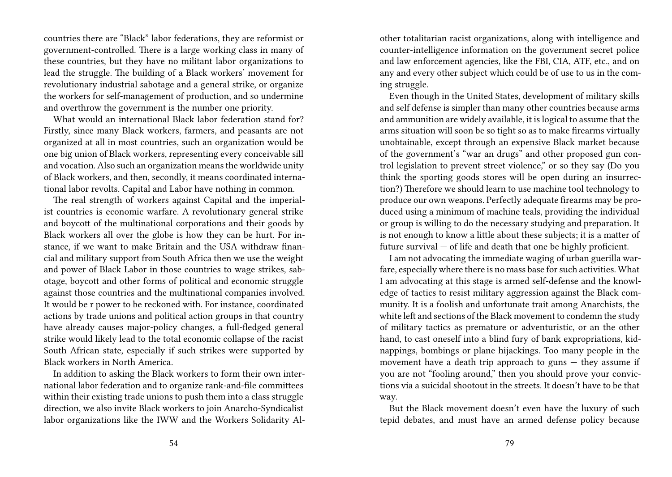countries there are "Black" labor federations, they are reformist or government-controlled. There is a large working class in many of these countries, but they have no militant labor organizations to lead the struggle. The building of a Black workers' movement for revolutionary industrial sabotage and a general strike, or organize the workers for self-management of production, and so undermine and overthrow the government is the number one priority.

What would an international Black labor federation stand for? Firstly, since many Black workers, farmers, and peasants are not organized at all in most countries, such an organization would be one big union of Black workers, representing every conceivable sill and vocation. Also such an organization means the worldwide unity of Black workers, and then, secondly, it means coordinated international labor revolts. Capital and Labor have nothing in common.

The real strength of workers against Capital and the imperialist countries is economic warfare. A revolutionary general strike and boycott of the multinational corporations and their goods by Black workers all over the globe is how they can be hurt. For instance, if we want to make Britain and the USA withdraw financial and military support from South Africa then we use the weight and power of Black Labor in those countries to wage strikes, sabotage, boycott and other forms of political and economic struggle against those countries and the multinational companies involved. It would be r power to be reckoned with. For instance, coordinated actions by trade unions and political action groups in that country have already causes major-policy changes, a full-fledged general strike would likely lead to the total economic collapse of the racist South African state, especially if such strikes were supported by Black workers in North America.

In addition to asking the Black workers to form their own international labor federation and to organize rank-and-file committees within their existing trade unions to push them into a class struggle direction, we also invite Black workers to join Anarcho-Syndicalist labor organizations like the IWW and the Workers Solidarity Alother totalitarian racist organizations, along with intelligence and counter-intelligence information on the government secret police and law enforcement agencies, like the FBI, CIA, ATF, etc., and on any and every other subject which could be of use to us in the coming struggle.

Even though in the United States, development of military skills and self defense is simpler than many other countries because arms and ammunition are widely available, it is logical to assume that the arms situation will soon be so tight so as to make firearms virtually unobtainable, except through an expensive Black market because of the government's "war an drugs" and other proposed gun control legislation to prevent street violence," or so they say (Do you think the sporting goods stores will be open during an insurrection?) Therefore we should learn to use machine tool technology to produce our own weapons. Perfectly adequate firearms may be produced using a minimum of machine teals, providing the individual or group is willing to do the necessary studying and preparation. It is not enough to know a little about these subjects; it is a matter of future survival  $-$  of life and death that one be highly proficient.

I am not advocating the immediate waging of urban guerilla warfare, especially where there is no mass base for such activities. What I am advocating at this stage is armed self-defense and the knowledge of tactics to resist military aggression against the Black community. It is a foolish and unfortunate trait among Anarchists, the white left and sections of the Black movement to condemn the study of military tactics as premature or adventuristic, or an the other hand, to cast oneself into a blind fury of bank expropriations, kidnappings, bombings or plane hijackings. Too many people in the movement have a death trip approach to guns  $-$  they assume if you are not "fooling around," then you should prove your convictions via a suicidal shootout in the streets. It doesn't have to be that way.

But the Black movement doesn't even have the luxury of such tepid debates, and must have an armed defense policy because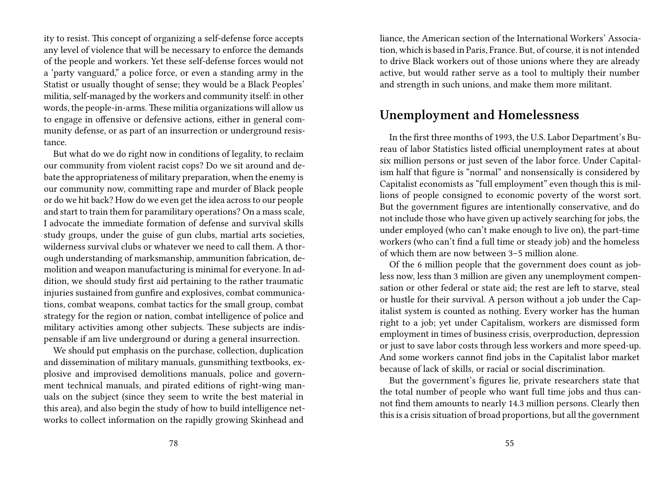ity to resist. This concept of organizing a self-defense force accepts any level of violence that will be necessary to enforce the demands of the people and workers. Yet these self-defense forces would not a 'party vanguard," a police force, or even a standing army in the Statist or usually thought of sense; they would be a Black Peoples' militia, self-managed by the workers and community itself: in other words, the people-in-arms. These militia organizations will allow us to engage in offensive or defensive actions, either in general community defense, or as part of an insurrection or underground resistance.

But what do we do right now in conditions of legality, to reclaim our community from violent racist cops? Do we sit around and debate the appropriateness of military preparation, when the enemy is our community now, committing rape and murder of Black people or do we hit back? How do we even get the idea across to our people and start to train them for paramilitary operations? On a mass scale, I advocate the immediate formation of defense and survival skills study groups, under the guise of gun clubs, martial arts societies, wilderness survival clubs or whatever we need to call them. A thorough understanding of marksmanship, ammunition fabrication, demolition and weapon manufacturing is minimal for everyone. In addition, we should study first aid pertaining to the rather traumatic injuries sustained from gunfire and explosives, combat communications, combat weapons, combat tactics for the small group, combat strategy for the region or nation, combat intelligence of police and military activities among other subjects. These subjects are indispensable if am live underground or during a general insurrection.

We should put emphasis on the purchase, collection, duplication and dissemination of military manuals, gunsmithing textbooks, explosive and improvised demolitions manuals, police and government technical manuals, and pirated editions of right-wing manuals on the subject (since they seem to write the best material in this area), and also begin the study of how to build intelligence networks to collect information on the rapidly growing Skinhead and

liance, the American section of the International Workers' Association, which is based in Paris, France. But, of course, it is not intended to drive Black workers out of those unions where they are already active, but would rather serve as a tool to multiply their number and strength in such unions, and make them more militant.

#### **Unemployment and Homelessness**

In the first three months of 1993, the U.S. Labor Department's Bureau of labor Statistics listed official unemployment rates at about six million persons or just seven of the labor force. Under Capitalism half that figure is "normal" and nonsensically is considered by Capitalist economists as "full employment" even though this is millions of people consigned to economic poverty of the worst sort. But the government figures are intentionally conservative, and do not include those who have given up actively searching for jobs, the under employed (who can't make enough to live on), the part-time workers (who can't find a full time or steady job) and the homeless of which them are now between 3–5 million alone.

Of the 6 million people that the government does count as jobless now, less than 3 million are given any unemployment compensation or other federal or state aid; the rest are left to starve, steal or hustle for their survival. A person without a job under the Capitalist system is counted as nothing. Every worker has the human right to a job; yet under Capitalism, workers are dismissed form employment in times of business crisis, overproduction, depression or just to save labor costs through less workers and more speed-up. And some workers cannot find jobs in the Capitalist labor market because of lack of skills, or racial or social discrimination.

But the government's figures lie, private researchers state that the total number of people who want full time jobs and thus cannot find them amounts to nearly 14.3 million persons. Clearly then this is a crisis situation of broad proportions, but all the government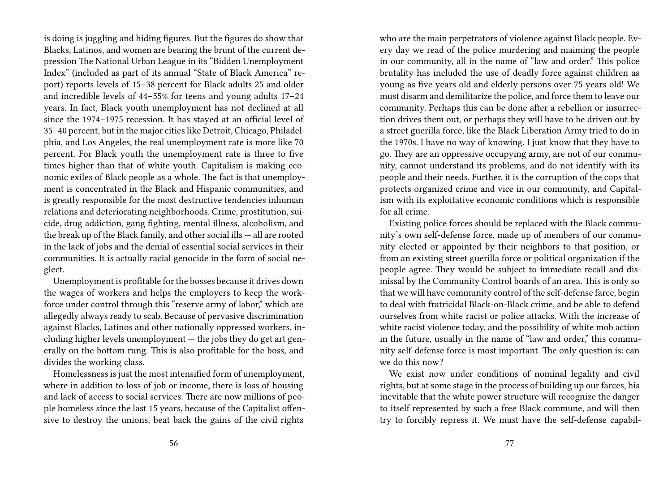is doing is juggling and hiding figures. But the figures do show that Blacks, Latinos, and women are bearing the brunt of the current depression The National Urban League in its "Bidden Unemployment Index" (included as part of its annual "State of Black America" report) reports levels of 15–38 percent for Black adults 25 and older and incredible levels of 44–55% for teens and young adults 17–24 years. In fact, Black youth unemployment has not declined at all since the 1974–1975 recession. It has stayed at an official level of 35–40 percent, but in the major cities like Detroit, Chicago, Philadelphia, and Los Angeles, the real unemployment rate is more like 70 percent. For Black youth the unemployment rate is three to five times higher than that of white youth. Capitalism is making economic exiles of Black people as a whole. The fact is that unemployment is concentrated in the Black and Hispanic communities, and is greatly responsible for the most destructive tendencies inhuman relations and deteriorating neighborhoods. Crime, prostitution, suicide, drug addiction, gang fighting, mental illness, alcoholism, and the break up of the Black family, and other social ills — all are rooted in the lack of jobs and the denial of essential social services in their communities. It is actually racial genocide in the form of social neglect.

Unemployment is profitable for the bosses because it drives down the wages of workers and helps the employers to keep the workforce under control through this "reserve army of labor," which are allegedly always ready to scab. Because of pervasive discrimination against Blacks, Latinos and other nationally oppressed workers, including higher levels unemployment — the jobs they do get art generally on the bottom rung. This is also profitable for the boss, and divides the working class.

Homelessness is just the most intensified form of unemployment, where in addition to loss of job or income, there is loss of housing and lack of access to social services. There are now millions of people homeless since the last 15 years, because of the Capitalist offensive to destroy the unions, beat back the gains of the civil rights

who are the main perpetrators of violence against Black people. Every day we read of the police murdering and maiming the people in our community, all in the name of "law and order." This police brutality has included the use of deadly force against children as young as five years old and elderly persons over 75 years old! We must disarm and demilitarize the police, and force them to leave our community. Perhaps this can be done after a rebellion or insurrection drives them out, or perhaps they will have to be driven out by a street guerilla force, like the Black Liberation Army tried to do in the 1970s. I have no way of knowing. I just know that they have to go. They are an oppressive occupying army, are not of our community, cannot understand its problems, and do not identify with its people and their needs. Further, it is the corruption of the cops that protects organized crime and vice in our community, and Capitalism with its exploitative economic conditions which is responsible for all crime.

Existing police forces should be replaced with the Black community's own self-defense force, made up of members of our community elected or appointed by their neighbors to that position, or from an existing street guerilla force or political organization if the people agree. They would be subject to immediate recall and dismissal by the Community Control boards of an area. This is only so that we will have community control of the self-defense farce, begin to deal with fratricidal Black-on-Black crime, and be able to defend ourselves from white racist or police attacks. With the increase of white racist violence today, and the possibility of white mob action in the future, usually in the name of "law and order," this community self-defense force is most important. The only question is: can we do this now?

We exist now under conditions of nominal legality and civil rights, but at some stage in the process of building up our farces, his inevitable that the white power structure will recognize the danger to itself represented by such a free Black commune, and will then try to forcibly repress it. We must have the self-defense capabil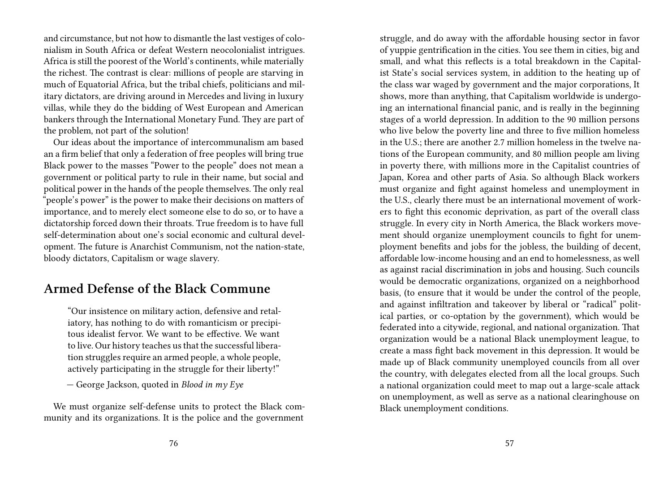and circumstance, but not how to dismantle the last vestiges of colonialism in South Africa or defeat Western neocolonialist intrigues. Africa is still the poorest of the World's continents, while materially the richest. The contrast is clear: millions of people are starving in much of Equatorial Africa, but the tribal chiefs, politicians and military dictators, are driving around in Mercedes and living in luxury villas, while they do the bidding of West European and American bankers through the International Monetary Fund. They are part of the problem, not part of the solution!

Our ideas about the importance of intercommunalism am based an a firm belief that only a federation of free peoples will bring true Black power to the masses "Power to the people" does not mean a government or political party to rule in their name, but social and political power in the hands of the people themselves. The only real "people's power" is the power to make their decisions on matters of importance, and to merely elect someone else to do so, or to have a dictatorship forced down their throats. True freedom is to have full self-determination about one's social economic and cultural development. The future is Anarchist Communism, not the nation-state, bloody dictators, Capitalism or wage slavery.

#### **Armed Defense of the Black Commune**

"Our insistence on military action, defensive and retaliatory, has nothing to do with romanticism or precipitous idealist fervor. We want to be effective. We want to live. Our history teaches us that the successful liberation struggles require an armed people, a whole people, actively participating in the struggle for their liberty!"

— George Jackson, quoted in *Blood in my Eye*

We must organize self-defense units to protect the Black community and its organizations. It is the police and the government

struggle, and do away with the affordable housing sector in favor of yuppie gentrification in the cities. You see them in cities, big and small, and what this reflects is a total breakdown in the Capitalist State's social services system, in addition to the heating up of the class war waged by government and the major corporations, It shows, more than anything, that Capitalism worldwide is undergoing an international financial panic, and is really in the beginning stages of a world depression. In addition to the 90 million persons who live below the poverty line and three to five million homeless in the U.S.; there are another 2.7 million homeless in the twelve nations of the European community, and 80 million people am living in poverty there, with millions more in the Capitalist countries of Japan, Korea and other parts of Asia. So although Black workers must organize and fight against homeless and unemployment in the U.S., clearly there must be an international movement of workers to fight this economic deprivation, as part of the overall class struggle. In every city in North America, the Black workers movement should organize unemployment councils to fight for unemployment benefits and jobs for the jobless, the building of decent, affordable low-income housing and an end to homelessness, as well as against racial discrimination in jobs and housing. Such councils would be democratic organizations, organized on a neighborhood basis, (to ensure that it would be under the control of the people, and against infiltration and takeover by liberal or "radical" political parties, or co-optation by the government), which would be federated into a citywide, regional, and national organization. That organization would be a national Black unemployment league, to create a mass fight back movement in this depression. It would be made up of Black community unemployed councils from all over the country, with delegates elected from all the local groups. Such a national organization could meet to map out a large-scale attack on unemployment, as well as serve as a national clearinghouse on Black unemployment conditions.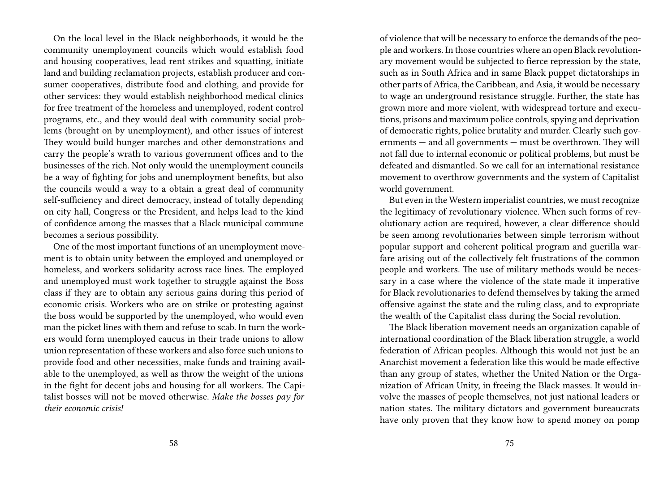On the local level in the Black neighborhoods, it would be the community unemployment councils which would establish food and housing cooperatives, lead rent strikes and squatting, initiate land and building reclamation projects, establish producer and consumer cooperatives, distribute food and clothing, and provide for other services: they would establish neighborhood medical clinics for free treatment of the homeless and unemployed, rodent control programs, etc., and they would deal with community social problems (brought on by unemployment), and other issues of interest They would build hunger marches and other demonstrations and carry the people's wrath to various government offices and to the businesses of the rich. Not only would the unemployment councils be a way of fighting for jobs and unemployment benefits, but also the councils would a way to a obtain a great deal of community self-sufficiency and direct democracy, instead of totally depending on city hall, Congress or the President, and helps lead to the kind of confidence among the masses that a Black municipal commune becomes a serious possibility.

One of the most important functions of an unemployment movement is to obtain unity between the employed and unemployed or homeless, and workers solidarity across race lines. The employed and unemployed must work together to struggle against the Boss class if they are to obtain any serious gains during this period of economic crisis. Workers who are on strike or protesting against the boss would be supported by the unemployed, who would even man the picket lines with them and refuse to scab. In turn the workers would form unemployed caucus in their trade unions to allow union representation of these workers and also force such unions to provide food and other necessities, make funds and training available to the unemployed, as well as throw the weight of the unions in the fight for decent jobs and housing for all workers. The Capitalist bosses will not be moved otherwise. *Make the bosses pay for their economic crisis!*

of violence that will be necessary to enforce the demands of the people and workers. In those countries where an open Black revolutionary movement would be subjected to fierce repression by the state, such as in South Africa and in same Black puppet dictatorships in other parts of Africa, the Caribbean, and Asia, it would be necessary to wage an underground resistance struggle. Further, the state has grown more and more violent, with widespread torture and executions, prisons and maximum police controls, spying and deprivation of democratic rights, police brutality and murder. Clearly such governments — and all governments — must be overthrown. They will not fall due to internal economic or political problems, but must be defeated and dismantled. So we call for an international resistance movement to overthrow governments and the system of Capitalist world government.

But even in the Western imperialist countries, we must recognize the legitimacy of revolutionary violence. When such forms of revolutionary action are required, however, a clear difference should be seen among revolutionaries between simple terrorism without popular support and coherent political program and guerilla warfare arising out of the collectively felt frustrations of the common people and workers. The use of military methods would be necessary in a case where the violence of the state made it imperative for Black revolutionaries to defend themselves by taking the armed offensive against the state and the ruling class, and to expropriate the wealth of the Capitalist class during the Social revolution.

The Black liberation movement needs an organization capable of international coordination of the Black liberation struggle, a world federation of African peoples. Although this would not just be an Anarchist movement a federation like this would be made effective than any group of states, whether the United Nation or the Organization of African Unity, in freeing the Black masses. It would involve the masses of people themselves, not just national leaders or nation states. The military dictators and government bureaucrats have only proven that they know how to spend money on pomp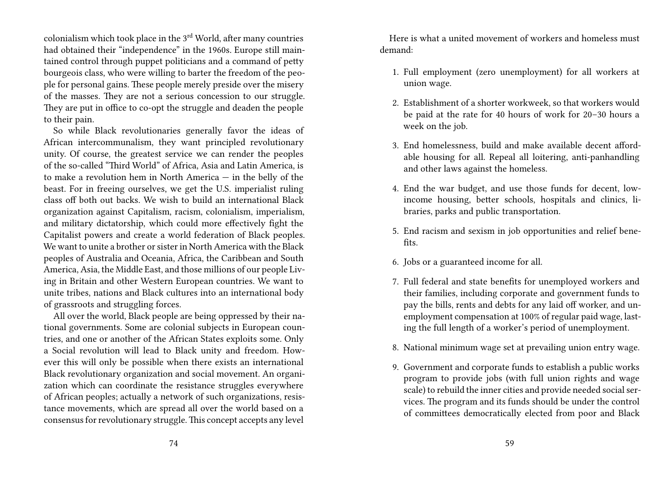colonialism which took place in the  $3<sup>rd</sup>$  World, after many countries had obtained their "independence" in the 1960s. Europe still maintained control through puppet politicians and a command of petty bourgeois class, who were willing to barter the freedom of the people for personal gains. These people merely preside over the misery of the masses. They are not a serious concession to our struggle. They are put in office to co-opt the struggle and deaden the people to their pain.

So while Black revolutionaries generally favor the ideas of African intercommunalism, they want principled revolutionary unity. Of course, the greatest service we can render the peoples of the so-called "Third World" of Africa, Asia and Latin America, is to make a revolution hem in North America — in the belly of the beast. For in freeing ourselves, we get the U.S. imperialist ruling class off both out backs. We wish to build an international Black organization against Capitalism, racism, colonialism, imperialism, and military dictatorship, which could more effectively fight the Capitalist powers and create a world federation of Black peoples. We want to unite a brother or sister in North America with the Black peoples of Australia and Oceania, Africa, the Caribbean and South America, Asia, the Middle East, and those millions of our people Living in Britain and other Western European countries. We want to unite tribes, nations and Black cultures into an international body of grassroots and struggling forces.

All over the world, Black people are being oppressed by their national governments. Some are colonial subjects in European countries, and one or another of the African States exploits some. Only a Social revolution will lead to Black unity and freedom. However this will only be possible when there exists an international Black revolutionary organization and social movement. An organization which can coordinate the resistance struggles everywhere of African peoples; actually a network of such organizations, resistance movements, which are spread all over the world based on a consensus for revolutionary struggle.This concept accepts any level

Here is what a united movement of workers and homeless must demand:

- 1. Full employment (zero unemployment) for all workers at union wage.
- 2. Establishment of a shorter workweek, so that workers would be paid at the rate for 40 hours of work for 20–30 hours a week on the job.
- 3. End homelessness, build and make available decent affordable housing for all. Repeal all loitering, anti-panhandling and other laws against the homeless.
- 4. End the war budget, and use those funds for decent, lowincome housing, better schools, hospitals and clinics, libraries, parks and public transportation.
- 5. End racism and sexism in job opportunities and relief benefits.
- 6. Jobs or a guaranteed income for all.
- 7. Full federal and state benefits for unemployed workers and their families, including corporate and government funds to pay the bills, rents and debts for any laid off worker, and unemployment compensation at 100% of regular paid wage, lasting the full length of a worker's period of unemployment.
- 8. National minimum wage set at prevailing union entry wage.
- 9. Government and corporate funds to establish a public works program to provide jobs (with full union rights and wage scale) to rebuild the inner cities and provide needed social services. The program and its funds should be under the control of committees democratically elected from poor and Black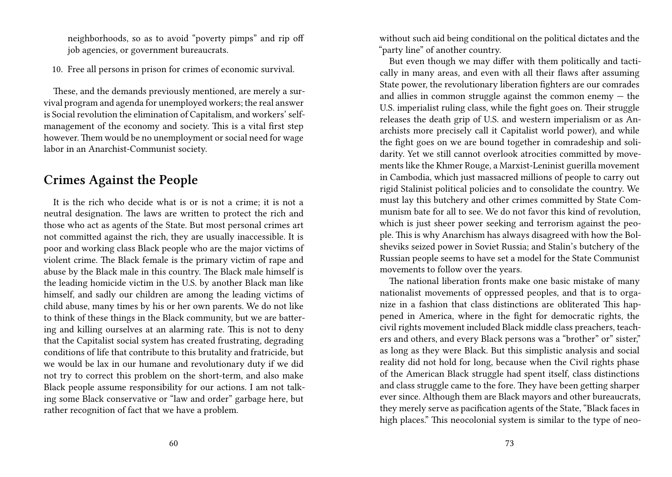neighborhoods, so as to avoid "poverty pimps" and rip off job agencies, or government bureaucrats.

10. Free all persons in prison for crimes of economic survival.

These, and the demands previously mentioned, are merely a survival program and agenda for unemployed workers; the real answer is Social revolution the elimination of Capitalism, and workers' selfmanagement of the economy and society. This is a vital first step however. Them would be no unemployment or social need for wage labor in an Anarchist-Communist society.

#### **Crimes Against the People**

It is the rich who decide what is or is not a crime; it is not a neutral designation. The laws are written to protect the rich and those who act as agents of the State. But most personal crimes art not committed against the rich, they are usually inaccessible. It is poor and working class Black people who are the major victims of violent crime. The Black female is the primary victim of rape and abuse by the Black male in this country. The Black male himself is the leading homicide victim in the U.S. by another Black man like himself, and sadly our children are among the leading victims of child abuse, many times by his or her own parents. We do not like to think of these things in the Black community, but we are battering and killing ourselves at an alarming rate. This is not to deny that the Capitalist social system has created frustrating, degrading conditions of life that contribute to this brutality and fratricide, but we would be lax in our humane and revolutionary duty if we did not try to correct this problem on the short-term, and also make Black people assume responsibility for our actions. I am not talking some Black conservative or "law and order" garbage here, but rather recognition of fact that we have a problem.

without such aid being conditional on the political dictates and the "party line" of another country.

But even though we may differ with them politically and tactically in many areas, and even with all their flaws after assuming State power, the revolutionary liberation fighters are our comrades and allies in common struggle against the common enemy  $-$  the U.S. imperialist ruling class, while the fight goes on. Their struggle releases the death grip of U.S. and western imperialism or as Anarchists more precisely call it Capitalist world power), and while the fight goes on we are bound together in comradeship and solidarity. Yet we still cannot overlook atrocities committed by movements like the Khmer Rouge, a Marxist-Leninist guerilla movement in Cambodia, which just massacred millions of people to carry out rigid Stalinist political policies and to consolidate the country. We must lay this butchery and other crimes committed by State Communism bate for all to see. We do not favor this kind of revolution, which is just sheer power seeking and terrorism against the people. This is why Anarchism has always disagreed with how the Bolsheviks seized power in Soviet Russia; and Stalin's butchery of the Russian people seems to have set a model for the State Communist movements to follow over the years.

The national liberation fronts make one basic mistake of many nationalist movements of oppressed peoples, and that is to organize in a fashion that class distinctions are obliterated This happened in America, where in the fight for democratic rights, the civil rights movement included Black middle class preachers, teachers and others, and every Black persons was a "brother" or" sister," as long as they were Black. But this simplistic analysis and social reality did not hold for long, because when the Civil rights phase of the American Black struggle had spent itself, class distinctions and class struggle came to the fore. They have been getting sharper ever since. Although them are Black mayors and other bureaucrats, they merely serve as pacification agents of the State, "Black faces in high places." This neocolonial system is similar to the type of neo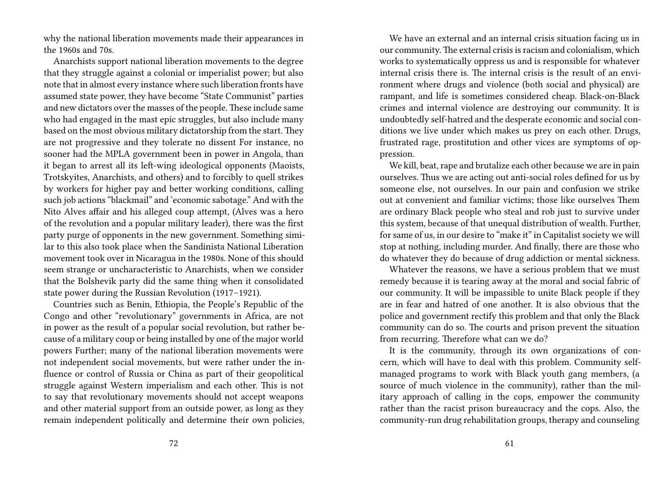why the national liberation movements made their appearances in the 1960s and 70s.

Anarchists support national liberation movements to the degree that they struggle against a colonial or imperialist power; but also note that in almost every instance where such liberation fronts have assumed state power, they have become "State Communist" parties and new dictators over the masses of the people.These include same who had engaged in the mast epic struggles, but also include many based on the most obvious military dictatorship from the start. They are not progressive and they tolerate no dissent For instance, no sooner had the MPLA government been in power in Angola, than it began to arrest all its left-wing ideological opponents (Maoists, Trotskyites, Anarchists, and others) and to forcibly to quell strikes by workers for higher pay and better working conditions, calling such job actions "blackmail" and 'economic sabotage." And with the Nito Alves affair and his alleged coup attempt, (Alves was a hero of the revolution and a popular military leader), there was the first party purge of opponents in the new government. Something similar to this also took place when the Sandinista National Liberation movement took over in Nicaragua in the 1980s. None of this should seem strange or uncharacteristic to Anarchists, when we consider that the Bolshevik party did the same thing when it consolidated state power during the Russian Revolution (1917–1921).

Countries such as Benin, Ethiopia, the People's Republic of the Congo and other "revolutionary" governments in Africa, are not in power as the result of a popular social revolution, but rather because of a military coup or being installed by one of the major world powers Further; many of the national liberation movements were not independent social movements, but were rather under the influence or control of Russia or China as part of their geopolitical struggle against Western imperialism and each other. This is not to say that revolutionary movements should not accept weapons and other material support from an outside power, as long as they remain independent politically and determine their own policies,

We have an external and an internal crisis situation facing us in our community. The external crisis is racism and colonialism, which works to systematically oppress us and is responsible for whatever internal crisis there is. The internal crisis is the result of an environment where drugs and violence (both social and physical) are rampant, and life is sometimes considered cheap. Black-on-Black crimes and internal violence are destroying our community. It is undoubtedly self-hatred and the desperate economic and social conditions we live under which makes us prey on each other. Drugs, frustrated rage, prostitution and other vices are symptoms of oppression.

We kill, beat, rape and brutalize each other because we are in pain ourselves. Thus we are acting out anti-social roles defined for us by someone else, not ourselves. In our pain and confusion we strike out at convenient and familiar victims; those like ourselves Them are ordinary Black people who steal and rob just to survive under this system, because of that unequal distribution of wealth. Further, for same of us, in our desire to "make it" in Capitalist society we will stop at nothing, including murder. And finally, there are those who do whatever they do because of drug addiction or mental sickness.

Whatever the reasons, we have a serious problem that we must remedy because it is tearing away at the moral and social fabric of our community. It will be impassible to unite Black people if they are in fear and hatred of one another. It is also obvious that the police and government rectify this problem and that only the Black community can do so. The courts and prison prevent the situation from recurring. Therefore what can we do?

It is the community, through its own organizations of concern, which will have to deal with this problem. Community selfmanaged programs to work with Black youth gang members, (a source of much violence in the community), rather than the military approach of calling in the cops, empower the community rather than the racist prison bureaucracy and the cops. Also, the community-run drug rehabilitation groups, therapy and counseling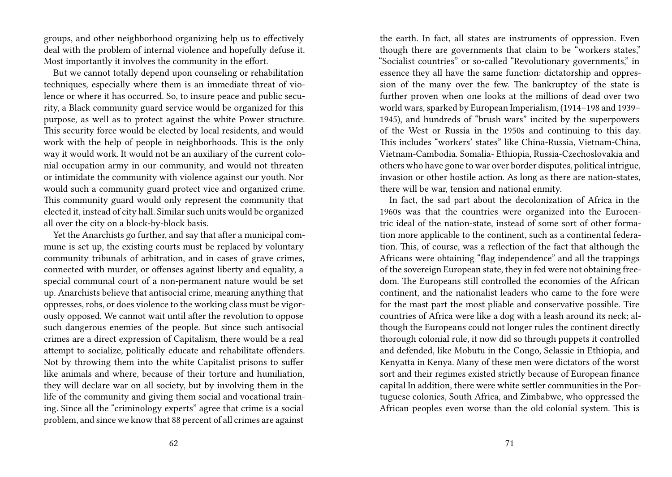groups, and other neighborhood organizing help us to effectively deal with the problem of internal violence and hopefully defuse it. Most importantly it involves the community in the effort.

But we cannot totally depend upon counseling or rehabilitation techniques, especially where them is an immediate threat of violence or where it has occurred. So, to insure peace and public security, a Black community guard service would be organized for this purpose, as well as to protect against the white Power structure. This security force would be elected by local residents, and would work with the help of people in neighborhoods. This is the only way it would work. It would not be an auxiliary of the current colonial occupation army in our community, and would not threaten or intimidate the community with violence against our youth. Nor would such a community guard protect vice and organized crime. This community guard would only represent the community that elected it, instead of city hall. Similar such units would be organized all over the city on a block-by-block basis.

Yet the Anarchists go further, and say that after a municipal commune is set up, the existing courts must be replaced by voluntary community tribunals of arbitration, and in cases of grave crimes, connected with murder, or offenses against liberty and equality, a special communal court of a non-permanent nature would be set up. Anarchists believe that antisocial crime, meaning anything that oppresses, robs, or does violence to the working class must be vigorously opposed. We cannot wait until after the revolution to oppose such dangerous enemies of the people. But since such antisocial crimes are a direct expression of Capitalism, there would be a real attempt to socialize, politically educate and rehabilitate offenders. Not by throwing them into the white Capitalist prisons to suffer like animals and where, because of their torture and humiliation, they will declare war on all society, but by involving them in the life of the community and giving them social and vocational training. Since all the "criminology experts" agree that crime is a social problem, and since we know that 88 percent of all crimes are against

the earth. In fact, all states are instruments of oppression. Even though there are governments that claim to be "workers states," "Socialist countries" or so-called "Revolutionary governments," in essence they all have the same function: dictatorship and oppression of the many over the few. The bankruptcy of the state is further proven when one looks at the millions of dead over two world wars, sparked by European Imperialism, (1914–198 and 1939– 1945), and hundreds of "brush wars" incited by the superpowers of the West or Russia in the 1950s and continuing to this day. This includes "workers' states" like China-Russia, Vietnam-China, Vietnam-Cambodia. Somalia- Ethiopia, Russia-Czechoslovakia and others who have gone to war over border disputes, political intrigue, invasion or other hostile action. As long as there are nation-states, there will be war, tension and national enmity.

In fact, the sad part about the decolonization of Africa in the 1960s was that the countries were organized into the Eurocentric ideal of the nation-state, instead of some sort of other formation more applicable to the continent, such as a continental federation. This, of course, was a reflection of the fact that although the Africans were obtaining "flag independence" and all the trappings of the sovereign European state, they in fed were not obtaining freedom. The Europeans still controlled the economies of the African continent, and the nationalist leaders who came to the fore were for the mast part the most pliable and conservative possible. Tire countries of Africa were like a dog with a leash around its neck; although the Europeans could not longer rules the continent directly thorough colonial rule, it now did so through puppets it controlled and defended, like Mobutu in the Congo, Selassie in Ethiopia, and Kenyatta in Kenya. Many of these men were dictators of the worst sort and their regimes existed strictly because of European finance capital In addition, there were white settler communities in the Portuguese colonies, South Africa, and Zimbabwe, who oppressed the African peoples even worse than the old colonial system. This is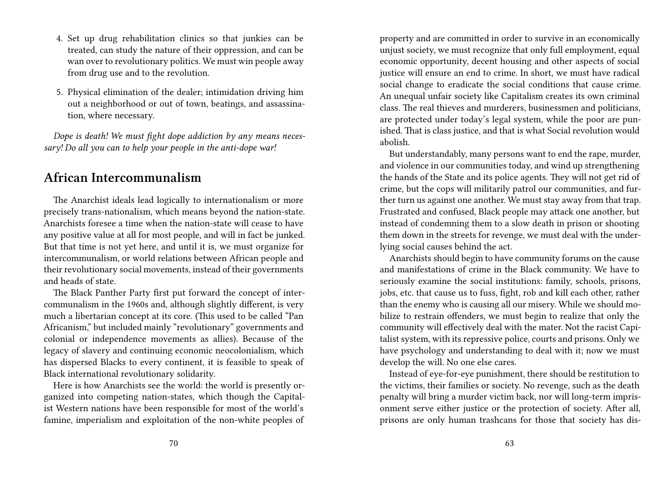- 4. Set up drug rehabilitation clinics so that junkies can be treated, can study the nature of their oppression, and can be wan over to revolutionary politics. We must win people away from drug use and to the revolution.
- 5. Physical elimination of the dealer; intimidation driving him out a neighborhood or out of town, beatings, and assassination, where necessary.

*Dope is death! We must fight dope addiction by any means necessary! Do all you can to help your people in the anti-dope war!*

## **African Intercommunalism**

The Anarchist ideals lead logically to internationalism or more precisely trans-nationalism, which means beyond the nation-state. Anarchists foresee a time when the nation-state will cease to have any positive value at all for most people, and will in fact be junked. But that time is not yet here, and until it is, we must organize for intercommunalism, or world relations between African people and their revolutionary social movements, instead of their governments and heads of state.

The Black Panther Party first put forward the concept of intercommunalism in the 1960s and, although slightly different, is very much a libertarian concept at its core. (This used to be called "Pan Africanism," but included mainly "revolutionary" governments and colonial or independence movements as allies). Because of the legacy of slavery and continuing economic neocolonialism, which has dispersed Blacks to every continent, it is feasible to speak of Black international revolutionary solidarity.

Here is how Anarchists see the world: the world is presently organized into competing nation-states, which though the Capitalist Western nations have been responsible for most of the world's famine, imperialism and exploitation of the non-white peoples of property and are committed in order to survive in an economically unjust society, we must recognize that only full employment, equal economic opportunity, decent housing and other aspects of social justice will ensure an end to crime. In short, we must have radical social change to eradicate the social conditions that cause crime. An unequal unfair society like Capitalism creates its own criminal class. The real thieves and murderers, businessmen and politicians, are protected under today's legal system, while the poor are punished. That is class justice, and that is what Social revolution would abolish.

But understandably, many persons want to end the rape, murder, and violence in our communities today, and wind up strengthening the hands of the State and its police agents. They will not get rid of crime, but the cops will militarily patrol our communities, and further turn us against one another. We must stay away from that trap. Frustrated and confused, Black people may attack one another, but instead of condemning them to a slow death in prison or shooting them down in the streets for revenge, we must deal with the underlying social causes behind the act.

Anarchists should begin to have community forums on the cause and manifestations of crime in the Black community. We have to seriously examine the social institutions: family, schools, prisons, jobs, etc. that cause us to fuss, fight, rob and kill each other, rather than the enemy who is causing all our misery. While we should mobilize to restrain offenders, we must begin to realize that only the community will effectively deal with the mater. Not the racist Capitalist system, with its repressive police, courts and prisons. Only we have psychology and understanding to deal with it; now we must develop the will. No one else cares.

Instead of eye-for-eye punishment, there should be restitution to the victims, their families or society. No revenge, such as the death penalty will bring a murder victim back, nor will long-term imprisonment serve either justice or the protection of society. After all, prisons are only human trashcans for those that society has dis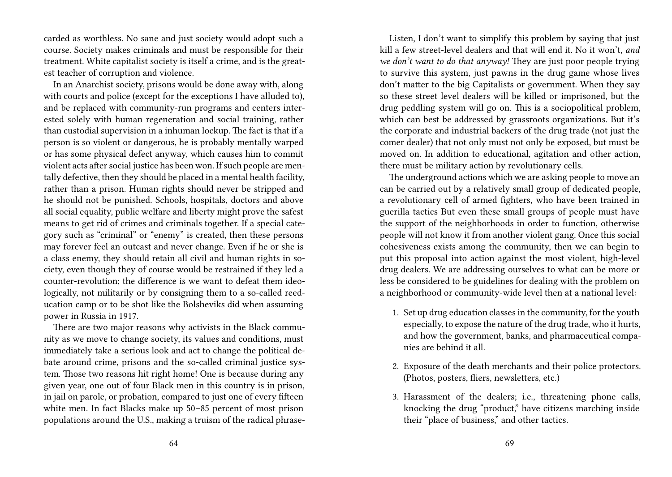carded as worthless. No sane and just society would adopt such a course. Society makes criminals and must be responsible for their treatment. White capitalist society is itself a crime, and is the greatest teacher of corruption and violence.

In an Anarchist society, prisons would be done away with, along with courts and police (except for the exceptions I have alluded to), and be replaced with community-run programs and centers interested solely with human regeneration and social training, rather than custodial supervision in a inhuman lockup. The fact is that if a person is so violent or dangerous, he is probably mentally warped or has some physical defect anyway, which causes him to commit violent acts after social justice has been won. If such people are mentally defective, then they should be placed in a mental health facility, rather than a prison. Human rights should never be stripped and he should not be punished. Schools, hospitals, doctors and above all social equality, public welfare and liberty might prove the safest means to get rid of crimes and criminals together. If a special category such as "criminal" or "enemy" is created, then these persons may forever feel an outcast and never change. Even if he or she is a class enemy, they should retain all civil and human rights in society, even though they of course would be restrained if they led a counter-revolution; the difference is we want to defeat them ideologically, not militarily or by consigning them to a so-called reeducation camp or to be shot like the Bolsheviks did when assuming power in Russia in 1917.

There are two major reasons why activists in the Black community as we move to change society, its values and conditions, must immediately take a serious look and act to change the political debate around crime, prisons and the so-called criminal justice system. Those two reasons hit right home! One is because during any given year, one out of four Black men in this country is in prison, in jail on parole, or probation, compared to just one of every fifteen white men. In fact Blacks make up 50–85 percent of most prison populations around the U.S., making a truism of the radical phrase-

Listen, I don't want to simplify this problem by saying that just kill a few street-level dealers and that will end it. No it won't, *and we don't want to do that anyway!* They are just poor people trying to survive this system, just pawns in the drug game whose lives don't matter to the big Capitalists or government. When they say so these street level dealers will be killed or imprisoned, but the drug peddling system will go on. This is a sociopolitical problem, which can best be addressed by grassroots organizations. But it's the corporate and industrial backers of the drug trade (not just the comer dealer) that not only must not only be exposed, but must be moved on. In addition to educational, agitation and other action, there must be military action by revolutionary cells.

The underground actions which we are asking people to move an can be carried out by a relatively small group of dedicated people, a revolutionary cell of armed fighters, who have been trained in guerilla tactics But even these small groups of people must have the support of the neighborhoods in order to function, otherwise people will not know it from another violent gang. Once this social cohesiveness exists among the community, then we can begin to put this proposal into action against the most violent, high-level drug dealers. We are addressing ourselves to what can be more or less be considered to be guidelines for dealing with the problem on a neighborhood or community-wide level then at a national level:

- 1. Set up drug education classes in the community, for the youth especially, to expose the nature of the drug trade, who it hurts, and how the government, banks, and pharmaceutical companies are behind it all.
- 2. Exposure of the death merchants and their police protectors. (Photos, posters, fliers, newsletters, etc.)
- 3. Harassment of the dealers; i.e., threatening phone calls, knocking the drug "product," have citizens marching inside their "place of business," and other tactics.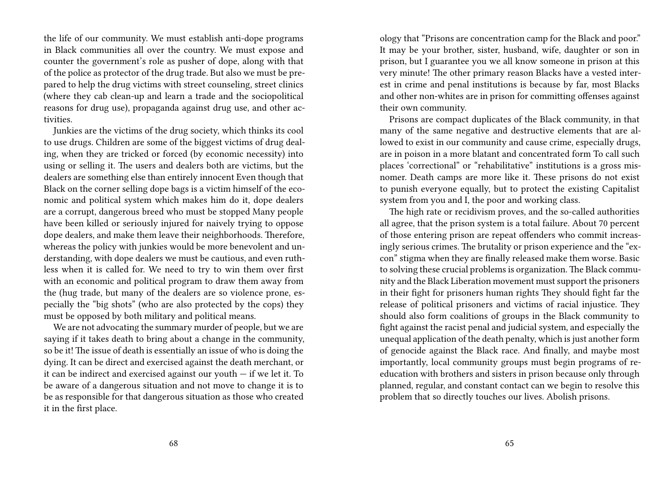the life of our community. We must establish anti-dope programs in Black communities all over the country. We must expose and counter the government's role as pusher of dope, along with that of the police as protector of the drug trade. But also we must be prepared to help the drug victims with street counseling, street clinics (where they cab clean-up and learn a trade and the sociopolitical reasons for drug use), propaganda against drug use, and other activities.

Junkies are the victims of the drug society, which thinks its cool to use drugs. Children are some of the biggest victims of drug dealing, when they are tricked or forced (by economic necessity) into using or selling it. The users and dealers both are victims, but the dealers are something else than entirely innocent Even though that Black on the corner selling dope bags is a victim himself of the economic and political system which makes him do it, dope dealers are a corrupt, dangerous breed who must be stopped Many people have been killed or seriously injured for naively trying to oppose dope dealers, and make them leave their neighborhoods. Therefore, whereas the policy with junkies would be more benevolent and understanding, with dope dealers we must be cautious, and even ruthless when it is called for. We need to try to win them over first with an economic and political program to draw them away from the (hug trade, but many of the dealers are so violence prone, especially the "big shots" (who are also protected by the cops) they must be opposed by both military and political means.

We are not advocating the summary murder of people, but we are saying if it takes death to bring about a change in the community, so be it! The issue of death is essentially an issue of who is doing the dying. It can be direct and exercised against the death merchant, or it can be indirect and exercised against our youth — if we let it. To be aware of a dangerous situation and not move to change it is to be as responsible for that dangerous situation as those who created it in the first place.

ology that "Prisons are concentration camp for the Black and poor." It may be your brother, sister, husband, wife, daughter or son in prison, but I guarantee you we all know someone in prison at this very minute! The other primary reason Blacks have a vested interest in crime and penal institutions is because by far, most Blacks and other non-whites are in prison for committing offenses against their own community.

Prisons are compact duplicates of the Black community, in that many of the same negative and destructive elements that are allowed to exist in our community and cause crime, especially drugs, are in poison in a more blatant and concentrated form To call such places 'correctional" or "rehabilitative" institutions is a gross misnomer. Death camps are more like it. These prisons do not exist to punish everyone equally, but to protect the existing Capitalist system from you and I, the poor and working class.

The high rate or recidivism proves, and the so-called authorities all agree, that the prison system is a total failure. About 70 percent of those entering prison are repeat offenders who commit increasingly serious crimes. The brutality or prison experience and the "excon" stigma when they are finally released make them worse. Basic to solving these crucial problems is organization. The Black community and the Black Liberation movement must support the prisoners in their fight for prisoners human rights They should fight far the release of political prisoners and victims of racial injustice. They should also form coalitions of groups in the Black community to fight against the racist penal and judicial system, and especially the unequal application of the death penalty, which is just another form of genocide against the Black race. And finally, and maybe most importantly, local community groups must begin programs of reeducation with brothers and sisters in prison because only through planned, regular, and constant contact can we begin to resolve this problem that so directly touches our lives. Abolish prisons.